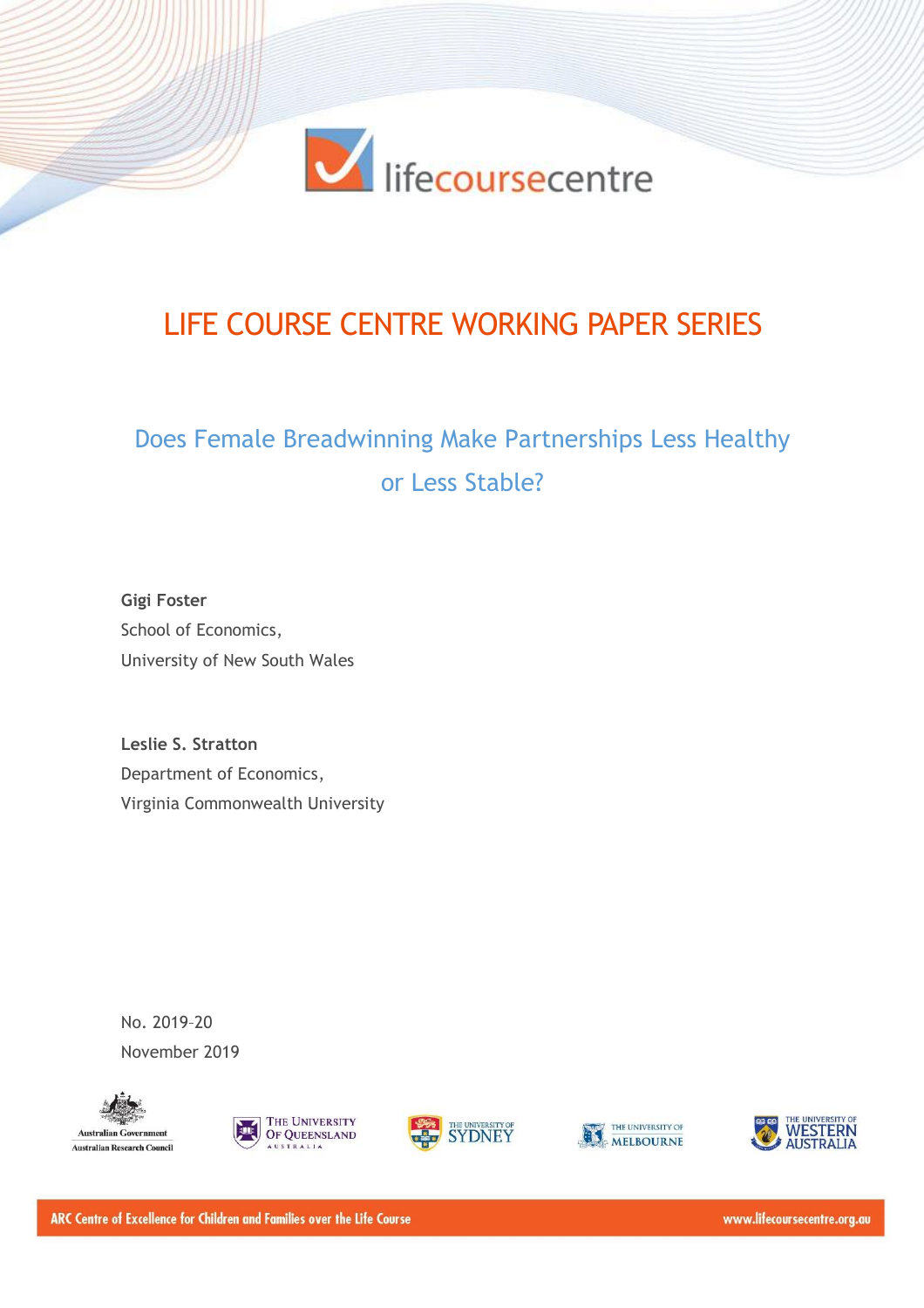

# LIFE COURSE CENTRE WORKING PAPER SERIES

# Does Female Breadwinning Make Partnerships Less Healthy or Less Stable?

**Gigi Foster** School of Economics, University of New South Wales

**Leslie S. Stratton** Department of Economics, Virginia Commonwealth University

No. 2019–20 November 2019











ARC Centre of Excellence for Children and Families over the Life Course

www.lifecoursecentre.org.au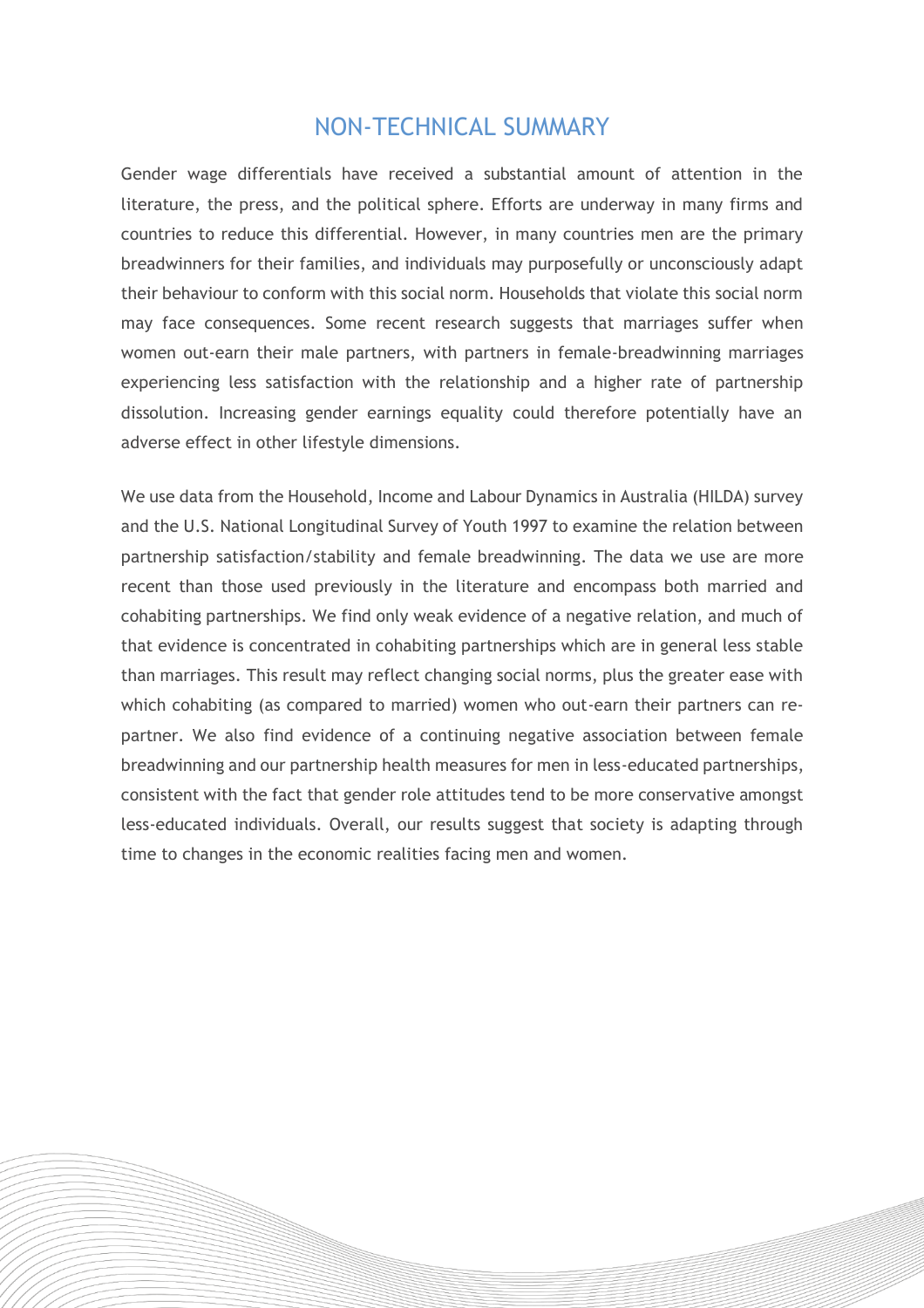## NON-TECHNICAL SUMMARY

Gender wage differentials have received a substantial amount of attention in the literature, the press, and the political sphere. Efforts are underway in many firms and countries to reduce this differential. However, in many countries men are the primary breadwinners for their families, and individuals may purposefully or unconsciously adapt their behaviour to conform with this social norm. Households that violate this social norm may face consequences. Some recent research suggests that marriages suffer when women out-earn their male partners, with partners in female-breadwinning marriages experiencing less satisfaction with the relationship and a higher rate of partnership dissolution. Increasing gender earnings equality could therefore potentially have an adverse effect in other lifestyle dimensions.

We use data from the Household, Income and Labour Dynamics in Australia (HILDA) survey and the U.S. National Longitudinal Survey of Youth 1997 to examine the relation between partnership satisfaction/stability and female breadwinning. The data we use are more recent than those used previously in the literature and encompass both married and cohabiting partnerships. We find only weak evidence of a negative relation, and much of that evidence is concentrated in cohabiting partnerships which are in general less stable than marriages. This result may reflect changing social norms, plus the greater ease with which cohabiting (as compared to married) women who out-earn their partners can repartner. We also find evidence of a continuing negative association between female breadwinning and our partnership health measures for men in less-educated partnerships, consistent with the fact that gender role attitudes tend to be more conservative amongst less-educated individuals. Overall, our results suggest that society is adapting through time to changes in the economic realities facing men and women.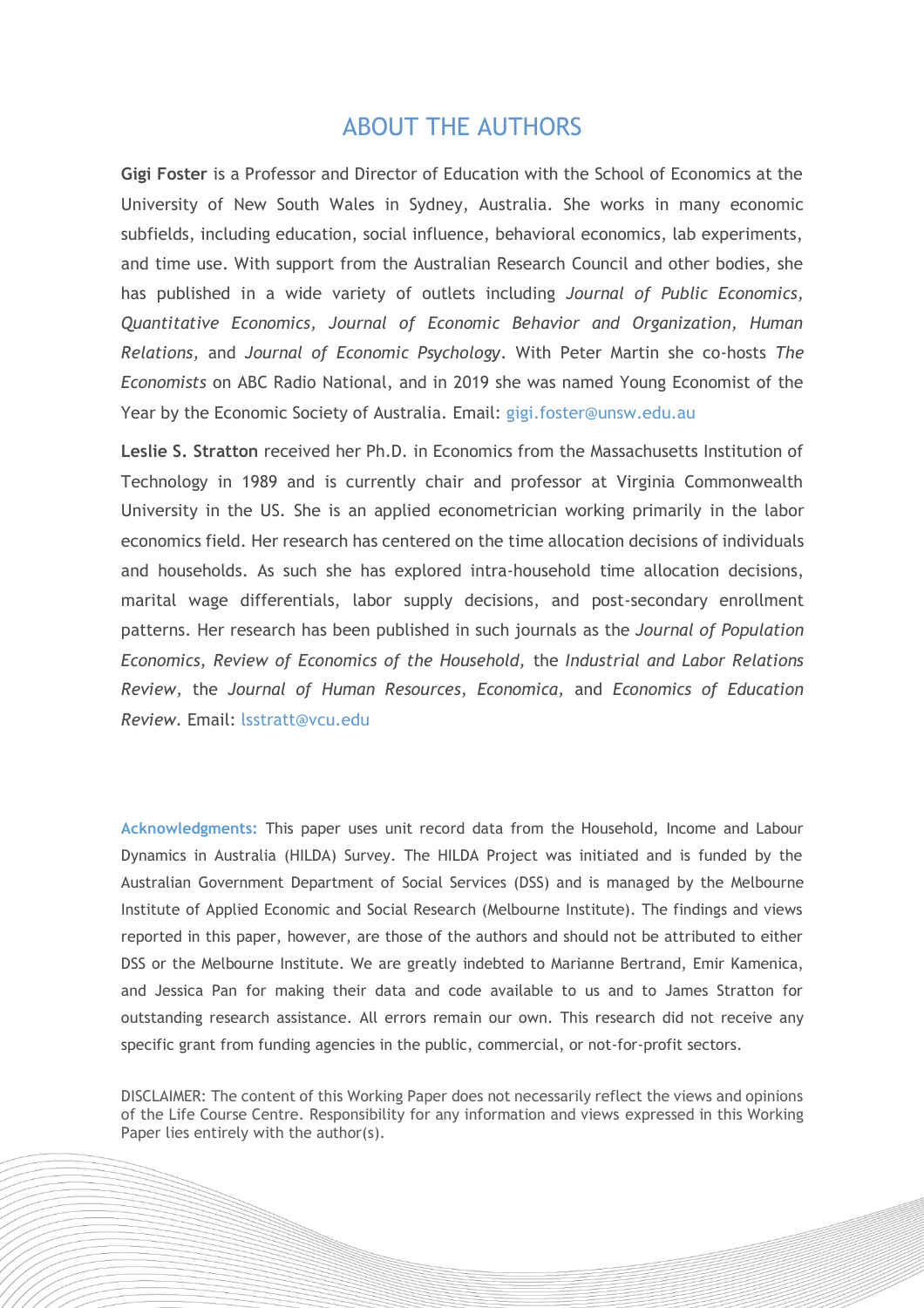## ABOUT THE AUTHORS

**Gigi Foster** is a Professor and Director of Education with the School of Economics at the University of New South Wales in Sydney, Australia. She works in many economic subfields, including education, social influence, behavioral economics, lab experiments, and time use. With support from the Australian Research Council and other bodies, she has published in a wide variety of outlets including *Journal of Public Economics, Quantitative Economics, Journal of Economic Behavior and Organization, Human Relations,* and *Journal of Economic Psychology*. With Peter Martin she co-hosts *The Economists* on ABC Radio National, and in 2019 she was named Young Economist of the Year by the Economic Society of Australia. Email: [gigi.foster@unsw.edu.au](mailto:gigi.foster@unsw.edu.au)

**Leslie S. Stratton** received her Ph.D. in Economics from the Massachusetts Institution of Technology in 1989 and is currently chair and professor at Virginia Commonwealth University in the US. She is an applied econometrician working primarily in the labor economics field. Her research has centered on the time allocation decisions of individuals and households. As such she has explored intra-household time allocation decisions, marital wage differentials, labor supply decisions, and post-secondary enrollment patterns. Her research has been published in such journals as the *Journal of Population Economics, Review of Economics of the Household,* the *Industrial and Labor Relations Review,* the *Journal of Human Resources, Economica,* and *Economics of Education Review.* Email: [lsstratt@vcu.edu](mailto:lsstratt@vcu.edu)

**Acknowledgments:** This paper uses unit record data from the Household, Income and Labour Dynamics in Australia (HILDA) Survey. The HILDA Project was initiated and is funded by the Australian Government Department of Social Services (DSS) and is managed by the Melbourne Institute of Applied Economic and Social Research (Melbourne Institute). The findings and views reported in this paper, however, are those of the authors and should not be attributed to either DSS or the Melbourne Institute. We are greatly indebted to Marianne Bertrand, Emir Kamenica, and Jessica Pan for making their data and code available to us and to James Stratton for outstanding research assistance. All errors remain our own. This research did not receive any specific grant from funding agencies in the public, commercial, or not-for-profit sectors.

DISCLAIMER: The content of this Working Paper does not necessarily reflect the views and opinions of the Life Course Centre. Responsibility for any information and views expressed in this Working Paper lies entirely with the author(s).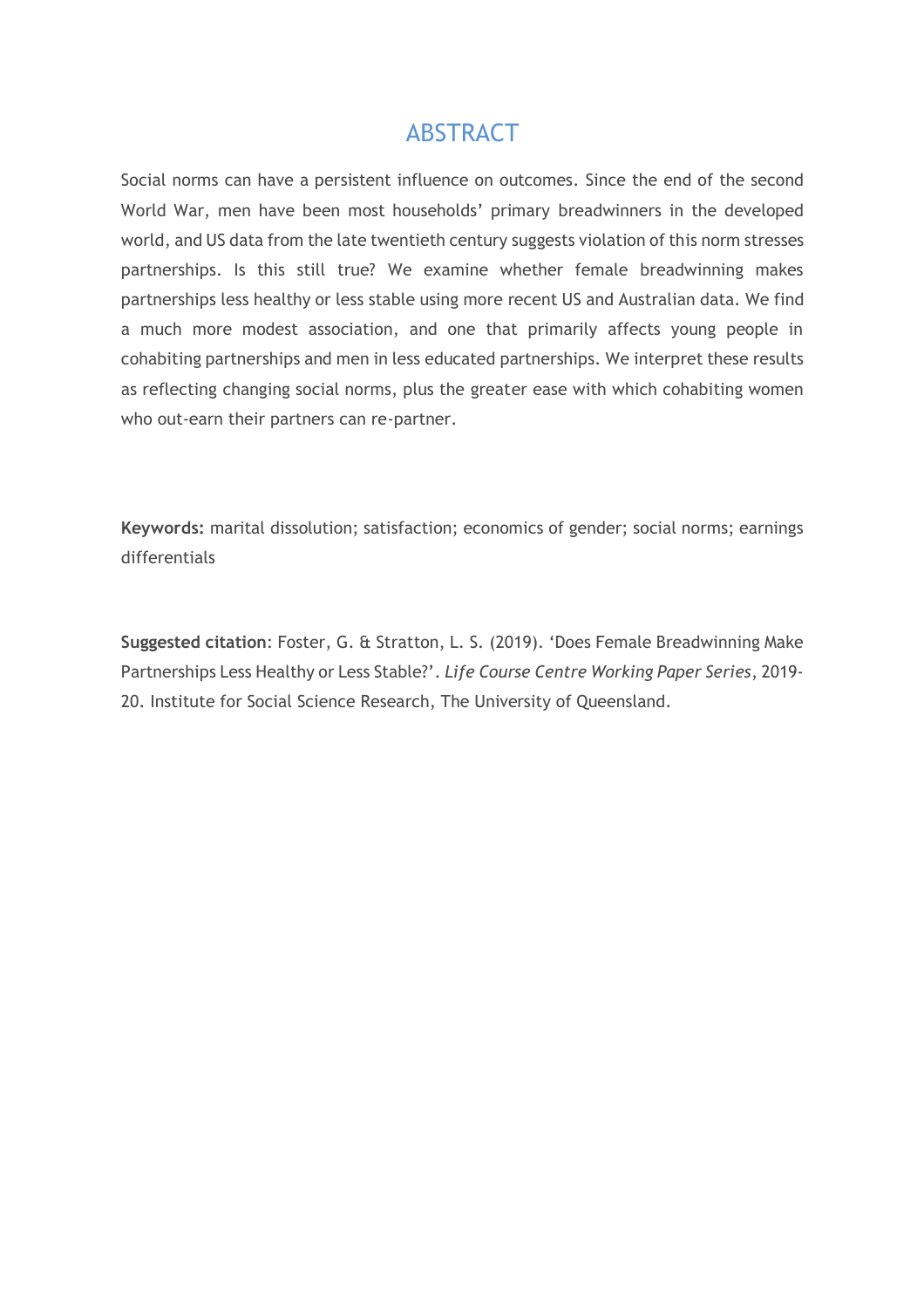## **ABSTRACT**

Social norms can have a persistent influence on outcomes. Since the end of the second World War, men have been most households' primary breadwinners in the developed world, and US data from the late twentieth century suggests violation of this norm stresses partnerships. Is this still true? We examine whether female breadwinning makes partnerships less healthy or less stable using more recent US and Australian data. We find a much more modest association, and one that primarily affects young people in cohabiting partnerships and men in less educated partnerships. We interpret these results as reflecting changing social norms, plus the greater ease with which cohabiting women who out-earn their partners can re-partner.

**Keywords:** marital dissolution; satisfaction; economics of gender; social norms; earnings differentials

**Suggested citation**: Foster, G. & Stratton, L. S. (2019). 'Does Female Breadwinning Make Partnerships Less Healthy or Less Stable?'. *Life Course Centre Working Paper Series*, 2019- 20. Institute for Social Science Research, The University of Queensland.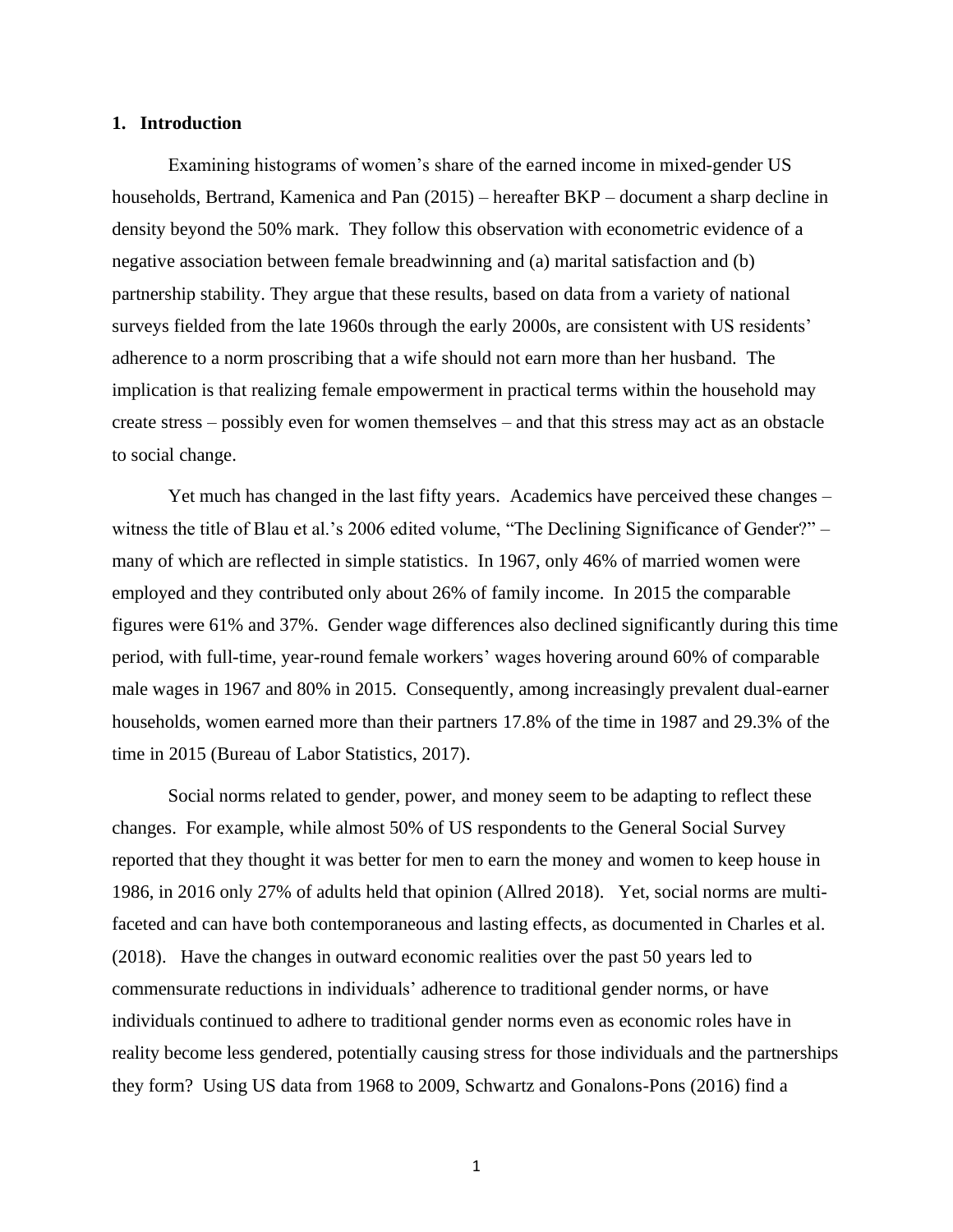## **1. Introduction**

Examining histograms of women's share of the earned income in mixed-gender US households, Bertrand, Kamenica and Pan (2015) – hereafter BKP – document a sharp decline in density beyond the 50% mark. They follow this observation with econometric evidence of a negative association between female breadwinning and (a) marital satisfaction and (b) partnership stability. They argue that these results, based on data from a variety of national surveys fielded from the late 1960s through the early 2000s, are consistent with US residents' adherence to a norm proscribing that a wife should not earn more than her husband. The implication is that realizing female empowerment in practical terms within the household may create stress – possibly even for women themselves – and that this stress may act as an obstacle to social change.

Yet much has changed in the last fifty years. Academics have perceived these changes – witness the title of Blau et al.'s 2006 edited volume, "The Declining Significance of Gender?" – many of which are reflected in simple statistics. In 1967, only 46% of married women were employed and they contributed only about 26% of family income. In 2015 the comparable figures were 61% and 37%. Gender wage differences also declined significantly during this time period, with full-time, year-round female workers' wages hovering around 60% of comparable male wages in 1967 and 80% in 2015. Consequently, among increasingly prevalent dual-earner households, women earned more than their partners 17.8% of the time in 1987 and 29.3% of the time in 2015 (Bureau of Labor Statistics, 2017).

Social norms related to gender, power, and money seem to be adapting to reflect these changes. For example, while almost 50% of US respondents to the General Social Survey reported that they thought it was better for men to earn the money and women to keep house in 1986, in 2016 only 27% of adults held that opinion (Allred 2018). Yet, social norms are multifaceted and can have both contemporaneous and lasting effects, as documented in Charles et al. (2018). Have the changes in outward economic realities over the past 50 years led to commensurate reductions in individuals' adherence to traditional gender norms, or have individuals continued to adhere to traditional gender norms even as economic roles have in reality become less gendered, potentially causing stress for those individuals and the partnerships they form? Using US data from 1968 to 2009, Schwartz and Gonalons-Pons (2016) find a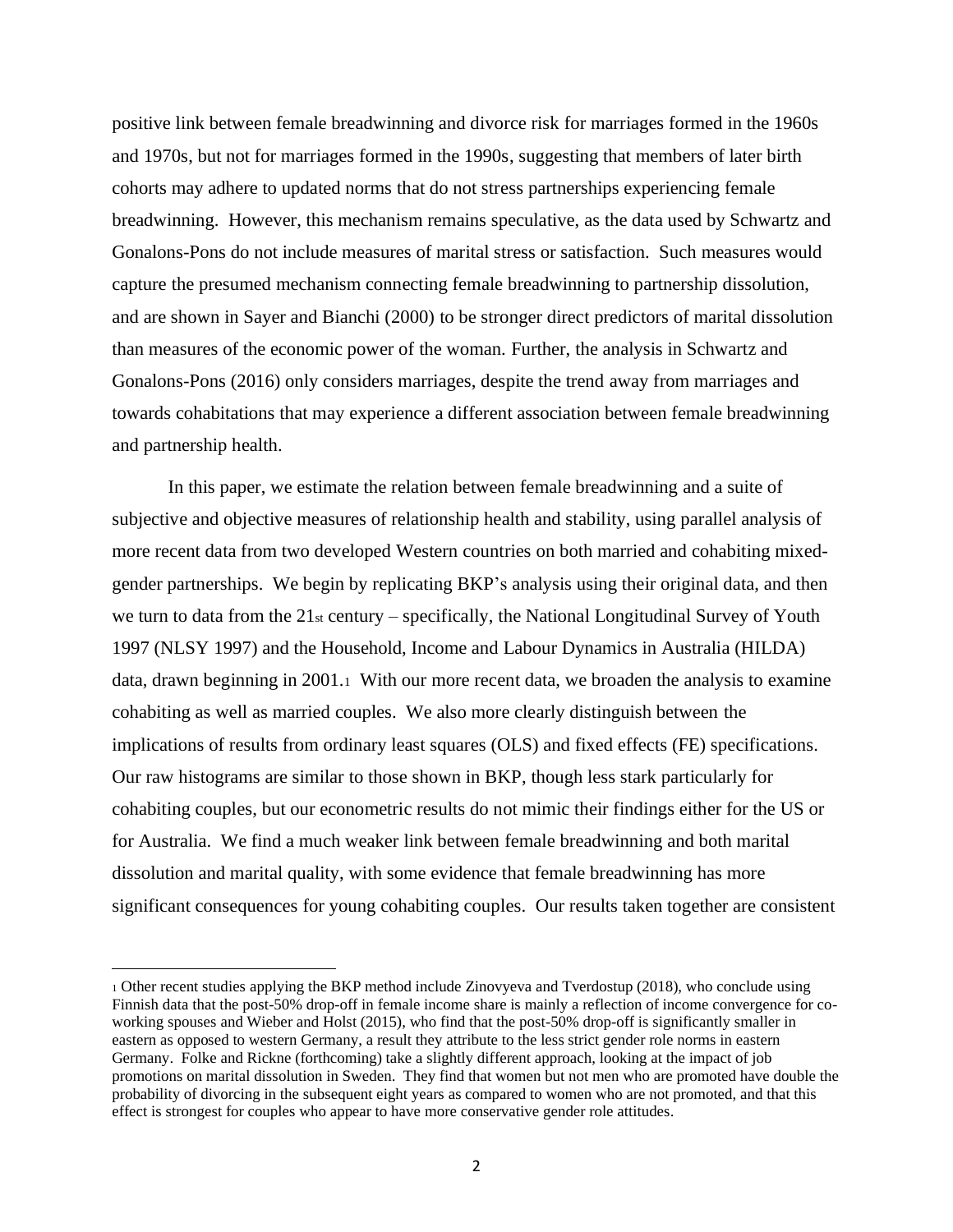positive link between female breadwinning and divorce risk for marriages formed in the 1960s and 1970s, but not for marriages formed in the 1990s, suggesting that members of later birth cohorts may adhere to updated norms that do not stress partnerships experiencing female breadwinning. However, this mechanism remains speculative, as the data used by Schwartz and Gonalons-Pons do not include measures of marital stress or satisfaction. Such measures would capture the presumed mechanism connecting female breadwinning to partnership dissolution, and are shown in Sayer and Bianchi (2000) to be stronger direct predictors of marital dissolution than measures of the economic power of the woman. Further, the analysis in Schwartz and Gonalons-Pons (2016) only considers marriages, despite the trend away from marriages and towards cohabitations that may experience a different association between female breadwinning and partnership health.

In this paper, we estimate the relation between female breadwinning and a suite of subjective and objective measures of relationship health and stability, using parallel analysis of more recent data from two developed Western countries on both married and cohabiting mixedgender partnerships. We begin by replicating BKP's analysis using their original data, and then we turn to data from the  $21<sub>st</sub>$  century – specifically, the National Longitudinal Survey of Youth 1997 (NLSY 1997) and the Household, Income and Labour Dynamics in Australia (HILDA) data, drawn beginning in 2001.<sup>1</sup> With our more recent data, we broaden the analysis to examine cohabiting as well as married couples. We also more clearly distinguish between the implications of results from ordinary least squares (OLS) and fixed effects (FE) specifications. Our raw histograms are similar to those shown in BKP, though less stark particularly for cohabiting couples, but our econometric results do not mimic their findings either for the US or for Australia. We find a much weaker link between female breadwinning and both marital dissolution and marital quality, with some evidence that female breadwinning has more significant consequences for young cohabiting couples. Our results taken together are consistent

<sup>1</sup> Other recent studies applying the BKP method include Zinovyeva and Tverdostup (2018), who conclude using Finnish data that the post-50% drop-off in female income share is mainly a reflection of income convergence for coworking spouses and Wieber and Holst (2015), who find that the post-50% drop-off is significantly smaller in eastern as opposed to western Germany, a result they attribute to the less strict gender role norms in eastern Germany. Folke and Rickne (forthcoming) take a slightly different approach, looking at the impact of job promotions on marital dissolution in Sweden. They find that women but not men who are promoted have double the probability of divorcing in the subsequent eight years as compared to women who are not promoted, and that this effect is strongest for couples who appear to have more conservative gender role attitudes.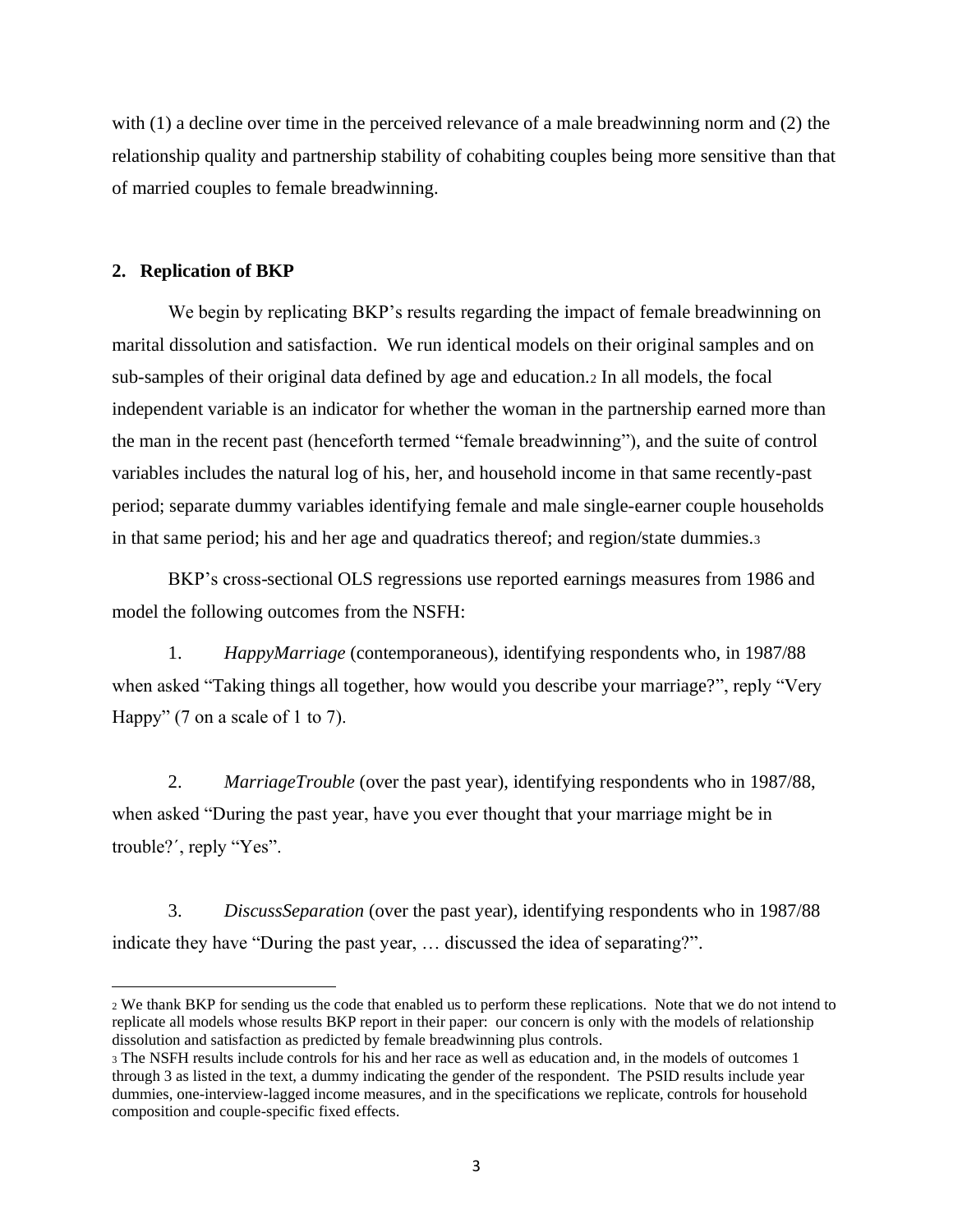with (1) a decline over time in the perceived relevance of a male breadwinning norm and (2) the relationship quality and partnership stability of cohabiting couples being more sensitive than that of married couples to female breadwinning.

## **2. Replication of BKP**

We begin by replicating BKP's results regarding the impact of female breadwinning on marital dissolution and satisfaction. We run identical models on their original samples and on sub-samples of their original data defined by age and education.<sup>2</sup> In all models, the focal independent variable is an indicator for whether the woman in the partnership earned more than the man in the recent past (henceforth termed "female breadwinning"), and the suite of control variables includes the natural log of his, her, and household income in that same recently-past period; separate dummy variables identifying female and male single-earner couple households in that same period; his and her age and quadratics thereof; and region/state dummies.<sup>3</sup>

BKP's cross-sectional OLS regressions use reported earnings measures from 1986 and model the following outcomes from the NSFH:

1. *HappyMarriage* (contemporaneous), identifying respondents who, in 1987/88 when asked "Taking things all together, how would you describe your marriage?", reply "Very Happy" (7 on a scale of 1 to 7).

2. *MarriageTrouble* (over the past year), identifying respondents who in 1987/88, when asked "During the past year, have you ever thought that your marriage might be in trouble?´, reply "Yes".

3. *DiscussSeparation* (over the past year)*,* identifying respondents who in 1987/88 indicate they have "During the past year, … discussed the idea of separating?".

<sup>2</sup> We thank BKP for sending us the code that enabled us to perform these replications. Note that we do not intend to replicate all models whose results BKP report in their paper: our concern is only with the models of relationship dissolution and satisfaction as predicted by female breadwinning plus controls.

<sup>3</sup> The NSFH results include controls for his and her race as well as education and, in the models of outcomes 1 through 3 as listed in the text, a dummy indicating the gender of the respondent. The PSID results include year dummies, one-interview-lagged income measures, and in the specifications we replicate, controls for household composition and couple-specific fixed effects.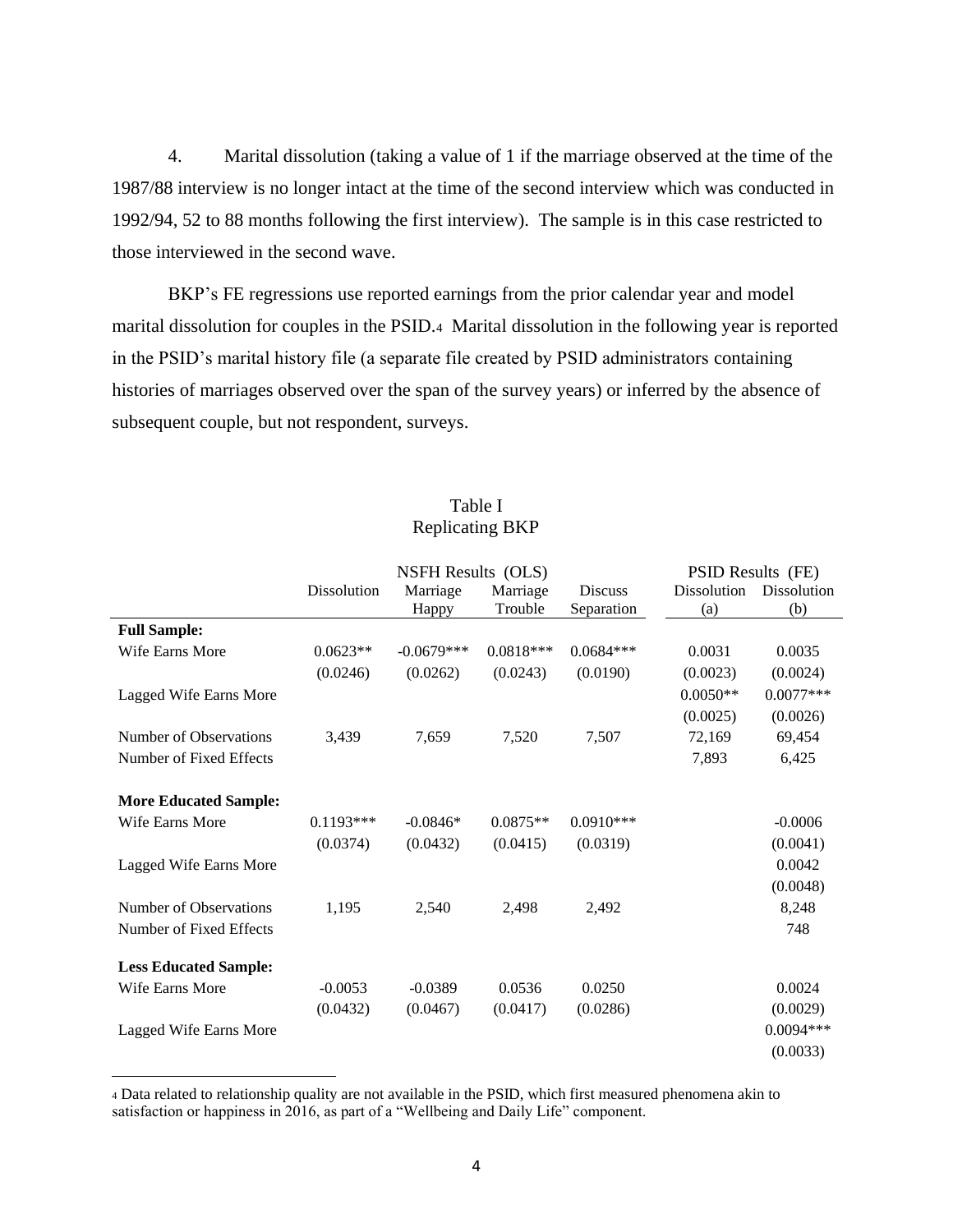4. Marital dissolution (taking a value of 1 if the marriage observed at the time of the 1987/88 interview is no longer intact at the time of the second interview which was conducted in 1992/94, 52 to 88 months following the first interview). The sample is in this case restricted to those interviewed in the second wave.

BKP's FE regressions use reported earnings from the prior calendar year and model marital dissolution for couples in the PSID.4 Marital dissolution in the following year is reported in the PSID's marital history file (a separate file created by PSID administrators containing histories of marriages observed over the span of the survey years) or inferred by the absence of subsequent couple, but not respondent, surveys.

|                              |             | <b>NSFH Results (OLS)</b> |             |                | PSID Results (FE) |             |
|------------------------------|-------------|---------------------------|-------------|----------------|-------------------|-------------|
|                              | Dissolution | Marriage                  | Marriage    | <b>Discuss</b> | Dissolution       | Dissolution |
|                              |             | Happy                     | Trouble     | Separation     | (a)               | (b)         |
| <b>Full Sample:</b>          |             |                           |             |                |                   |             |
| Wife Earns More              | $0.0623**$  | $-0.0679***$              | $0.0818***$ | $0.0684***$    | 0.0031            | 0.0035      |
|                              | (0.0246)    | (0.0262)                  | (0.0243)    | (0.0190)       | (0.0023)          | (0.0024)    |
| Lagged Wife Earns More       |             |                           |             |                | $0.0050**$        | $0.0077***$ |
|                              |             |                           |             |                | (0.0025)          | (0.0026)    |
| Number of Observations       | 3,439       | 7,659                     | 7,520       | 7,507          | 72,169            | 69,454      |
| Number of Fixed Effects      |             |                           |             |                | 7,893             | 6,425       |
|                              |             |                           |             |                |                   |             |
| <b>More Educated Sample:</b> |             |                           |             |                |                   |             |
| Wife Earns More              | $0.1193***$ | $-0.0846*$                | $0.0875**$  | $0.0910***$    |                   | $-0.0006$   |
|                              | (0.0374)    | (0.0432)                  | (0.0415)    | (0.0319)       |                   | (0.0041)    |
| Lagged Wife Earns More       |             |                           |             |                |                   | 0.0042      |
|                              |             |                           |             |                |                   | (0.0048)    |
| Number of Observations       | 1,195       | 2,540                     | 2,498       | 2,492          |                   | 8,248       |
| Number of Fixed Effects      |             |                           |             |                |                   | 748         |
| <b>Less Educated Sample:</b> |             |                           |             |                |                   |             |
| Wife Earns More              | $-0.0053$   | $-0.0389$                 | 0.0536      | 0.0250         |                   | 0.0024      |
|                              | (0.0432)    | (0.0467)                  | (0.0417)    | (0.0286)       |                   | (0.0029)    |
| Lagged Wife Earns More       |             |                           |             |                |                   | $0.0094***$ |
|                              |             |                           |             |                |                   | (0.0033)    |
|                              |             |                           |             |                |                   |             |

## Table I Replicating BKP

<sup>4</sup> Data related to relationship quality are not available in the PSID, which first measured phenomena akin to satisfaction or happiness in 2016, as part of a "Wellbeing and Daily Life" component.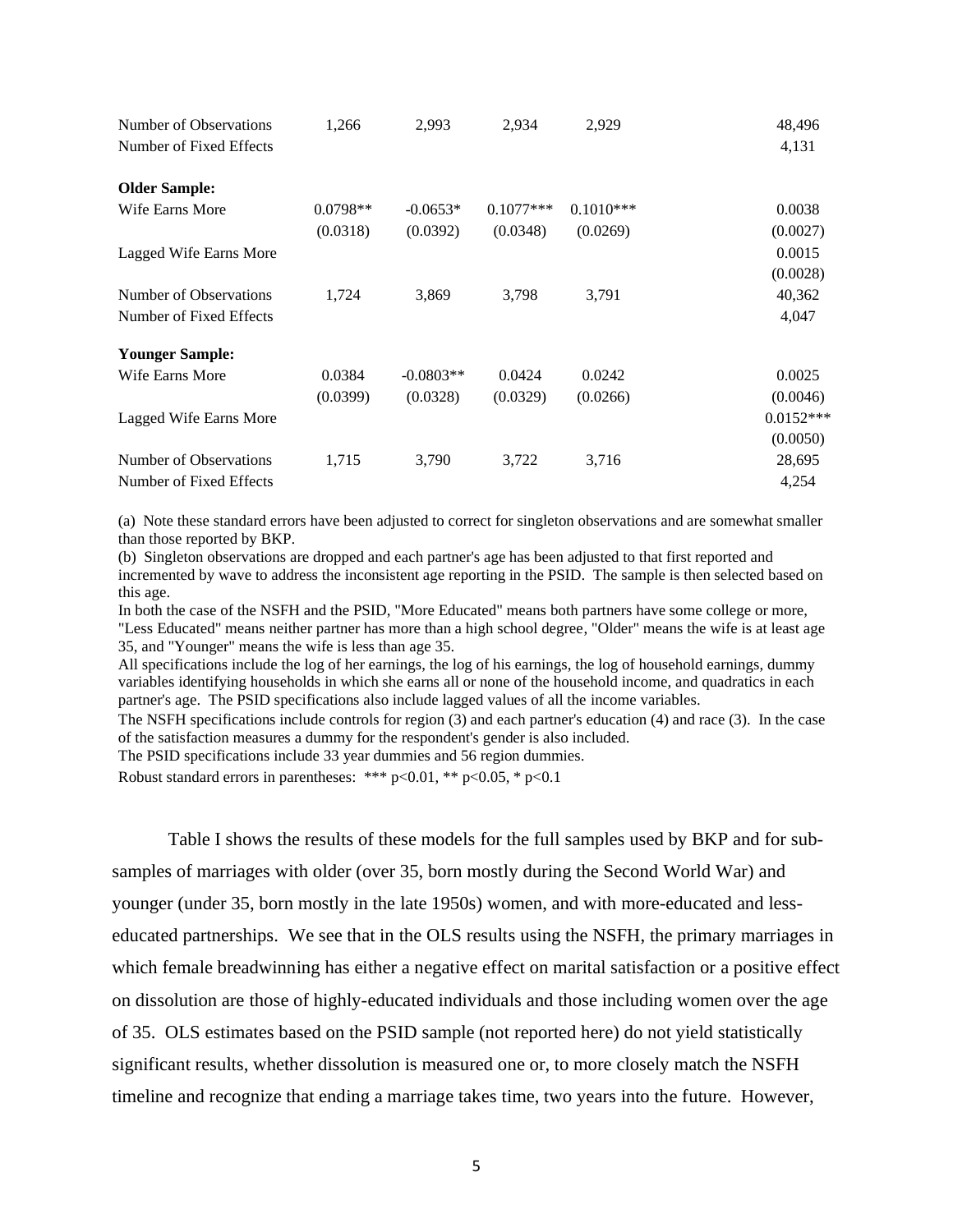| Number of Observations<br>Number of Fixed Effects | 1,266      | 2,993       | 2,934       | 2,929       | 48,496<br>4,131 |
|---------------------------------------------------|------------|-------------|-------------|-------------|-----------------|
| <b>Older Sample:</b>                              |            |             |             |             |                 |
| Wife Earns More                                   | $0.0798**$ | $-0.0653*$  | $0.1077***$ | $0.1010***$ | 0.0038          |
|                                                   | (0.0318)   | (0.0392)    | (0.0348)    | (0.0269)    | (0.0027)        |
| Lagged Wife Earns More                            |            |             |             |             | 0.0015          |
|                                                   |            |             |             |             | (0.0028)        |
| Number of Observations                            | 1,724      | 3,869       | 3,798       | 3,791       | 40,362          |
| Number of Fixed Effects                           |            |             |             |             | 4,047           |
| <b>Younger Sample:</b>                            |            |             |             |             |                 |
| Wife Earns More                                   | 0.0384     | $-0.0803**$ | 0.0424      | 0.0242      | 0.0025          |
|                                                   | (0.0399)   | (0.0328)    | (0.0329)    | (0.0266)    | (0.0046)        |
| Lagged Wife Earns More                            |            |             |             |             | $0.0152***$     |
|                                                   |            |             |             |             | (0.0050)        |
| Number of Observations                            | 1,715      | 3,790       | 3,722       | 3,716       | 28,695          |
| Number of Fixed Effects                           |            |             |             |             | 4,254           |

(a) Note these standard errors have been adjusted to correct for singleton observations and are somewhat smaller than those reported by BKP.

(b) Singleton observations are dropped and each partner's age has been adjusted to that first reported and incremented by wave to address the inconsistent age reporting in the PSID. The sample is then selected based on this age.

In both the case of the NSFH and the PSID, "More Educated" means both partners have some college or more, "Less Educated" means neither partner has more than a high school degree, "Older" means the wife is at least age 35, and "Younger" means the wife is less than age 35.

All specifications include the log of her earnings, the log of his earnings, the log of household earnings, dummy variables identifying households in which she earns all or none of the household income, and quadratics in each partner's age. The PSID specifications also include lagged values of all the income variables.

The NSFH specifications include controls for region (3) and each partner's education (4) and race (3). In the case of the satisfaction measures a dummy for the respondent's gender is also included.

The PSID specifications include 33 year dummies and 56 region dummies.

Robust standard errors in parentheses: \*\*\*  $p<0.01$ , \*\*  $p<0.05$ , \*  $p<0.1$ 

Table I shows the results of these models for the full samples used by BKP and for subsamples of marriages with older (over 35, born mostly during the Second World War) and younger (under 35, born mostly in the late 1950s) women, and with more-educated and lesseducated partnerships. We see that in the OLS results using the NSFH, the primary marriages in which female breadwinning has either a negative effect on marital satisfaction or a positive effect on dissolution are those of highly-educated individuals and those including women over the age of 35. OLS estimates based on the PSID sample (not reported here) do not yield statistically significant results, whether dissolution is measured one or, to more closely match the NSFH timeline and recognize that ending a marriage takes time, two years into the future. However,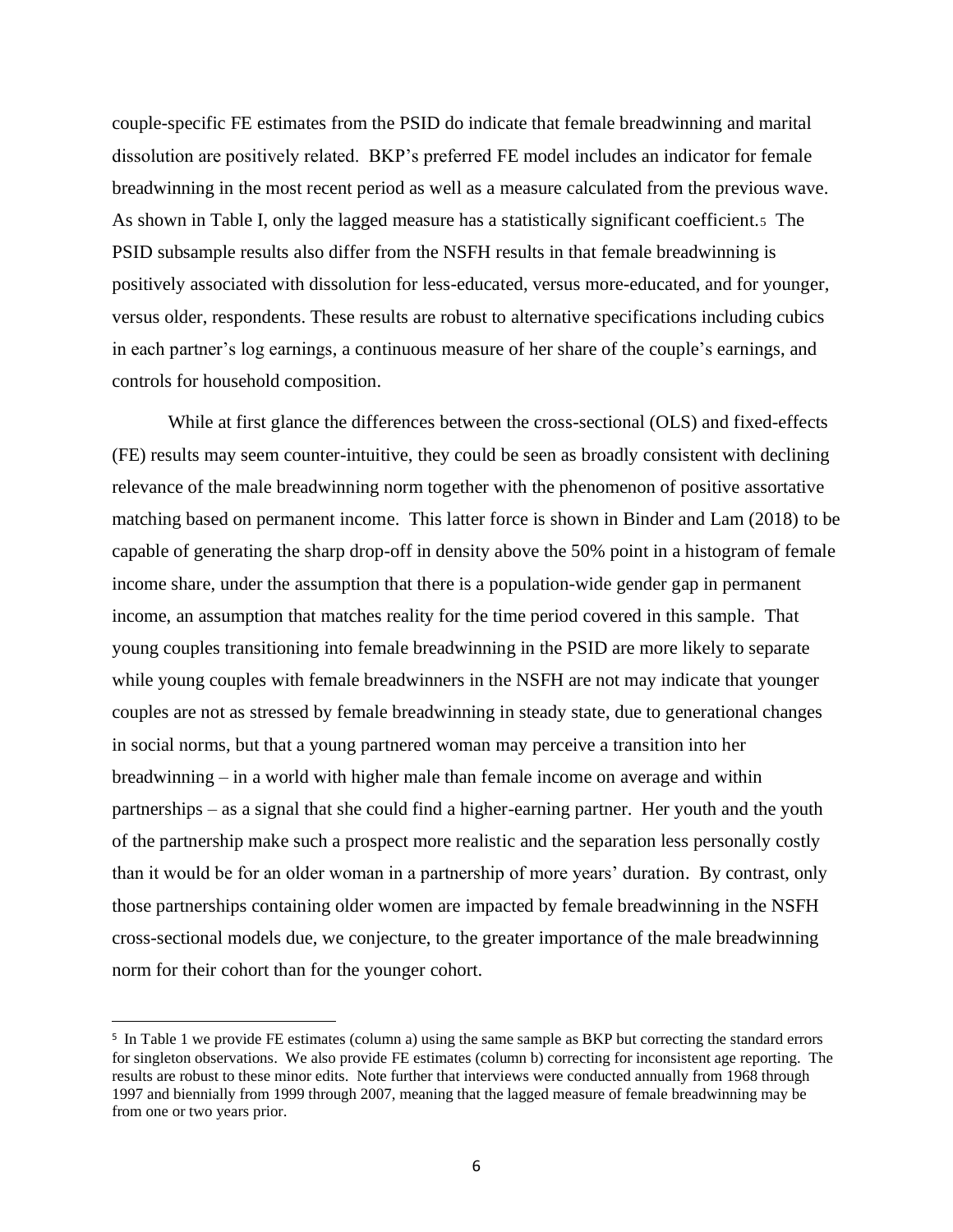couple-specific FE estimates from the PSID do indicate that female breadwinning and marital dissolution are positively related. BKP's preferred FE model includes an indicator for female breadwinning in the most recent period as well as a measure calculated from the previous wave. As shown in Table I, only the lagged measure has a statistically significant coefficient.5 The PSID subsample results also differ from the NSFH results in that female breadwinning is positively associated with dissolution for less-educated, versus more-educated, and for younger, versus older, respondents. These results are robust to alternative specifications including cubics in each partner's log earnings, a continuous measure of her share of the couple's earnings, and controls for household composition.

While at first glance the differences between the cross-sectional (OLS) and fixed-effects (FE) results may seem counter-intuitive, they could be seen as broadly consistent with declining relevance of the male breadwinning norm together with the phenomenon of positive assortative matching based on permanent income. This latter force is shown in Binder and Lam (2018) to be capable of generating the sharp drop-off in density above the 50% point in a histogram of female income share, under the assumption that there is a population-wide gender gap in permanent income, an assumption that matches reality for the time period covered in this sample. That young couples transitioning into female breadwinning in the PSID are more likely to separate while young couples with female breadwinners in the NSFH are not may indicate that younger couples are not as stressed by female breadwinning in steady state, due to generational changes in social norms, but that a young partnered woman may perceive a transition into her breadwinning – in a world with higher male than female income on average and within partnerships – as a signal that she could find a higher-earning partner. Her youth and the youth of the partnership make such a prospect more realistic and the separation less personally costly than it would be for an older woman in a partnership of more years' duration. By contrast, only those partnerships containing older women are impacted by female breadwinning in the NSFH cross-sectional models due, we conjecture, to the greater importance of the male breadwinning norm for their cohort than for the younger cohort.

<sup>&</sup>lt;sup>5</sup> In Table 1 we provide FE estimates (column a) using the same sample as BKP but correcting the standard errors for singleton observations. We also provide FE estimates (column b) correcting for inconsistent age reporting. The results are robust to these minor edits. Note further that interviews were conducted annually from 1968 through 1997 and biennially from 1999 through 2007, meaning that the lagged measure of female breadwinning may be from one or two years prior.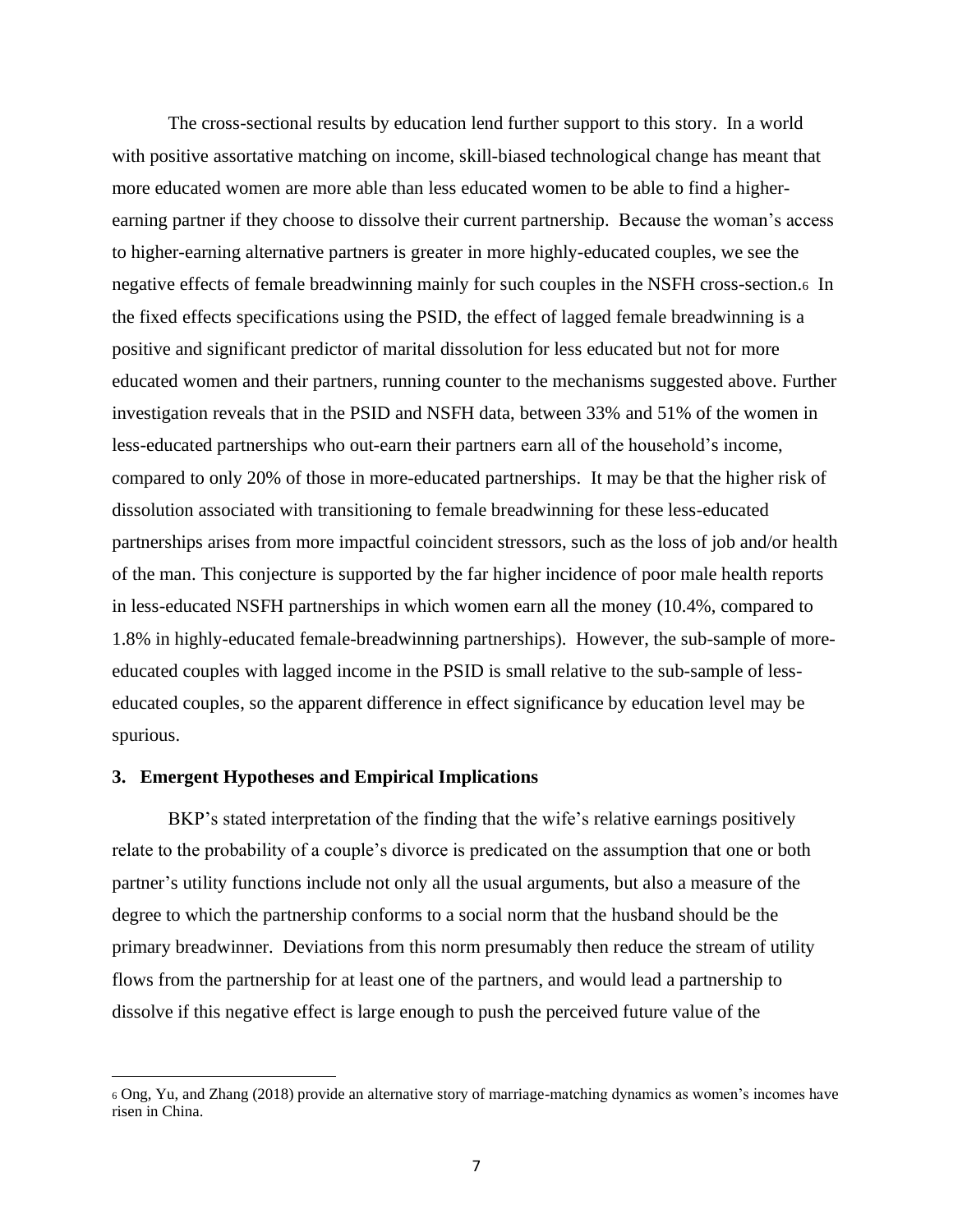The cross-sectional results by education lend further support to this story. In a world with positive assortative matching on income, skill-biased technological change has meant that more educated women are more able than less educated women to be able to find a higherearning partner if they choose to dissolve their current partnership. Because the woman's access to higher-earning alternative partners is greater in more highly-educated couples, we see the negative effects of female breadwinning mainly for such couples in the NSFH cross-section.6 In the fixed effects specifications using the PSID, the effect of lagged female breadwinning is a positive and significant predictor of marital dissolution for less educated but not for more educated women and their partners, running counter to the mechanisms suggested above. Further investigation reveals that in the PSID and NSFH data, between 33% and 51% of the women in less-educated partnerships who out-earn their partners earn all of the household's income, compared to only 20% of those in more-educated partnerships. It may be that the higher risk of dissolution associated with transitioning to female breadwinning for these less-educated partnerships arises from more impactful coincident stressors, such as the loss of job and/or health of the man. This conjecture is supported by the far higher incidence of poor male health reports in less-educated NSFH partnerships in which women earn all the money (10.4%, compared to 1.8% in highly-educated female-breadwinning partnerships). However, the sub-sample of moreeducated couples with lagged income in the PSID is small relative to the sub-sample of lesseducated couples, so the apparent difference in effect significance by education level may be spurious.

### **3. Emergent Hypotheses and Empirical Implications**

BKP's stated interpretation of the finding that the wife's relative earnings positively relate to the probability of a couple's divorce is predicated on the assumption that one or both partner's utility functions include not only all the usual arguments, but also a measure of the degree to which the partnership conforms to a social norm that the husband should be the primary breadwinner. Deviations from this norm presumably then reduce the stream of utility flows from the partnership for at least one of the partners, and would lead a partnership to dissolve if this negative effect is large enough to push the perceived future value of the

<sup>6</sup> Ong, Yu, and Zhang (2018) provide an alternative story of marriage-matching dynamics as women's incomes have risen in China.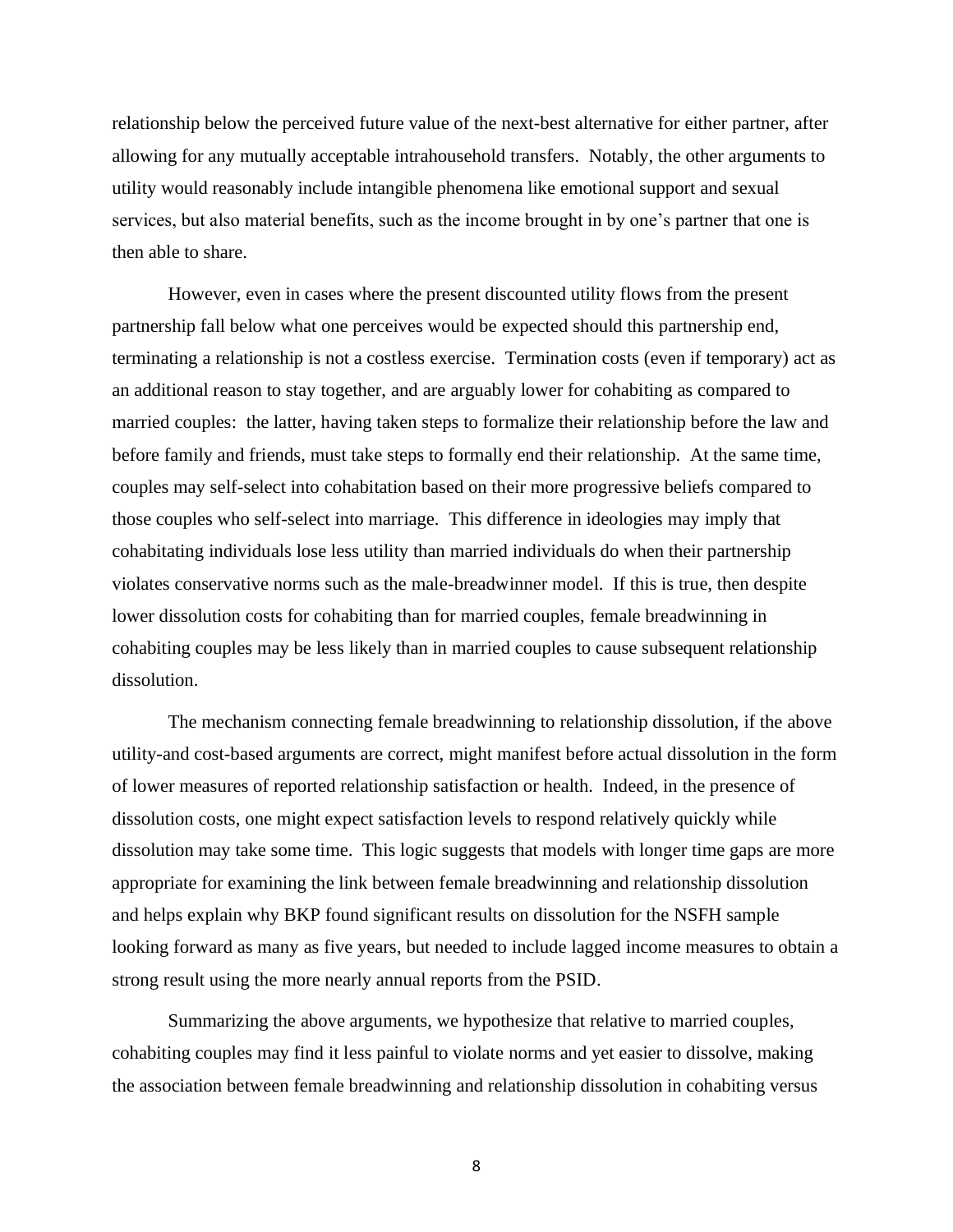relationship below the perceived future value of the next-best alternative for either partner, after allowing for any mutually acceptable intrahousehold transfers. Notably, the other arguments to utility would reasonably include intangible phenomena like emotional support and sexual services, but also material benefits, such as the income brought in by one's partner that one is then able to share.

However, even in cases where the present discounted utility flows from the present partnership fall below what one perceives would be expected should this partnership end, terminating a relationship is not a costless exercise. Termination costs (even if temporary) act as an additional reason to stay together, and are arguably lower for cohabiting as compared to married couples: the latter, having taken steps to formalize their relationship before the law and before family and friends, must take steps to formally end their relationship. At the same time, couples may self-select into cohabitation based on their more progressive beliefs compared to those couples who self-select into marriage. This difference in ideologies may imply that cohabitating individuals lose less utility than married individuals do when their partnership violates conservative norms such as the male-breadwinner model. If this is true, then despite lower dissolution costs for cohabiting than for married couples, female breadwinning in cohabiting couples may be less likely than in married couples to cause subsequent relationship dissolution.

The mechanism connecting female breadwinning to relationship dissolution, if the above utility-and cost-based arguments are correct, might manifest before actual dissolution in the form of lower measures of reported relationship satisfaction or health. Indeed, in the presence of dissolution costs, one might expect satisfaction levels to respond relatively quickly while dissolution may take some time. This logic suggests that models with longer time gaps are more appropriate for examining the link between female breadwinning and relationship dissolution and helps explain why BKP found significant results on dissolution for the NSFH sample looking forward as many as five years, but needed to include lagged income measures to obtain a strong result using the more nearly annual reports from the PSID.

Summarizing the above arguments, we hypothesize that relative to married couples, cohabiting couples may find it less painful to violate norms and yet easier to dissolve, making the association between female breadwinning and relationship dissolution in cohabiting versus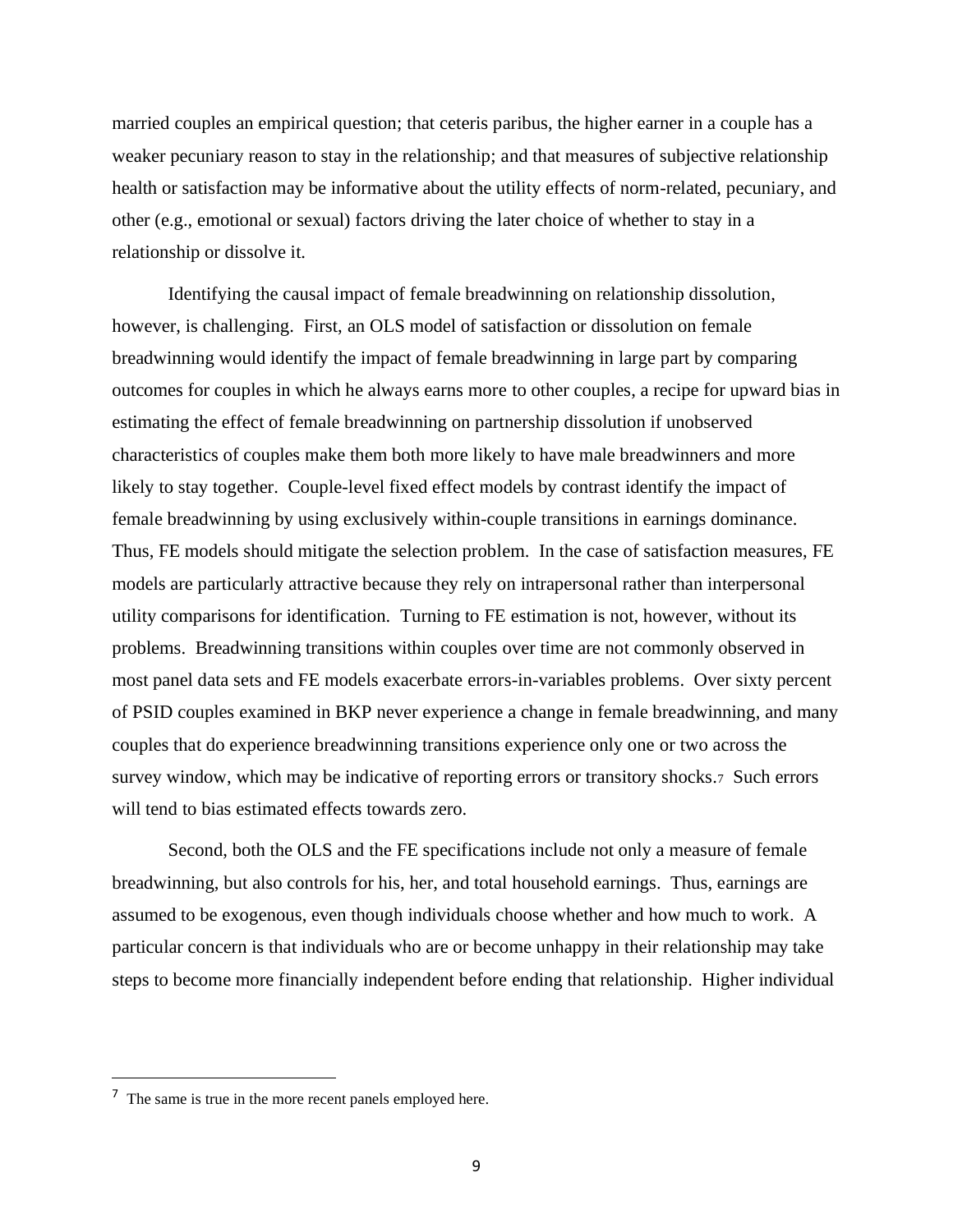married couples an empirical question; that ceteris paribus, the higher earner in a couple has a weaker pecuniary reason to stay in the relationship; and that measures of subjective relationship health or satisfaction may be informative about the utility effects of norm-related, pecuniary, and other (e.g., emotional or sexual) factors driving the later choice of whether to stay in a relationship or dissolve it.

Identifying the causal impact of female breadwinning on relationship dissolution, however, is challenging. First, an OLS model of satisfaction or dissolution on female breadwinning would identify the impact of female breadwinning in large part by comparing outcomes for couples in which he always earns more to other couples, a recipe for upward bias in estimating the effect of female breadwinning on partnership dissolution if unobserved characteristics of couples make them both more likely to have male breadwinners and more likely to stay together. Couple-level fixed effect models by contrast identify the impact of female breadwinning by using exclusively within-couple transitions in earnings dominance. Thus, FE models should mitigate the selection problem. In the case of satisfaction measures, FE models are particularly attractive because they rely on intrapersonal rather than interpersonal utility comparisons for identification. Turning to FE estimation is not, however, without its problems. Breadwinning transitions within couples over time are not commonly observed in most panel data sets and FE models exacerbate errors-in-variables problems. Over sixty percent of PSID couples examined in BKP never experience a change in female breadwinning, and many couples that do experience breadwinning transitions experience only one or two across the survey window, which may be indicative of reporting errors or transitory shocks.<sup>7</sup> Such errors will tend to bias estimated effects towards zero.

Second, both the OLS and the FE specifications include not only a measure of female breadwinning, but also controls for his, her, and total household earnings. Thus, earnings are assumed to be exogenous, even though individuals choose whether and how much to work. A particular concern is that individuals who are or become unhappy in their relationship may take steps to become more financially independent before ending that relationship. Higher individual

<sup>&</sup>lt;sup>7</sup> The same is true in the more recent panels employed here.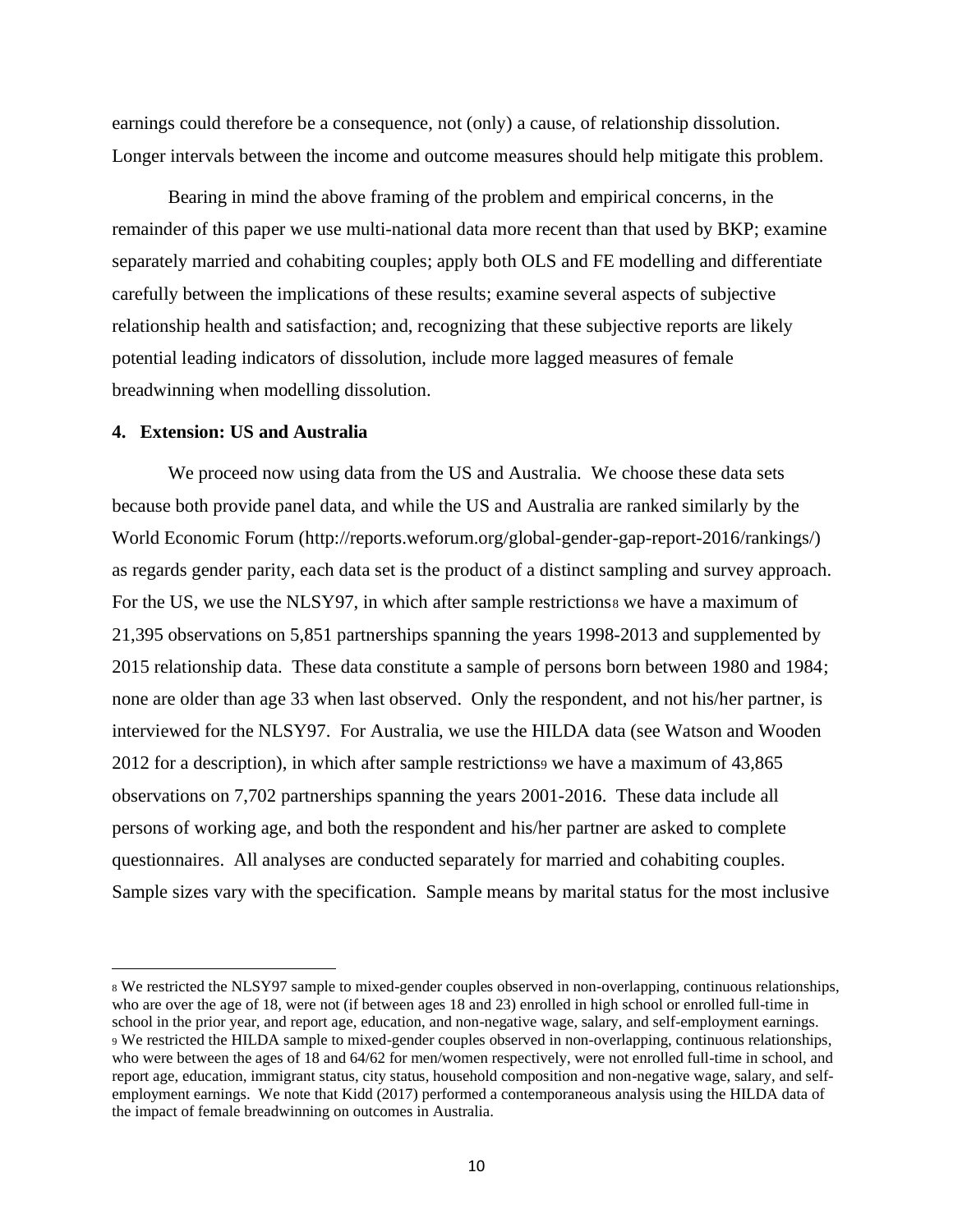earnings could therefore be a consequence, not (only) a cause, of relationship dissolution. Longer intervals between the income and outcome measures should help mitigate this problem.

Bearing in mind the above framing of the problem and empirical concerns, in the remainder of this paper we use multi-national data more recent than that used by BKP; examine separately married and cohabiting couples; apply both OLS and FE modelling and differentiate carefully between the implications of these results; examine several aspects of subjective relationship health and satisfaction; and, recognizing that these subjective reports are likely potential leading indicators of dissolution, include more lagged measures of female breadwinning when modelling dissolution.

## **4. Extension: US and Australia**

We proceed now using data from the US and Australia. We choose these data sets because both provide panel data, and while the US and Australia are ranked similarly by the World Economic Forum [\(http://reports.weforum.org/global-gender-gap-report-2016/rankings/\)](http://reports.weforum.org/global-gender-gap-report-2016/rankings/) as regards gender parity, each data set is the product of a distinct sampling and survey approach. For the US, we use the NLSY97, in which after sample restrictions we have a maximum of 21,395 observations on 5,851 partnerships spanning the years 1998-2013 and supplemented by 2015 relationship data. These data constitute a sample of persons born between 1980 and 1984; none are older than age 33 when last observed. Only the respondent, and not his/her partner, is interviewed for the NLSY97. For Australia, we use the HILDA data (see Watson and Wooden 2012 for a description), in which after sample restrictions<sup>9</sup> we have a maximum of 43,865 observations on 7,702 partnerships spanning the years 2001-2016. These data include all persons of working age, and both the respondent and his/her partner are asked to complete questionnaires. All analyses are conducted separately for married and cohabiting couples. Sample sizes vary with the specification. Sample means by marital status for the most inclusive

<sup>8</sup> We restricted the NLSY97 sample to mixed-gender couples observed in non-overlapping, continuous relationships, who are over the age of 18, were not (if between ages 18 and 23) enrolled in high school or enrolled full-time in school in the prior year, and report age, education, and non-negative wage, salary, and self-employment earnings. <sup>9</sup> We restricted the HILDA sample to mixed-gender couples observed in non-overlapping, continuous relationships, who were between the ages of 18 and 64/62 for men/women respectively, were not enrolled full-time in school, and report age, education, immigrant status, city status, household composition and non-negative wage, salary, and selfemployment earnings. We note that Kidd (2017) performed a contemporaneous analysis using the HILDA data of the impact of female breadwinning on outcomes in Australia.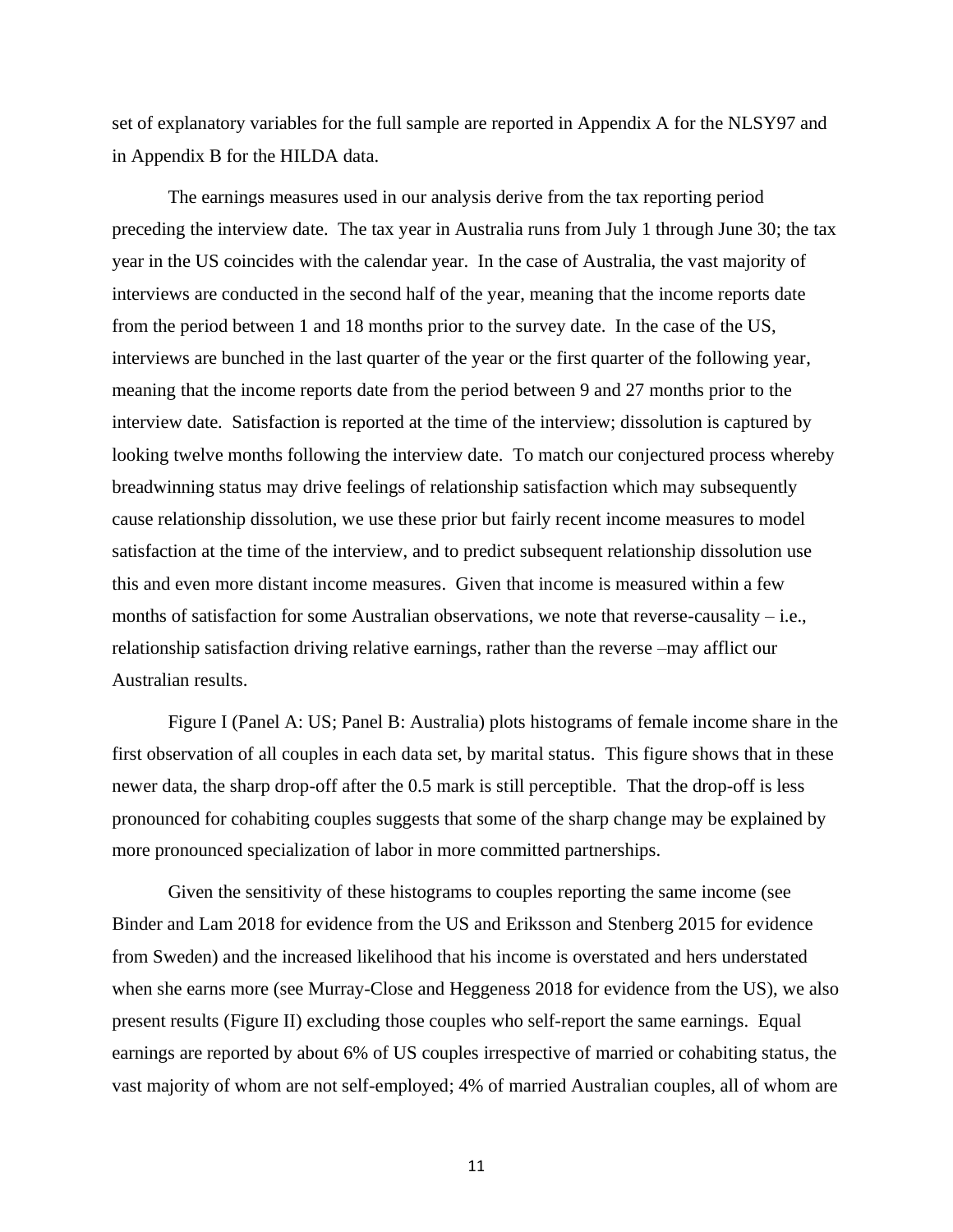set of explanatory variables for the full sample are reported in Appendix A for the NLSY97 and in Appendix B for the HILDA data.

The earnings measures used in our analysis derive from the tax reporting period preceding the interview date. The tax year in Australia runs from July 1 through June 30; the tax year in the US coincides with the calendar year. In the case of Australia, the vast majority of interviews are conducted in the second half of the year, meaning that the income reports date from the period between 1 and 18 months prior to the survey date. In the case of the US, interviews are bunched in the last quarter of the year or the first quarter of the following year, meaning that the income reports date from the period between 9 and 27 months prior to the interview date. Satisfaction is reported at the time of the interview; dissolution is captured by looking twelve months following the interview date. To match our conjectured process whereby breadwinning status may drive feelings of relationship satisfaction which may subsequently cause relationship dissolution, we use these prior but fairly recent income measures to model satisfaction at the time of the interview, and to predict subsequent relationship dissolution use this and even more distant income measures. Given that income is measured within a few months of satisfaction for some Australian observations, we note that reverse-causality – i.e., relationship satisfaction driving relative earnings, rather than the reverse –may afflict our Australian results.

Figure I (Panel A: US; Panel B: Australia) plots histograms of female income share in the first observation of all couples in each data set, by marital status. This figure shows that in these newer data, the sharp drop-off after the 0.5 mark is still perceptible. That the drop-off is less pronounced for cohabiting couples suggests that some of the sharp change may be explained by more pronounced specialization of labor in more committed partnerships.

Given the sensitivity of these histograms to couples reporting the same income (see Binder and Lam 2018 for evidence from the US and Eriksson and Stenberg 2015 for evidence from Sweden) and the increased likelihood that his income is overstated and hers understated when she earns more (see Murray-Close and Heggeness 2018 for evidence from the US), we also present results (Figure II) excluding those couples who self-report the same earnings. Equal earnings are reported by about 6% of US couples irrespective of married or cohabiting status, the vast majority of whom are not self-employed; 4% of married Australian couples, all of whom are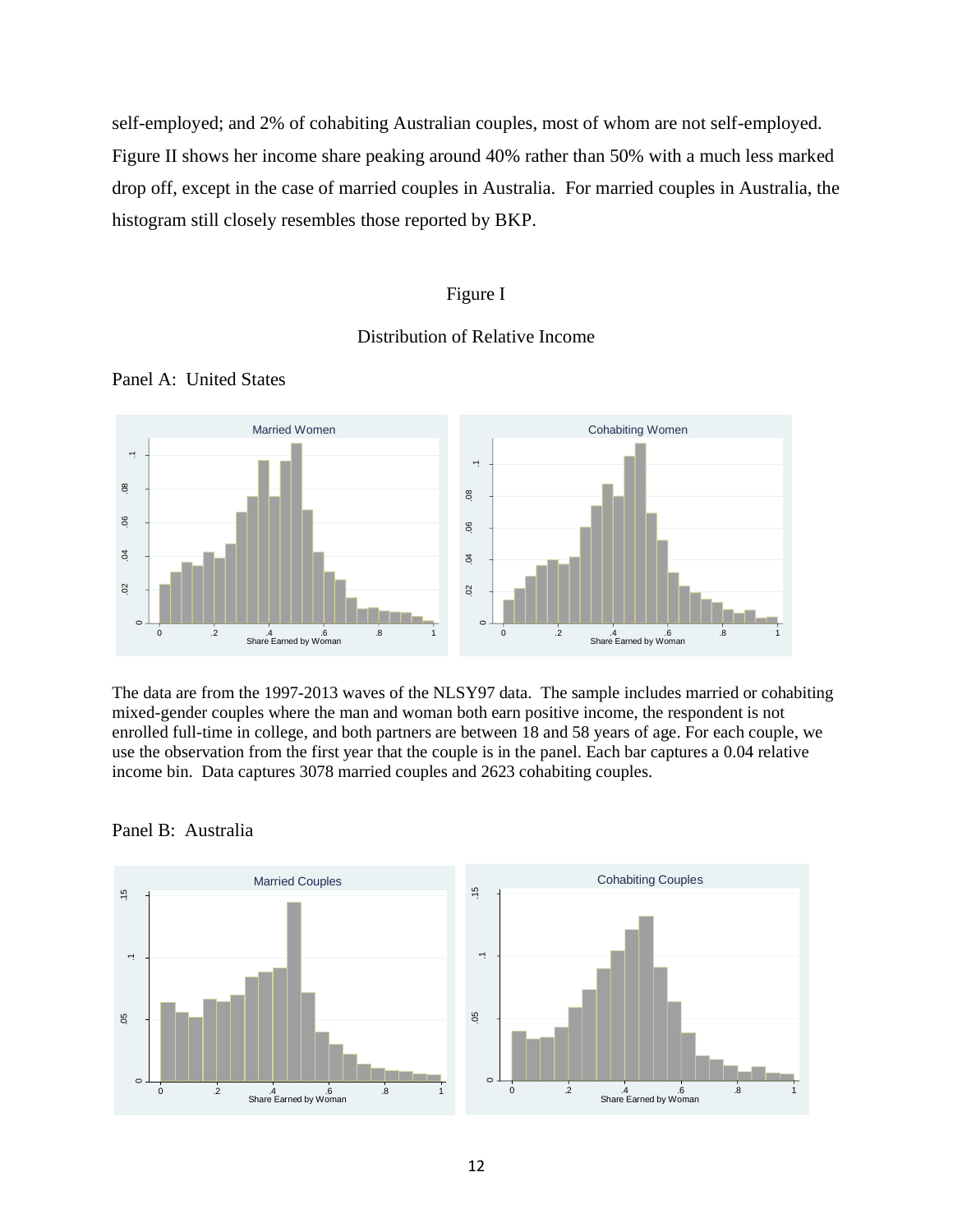self-employed; and 2% of cohabiting Australian couples, most of whom are not self-employed. Figure II shows her income share peaking around 40% rather than 50% with a much less marked drop off, except in the case of married couples in Australia. For married couples in Australia, the histogram still closely resembles those reported by BKP.

## Figure I

## Distribution of Relative Income



Panel A: United States

The data are from the 1997-2013 waves of the NLSY97 data. The sample includes married or cohabiting mixed-gender couples where the man and woman both earn positive income, the respondent is not enrolled full-time in college, and both partners are between 18 and 58 years of age. For each couple, we use the observation from the first year that the couple is in the panel. Each bar captures a 0.04 relative income bin. Data captures 3078 married couples and 2623 cohabiting couples.



Panel B: Australia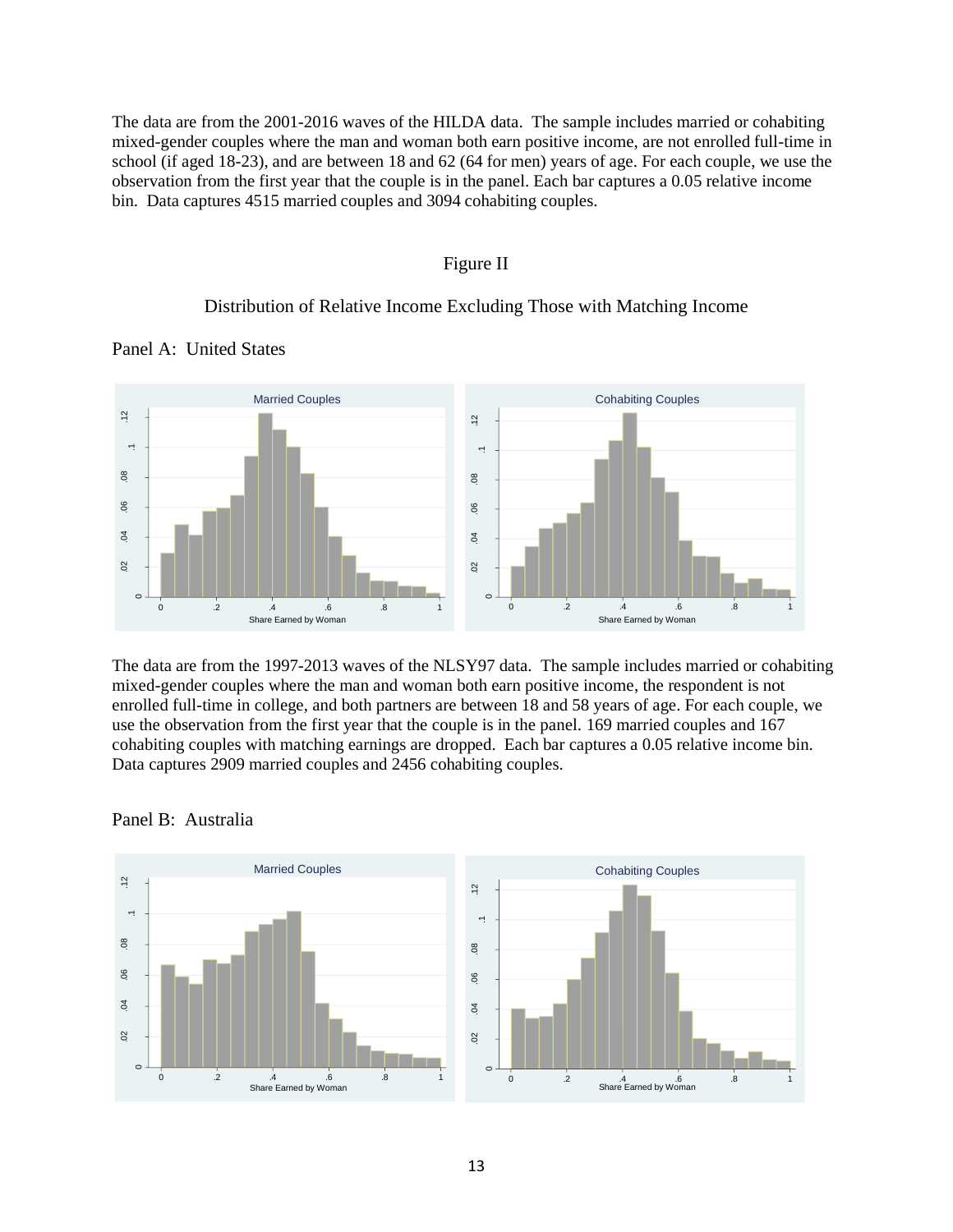The data are from the 2001-2016 waves of the HILDA data. The sample includes married or cohabiting mixed-gender couples where the man and woman both earn positive income, are not enrolled full-time in school (if aged 18-23), and are between 18 and 62 (64 for men) years of age. For each couple, we use the observation from the first year that the couple is in the panel. Each bar captures a 0.05 relative income bin. Data captures 4515 married couples and 3094 cohabiting couples.

### Figure II

## Distribution of Relative Income Excluding Those with Matching Income



Panel A: United States

The data are from the 1997-2013 waves of the NLSY97 data. The sample includes married or cohabiting mixed-gender couples where the man and woman both earn positive income, the respondent is not enrolled full-time in college, and both partners are between 18 and 58 years of age. For each couple, we use the observation from the first year that the couple is in the panel. 169 married couples and 167 cohabiting couples with matching earnings are dropped. Each bar captures a 0.05 relative income bin. Data captures 2909 married couples and 2456 cohabiting couples.



#### Panel B: Australia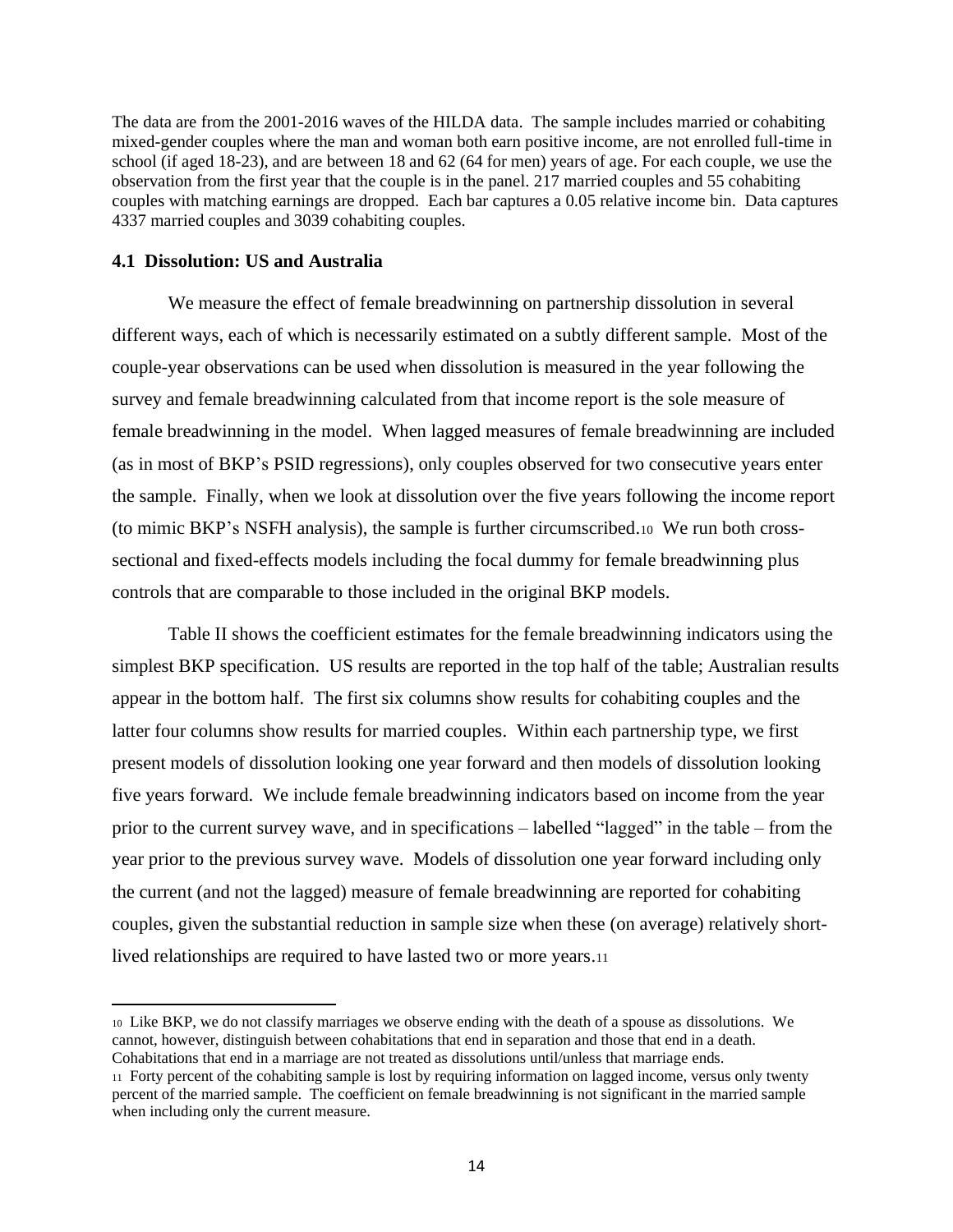The data are from the 2001-2016 waves of the HILDA data. The sample includes married or cohabiting mixed-gender couples where the man and woman both earn positive income, are not enrolled full-time in school (if aged 18-23), and are between 18 and 62 (64 for men) years of age. For each couple, we use the observation from the first year that the couple is in the panel. 217 married couples and 55 cohabiting couples with matching earnings are dropped. Each bar captures a 0.05 relative income bin. Data captures 4337 married couples and 3039 cohabiting couples.

## **4.1 Dissolution: US and Australia**

We measure the effect of female breadwinning on partnership dissolution in several different ways, each of which is necessarily estimated on a subtly different sample. Most of the couple-year observations can be used when dissolution is measured in the year following the survey and female breadwinning calculated from that income report is the sole measure of female breadwinning in the model. When lagged measures of female breadwinning are included (as in most of BKP's PSID regressions), only couples observed for two consecutive years enter the sample. Finally, when we look at dissolution over the five years following the income report (to mimic BKP's NSFH analysis), the sample is further circumscribed.10 We run both crosssectional and fixed-effects models including the focal dummy for female breadwinning plus controls that are comparable to those included in the original BKP models.

Table II shows the coefficient estimates for the female breadwinning indicators using the simplest BKP specification. US results are reported in the top half of the table; Australian results appear in the bottom half. The first six columns show results for cohabiting couples and the latter four columns show results for married couples. Within each partnership type, we first present models of dissolution looking one year forward and then models of dissolution looking five years forward. We include female breadwinning indicators based on income from the year prior to the current survey wave, and in specifications – labelled "lagged" in the table – from the year prior to the previous survey wave. Models of dissolution one year forward including only the current (and not the lagged) measure of female breadwinning are reported for cohabiting couples, given the substantial reduction in sample size when these (on average) relatively shortlived relationships are required to have lasted two or more years.<sup>11</sup>

<sup>10</sup> Like BKP, we do not classify marriages we observe ending with the death of a spouse as dissolutions. We cannot, however, distinguish between cohabitations that end in separation and those that end in a death. Cohabitations that end in a marriage are not treated as dissolutions until/unless that marriage ends.

<sup>11</sup> Forty percent of the cohabiting sample is lost by requiring information on lagged income, versus only twenty percent of the married sample. The coefficient on female breadwinning is not significant in the married sample when including only the current measure.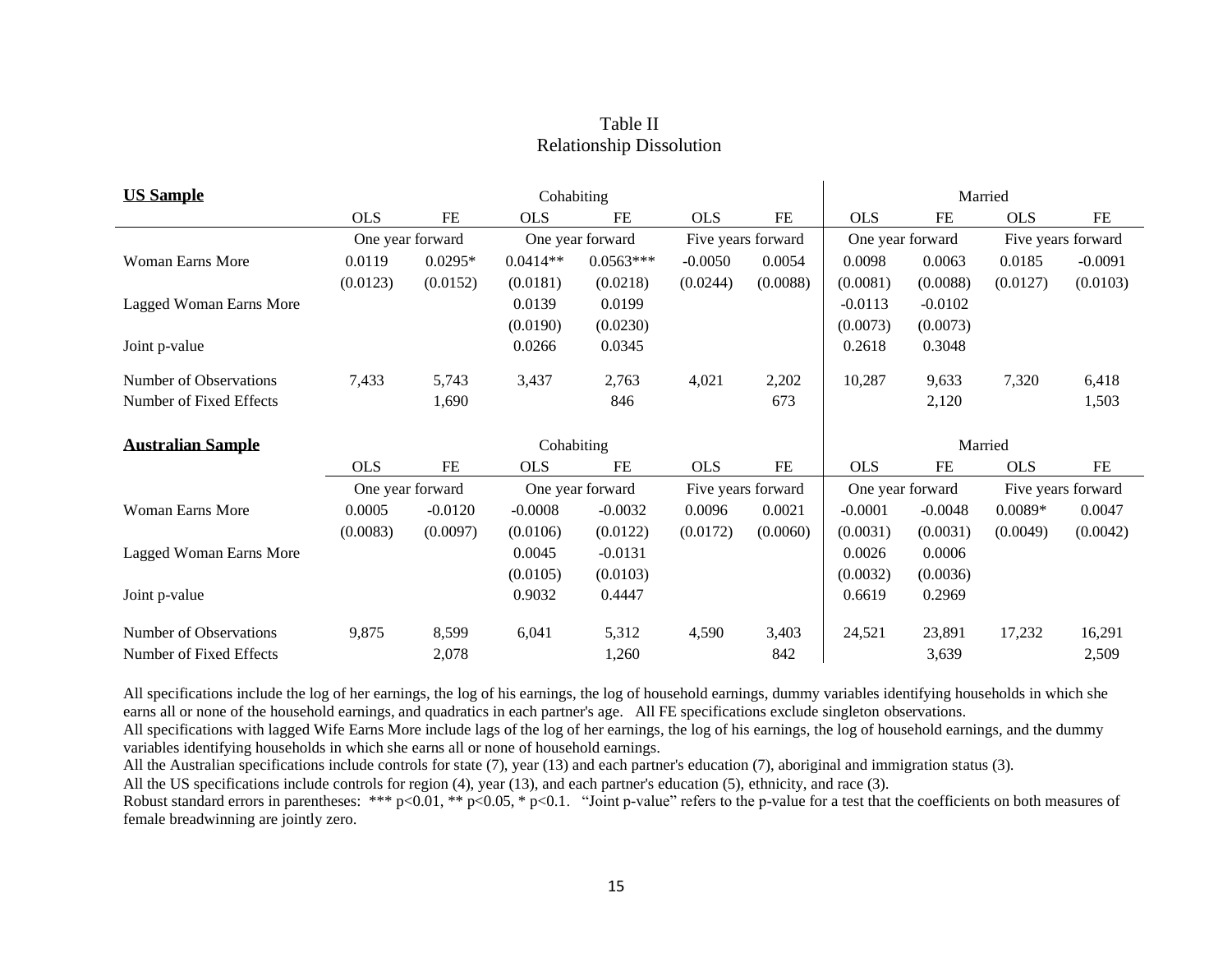## Table II Relationship Dissolution

| <b>US Sample</b>         |                  |           | Cohabiting |                  |                    |          |                  | Married   |                    |                    |
|--------------------------|------------------|-----------|------------|------------------|--------------------|----------|------------------|-----------|--------------------|--------------------|
|                          | <b>OLS</b>       | <b>FE</b> | <b>OLS</b> | FE               | <b>OLS</b>         | FE       | <b>OLS</b>       | <b>FE</b> | <b>OLS</b>         | <b>FE</b>          |
|                          | One year forward |           |            | One year forward | Five years forward |          | One year forward |           | Five years forward |                    |
| <b>Woman Earns More</b>  | 0.0119           | $0.0295*$ | $0.0414**$ | $0.0563***$      | $-0.0050$          | 0.0054   | 0.0098           | 0.0063    | 0.0185             | $-0.0091$          |
|                          | (0.0123)         | (0.0152)  | (0.0181)   | (0.0218)         | (0.0244)           | (0.0088) | (0.0081)         | (0.0088)  | (0.0127)           | (0.0103)           |
| Lagged Woman Earns More  |                  |           | 0.0139     | 0.0199           |                    |          | $-0.0113$        | $-0.0102$ |                    |                    |
|                          |                  |           | (0.0190)   | (0.0230)         |                    |          | (0.0073)         | (0.0073)  |                    |                    |
| Joint p-value            |                  |           | 0.0266     | 0.0345           |                    |          | 0.2618           | 0.3048    |                    |                    |
| Number of Observations   | 7,433            | 5,743     | 3,437      | 2,763            | 4,021              | 2,202    | 10,287           | 9,633     | 7,320              | 6,418              |
| Number of Fixed Effects  |                  | 1,690     |            | 846              |                    | 673      |                  | 2,120     |                    | 1,503              |
|                          |                  |           |            |                  |                    |          |                  |           |                    |                    |
|                          |                  |           |            |                  |                    |          |                  |           |                    |                    |
| <b>Australian Sample</b> |                  |           | Cohabiting |                  |                    |          |                  | Married   |                    |                    |
|                          | <b>OLS</b>       | FE        | <b>OLS</b> | FE               | <b>OLS</b>         | FE       | <b>OLS</b>       | FE        | <b>OLS</b>         | FE                 |
|                          | One year forward |           |            | One year forward | Five years forward |          | One year forward |           |                    | Five years forward |
| <b>Woman Earns More</b>  | 0.0005           | $-0.0120$ | $-0.0008$  | $-0.0032$        | 0.0096             | 0.0021   | $-0.0001$        | $-0.0048$ | $0.0089*$          | 0.0047             |
|                          | (0.0083)         | (0.0097)  | (0.0106)   | (0.0122)         | (0.0172)           | (0.0060) | (0.0031)         | (0.0031)  | (0.0049)           | (0.0042)           |
| Lagged Woman Earns More  |                  |           | 0.0045     | $-0.0131$        |                    |          | 0.0026           | 0.0006    |                    |                    |
|                          |                  |           | (0.0105)   | (0.0103)         |                    |          | (0.0032)         | (0.0036)  |                    |                    |
| Joint p-value            |                  |           | 0.9032     | 0.4447           |                    |          | 0.6619           | 0.2969    |                    |                    |
| Number of Observations   | 9,875            | 8,599     | 6,041      | 5,312            | 4,590              | 3,403    | 24,521           | 23,891    | 17,232             | 16,291             |

All specifications include the log of her earnings, the log of his earnings, the log of household earnings, dummy variables identifying households in which she earns all or none of the household earnings, and quadratics in each partner's age. All FE specifications exclude singleton observations.

All specifications with lagged Wife Earns More include lags of the log of her earnings, the log of his earnings, the log of household earnings, and the dummy variables identifying households in which she earns all or none of household earnings.

All the Australian specifications include controls for state (7), year (13) and each partner's education (7), aboriginal and immigration status (3).

All the US specifications include controls for region (4), year (13), and each partner's education (5), ethnicity, and race (3).

Robust standard errors in parentheses: \*\*\* p<0.01, \*\* p<0.05, \* p<0.05, \* p<0.1. "Joint p-value" refers to the p-value for a test that the coefficients on both measures of female breadwinning are jointly zero.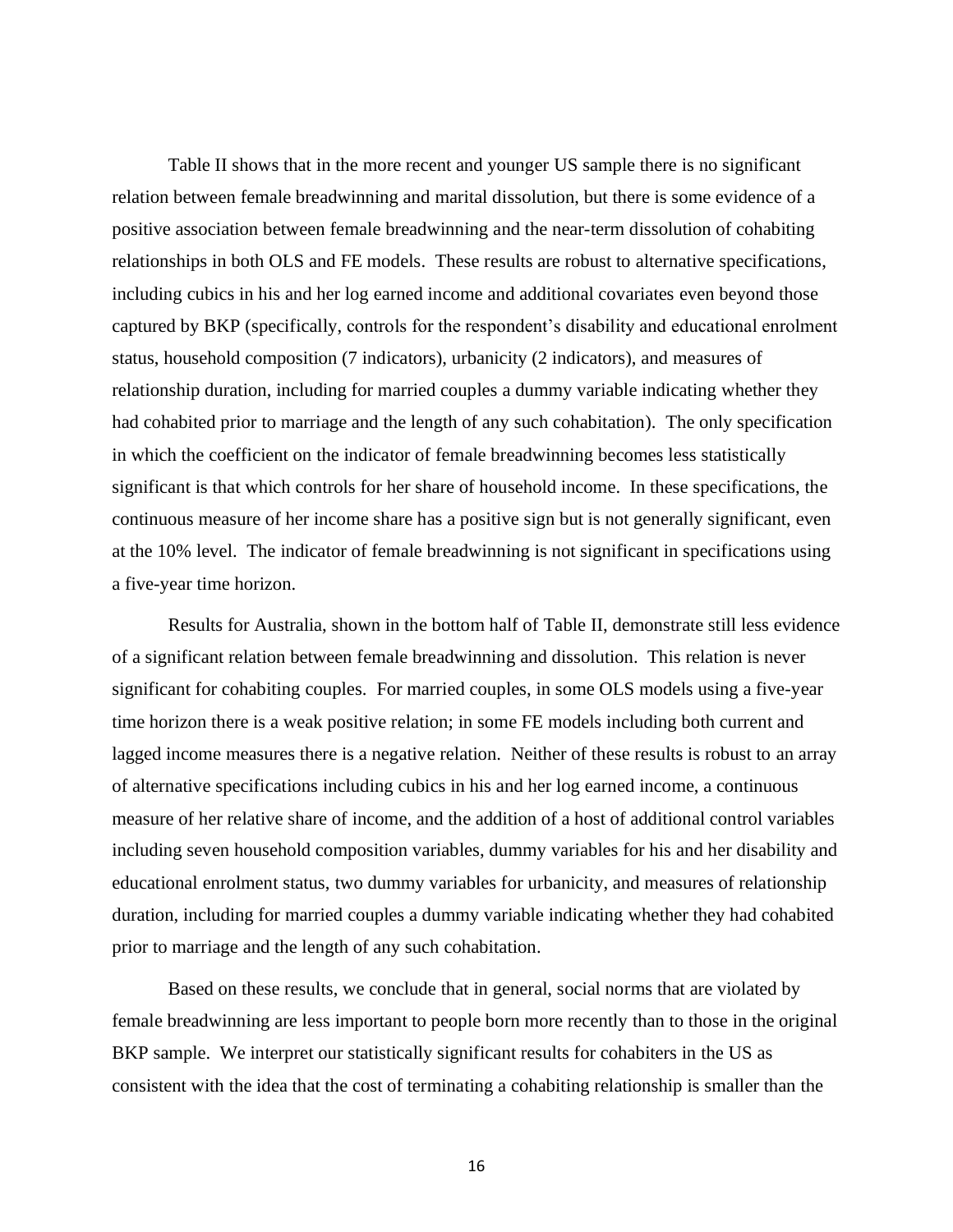Table II shows that in the more recent and younger US sample there is no significant relation between female breadwinning and marital dissolution, but there is some evidence of a positive association between female breadwinning and the near-term dissolution of cohabiting relationships in both OLS and FE models. These results are robust to alternative specifications, including cubics in his and her log earned income and additional covariates even beyond those captured by BKP (specifically, controls for the respondent's disability and educational enrolment status, household composition (7 indicators), urbanicity (2 indicators), and measures of relationship duration, including for married couples a dummy variable indicating whether they had cohabited prior to marriage and the length of any such cohabitation). The only specification in which the coefficient on the indicator of female breadwinning becomes less statistically significant is that which controls for her share of household income. In these specifications, the continuous measure of her income share has a positive sign but is not generally significant, even at the 10% level. The indicator of female breadwinning is not significant in specifications using a five-year time horizon.

Results for Australia, shown in the bottom half of Table II, demonstrate still less evidence of a significant relation between female breadwinning and dissolution. This relation is never significant for cohabiting couples. For married couples, in some OLS models using a five-year time horizon there is a weak positive relation; in some FE models including both current and lagged income measures there is a negative relation. Neither of these results is robust to an array of alternative specifications including cubics in his and her log earned income, a continuous measure of her relative share of income, and the addition of a host of additional control variables including seven household composition variables, dummy variables for his and her disability and educational enrolment status, two dummy variables for urbanicity, and measures of relationship duration, including for married couples a dummy variable indicating whether they had cohabited prior to marriage and the length of any such cohabitation.

Based on these results, we conclude that in general, social norms that are violated by female breadwinning are less important to people born more recently than to those in the original BKP sample. We interpret our statistically significant results for cohabiters in the US as consistent with the idea that the cost of terminating a cohabiting relationship is smaller than the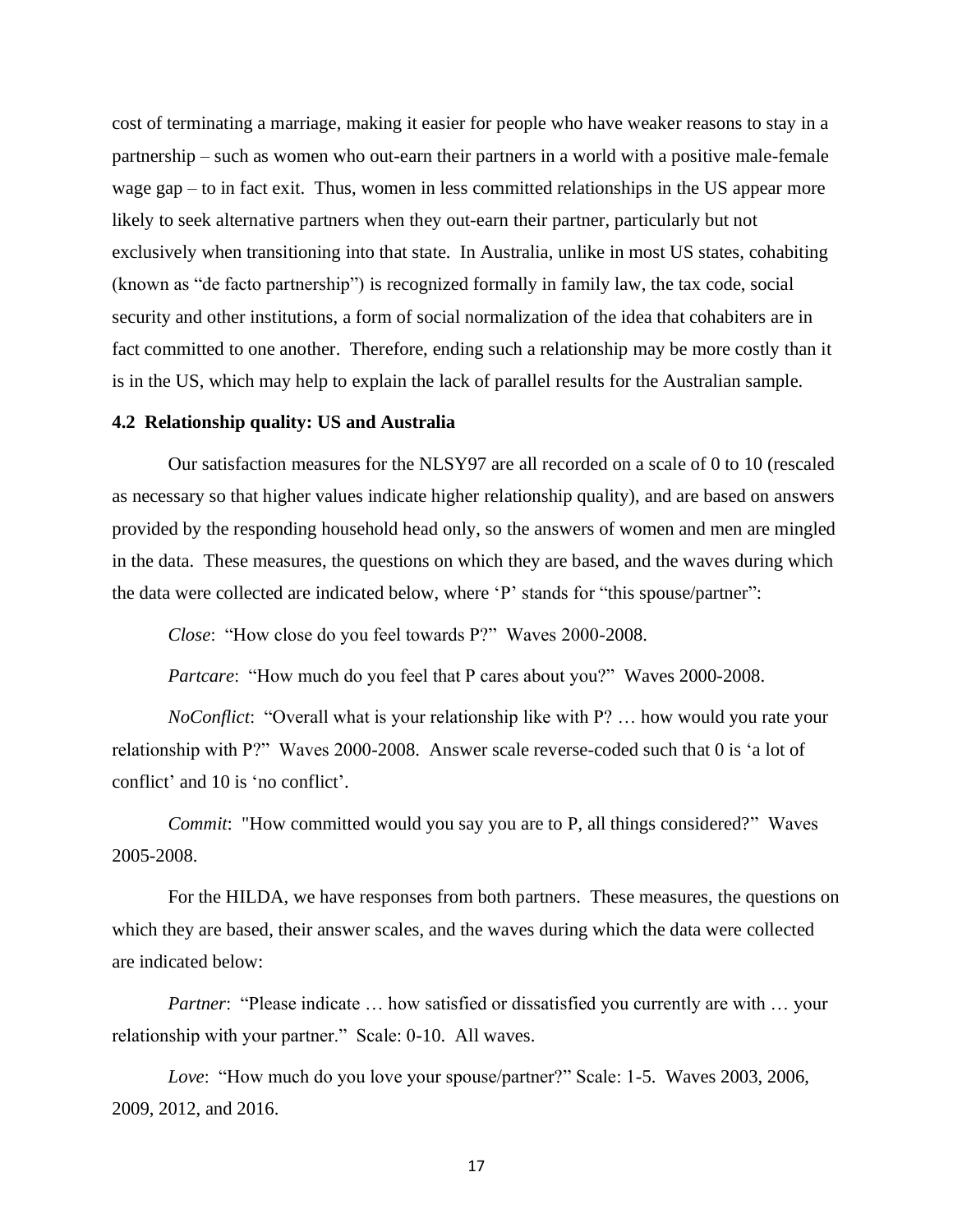cost of terminating a marriage, making it easier for people who have weaker reasons to stay in a partnership – such as women who out-earn their partners in a world with a positive male-female wage gap – to in fact exit. Thus, women in less committed relationships in the US appear more likely to seek alternative partners when they out-earn their partner, particularly but not exclusively when transitioning into that state. In Australia, unlike in most US states, cohabiting (known as "de facto partnership") is recognized formally in family law, the tax code, social security and other institutions, a form of social normalization of the idea that cohabiters are in fact committed to one another. Therefore, ending such a relationship may be more costly than it is in the US, which may help to explain the lack of parallel results for the Australian sample.

## **4.2 Relationship quality: US and Australia**

Our satisfaction measures for the NLSY97 are all recorded on a scale of 0 to 10 (rescaled as necessary so that higher values indicate higher relationship quality), and are based on answers provided by the responding household head only, so the answers of women and men are mingled in the data. These measures, the questions on which they are based, and the waves during which the data were collected are indicated below, where 'P' stands for "this spouse/partner":

*Close*: "How close do you feel towards P?" Waves 2000-2008.

*Partcare*: "How much do you feel that P cares about you?" Waves 2000-2008.

*NoConflict*: "Overall what is your relationship like with P? … how would you rate your relationship with P?" Waves 2000-2008. Answer scale reverse-coded such that 0 is 'a lot of conflict' and 10 is 'no conflict'.

*Commit*: "How committed would you say you are to P, all things considered?" Waves 2005-2008.

For the HILDA, we have responses from both partners. These measures, the questions on which they are based, their answer scales, and the waves during which the data were collected are indicated below:

*Partner*: "Please indicate ... how satisfied or dissatisfied you currently are with ... your relationship with your partner." Scale: 0-10. All waves.

*Love*: "How much do you love your spouse/partner?" Scale: 1-5. Waves 2003, 2006, 2009, 2012, and 2016.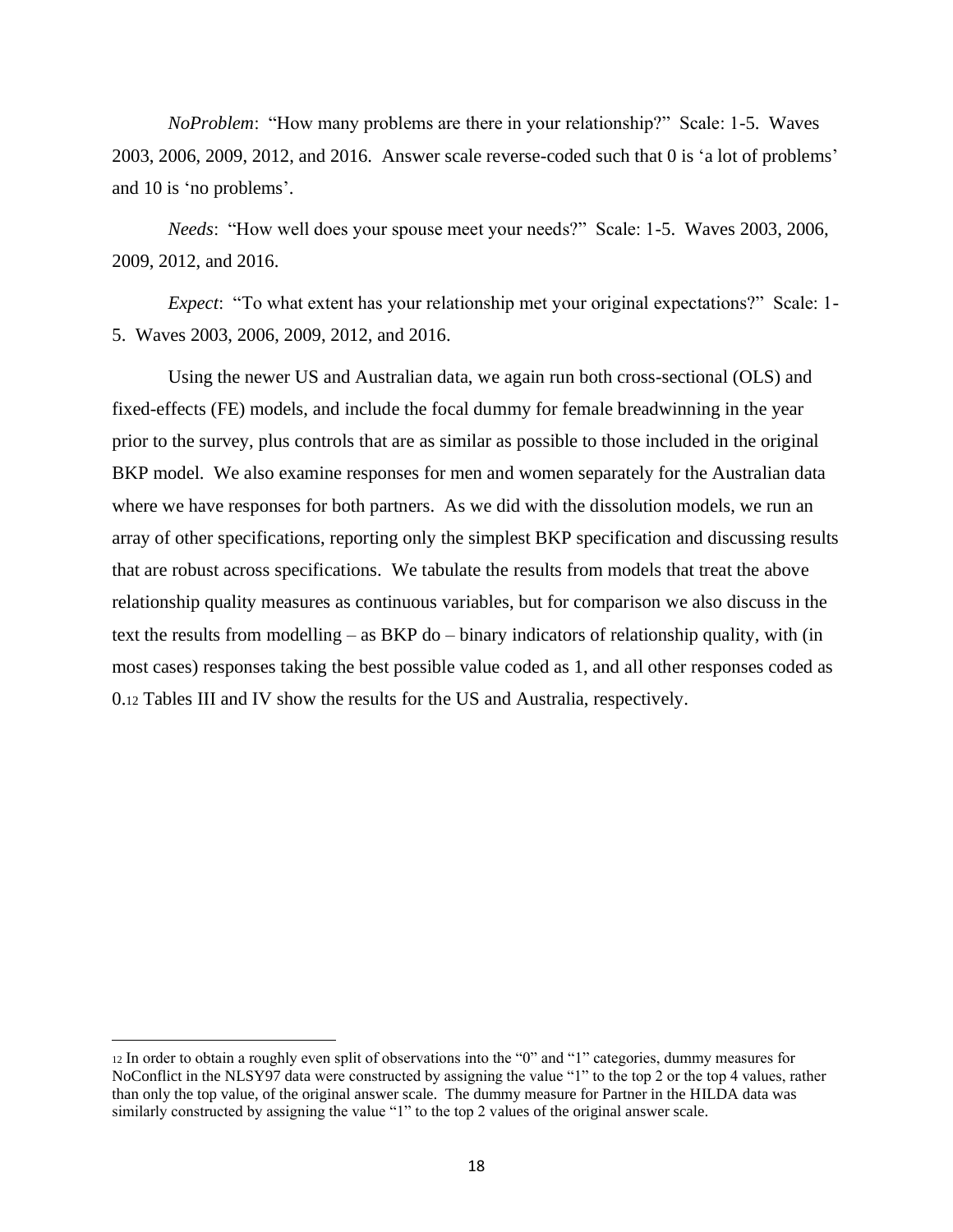*NoProblem*: "How many problems are there in your relationship?" Scale: 1-5. Waves 2003, 2006, 2009, 2012, and 2016. Answer scale reverse-coded such that 0 is 'a lot of problems' and 10 is 'no problems'.

*Needs*: "How well does your spouse meet your needs?" Scale: 1-5. Waves 2003, 2006, 2009, 2012, and 2016.

*Expect*: "To what extent has your relationship met your original expectations?" Scale: 1- 5. Waves 2003, 2006, 2009, 2012, and 2016.

Using the newer US and Australian data, we again run both cross-sectional (OLS) and fixed-effects (FE) models, and include the focal dummy for female breadwinning in the year prior to the survey, plus controls that are as similar as possible to those included in the original BKP model. We also examine responses for men and women separately for the Australian data where we have responses for both partners. As we did with the dissolution models, we run an array of other specifications, reporting only the simplest BKP specification and discussing results that are robust across specifications. We tabulate the results from models that treat the above relationship quality measures as continuous variables, but for comparison we also discuss in the text the results from modelling – as BKP do – binary indicators of relationship quality, with (in most cases) responses taking the best possible value coded as 1, and all other responses coded as 0.<sup>12</sup> Tables III and IV show the results for the US and Australia, respectively.

<sup>12</sup> In order to obtain a roughly even split of observations into the "0" and "1" categories, dummy measures for NoConflict in the NLSY97 data were constructed by assigning the value "1" to the top 2 or the top 4 values, rather than only the top value, of the original answer scale. The dummy measure for Partner in the HILDA data was similarly constructed by assigning the value "1" to the top 2 values of the original answer scale.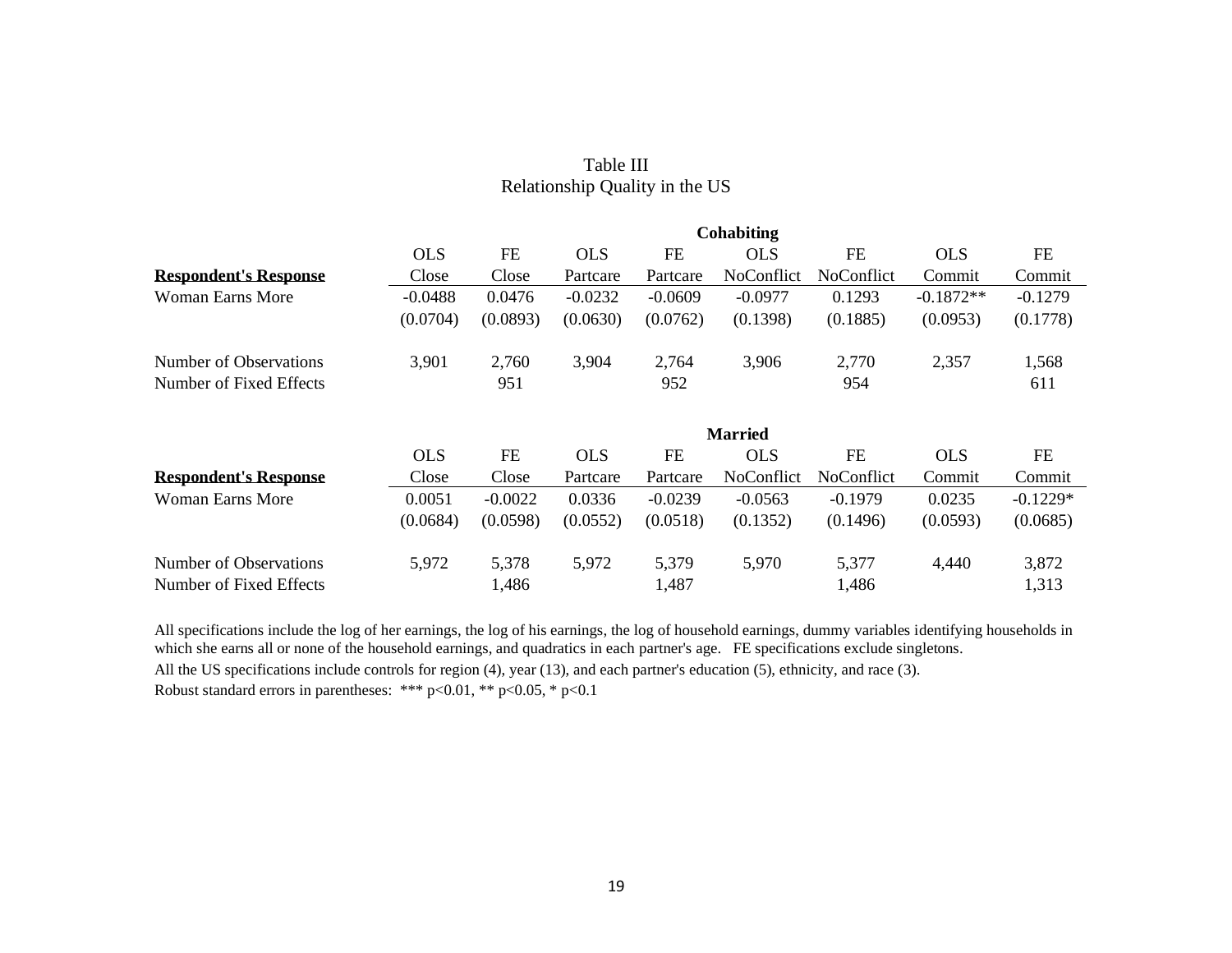|                              |            |           |            |           | Cohabiting     |                   |             |            |
|------------------------------|------------|-----------|------------|-----------|----------------|-------------------|-------------|------------|
|                              | <b>OLS</b> | <b>FE</b> | <b>OLS</b> | <b>FE</b> | <b>OLS</b>     | FE                | <b>OLS</b>  | <b>FE</b>  |
| <b>Respondent's Response</b> | Close      | Close     | Partcare   | Partcare  | NoConflict     | <b>NoConflict</b> | Commit      | Commit     |
| Woman Earns More             | $-0.0488$  | 0.0476    | $-0.0232$  | $-0.0609$ | $-0.0977$      | 0.1293            | $-0.1872**$ | $-0.1279$  |
|                              | (0.0704)   | (0.0893)  | (0.0630)   | (0.0762)  | (0.1398)       | (0.1885)          | (0.0953)    | (0.1778)   |
| Number of Observations       | 3,901      | 2,760     | 3,904      | 2,764     | 3,906          | 2,770             | 2,357       | 1,568      |
| Number of Fixed Effects      |            | 951       |            | 952       |                | 954               |             | 611        |
|                              |            |           |            |           | <b>Married</b> |                   |             |            |
|                              | <b>OLS</b> | <b>FE</b> | <b>OLS</b> | <b>FE</b> | <b>OLS</b>     | <b>FE</b>         | <b>OLS</b>  | FE         |
| <b>Respondent's Response</b> | Close      | Close     | Partcare   | Partcare  | NoConflict     | <b>NoConflict</b> | Commit      | Commit     |
| Woman Earns More             | 0.0051     | $-0.0022$ | 0.0336     | $-0.0239$ | $-0.0563$      | $-0.1979$         | 0.0235      | $-0.1229*$ |
|                              | (0.0684)   | (0.0598)  | (0.0552)   | (0.0518)  | (0.1352)       | (0.1496)          | (0.0593)    | (0.0685)   |
| Number of Observations       | 5,972      | 5,378     | 5,972      | 5,379     | 5,970          | 5,377             | 4,440       | 3,872      |
| Number of Fixed Effects      |            | 1,486     |            | 1,487     |                | 1,486             |             | 1,313      |

## Table III Relationship Quality in the US

All specifications include the log of her earnings, the log of his earnings, the log of household earnings, dummy variables identifying households in which she earns all or none of the household earnings, and quadratics in each partner's age. FE specifications exclude singletons. All the US specifications include controls for region (4), year (13), and each partner's education (5), ethnicity, and race (3).

Robust standard errors in parentheses: \*\*\* p<0.01, \*\* p<0.05, \* p<0.1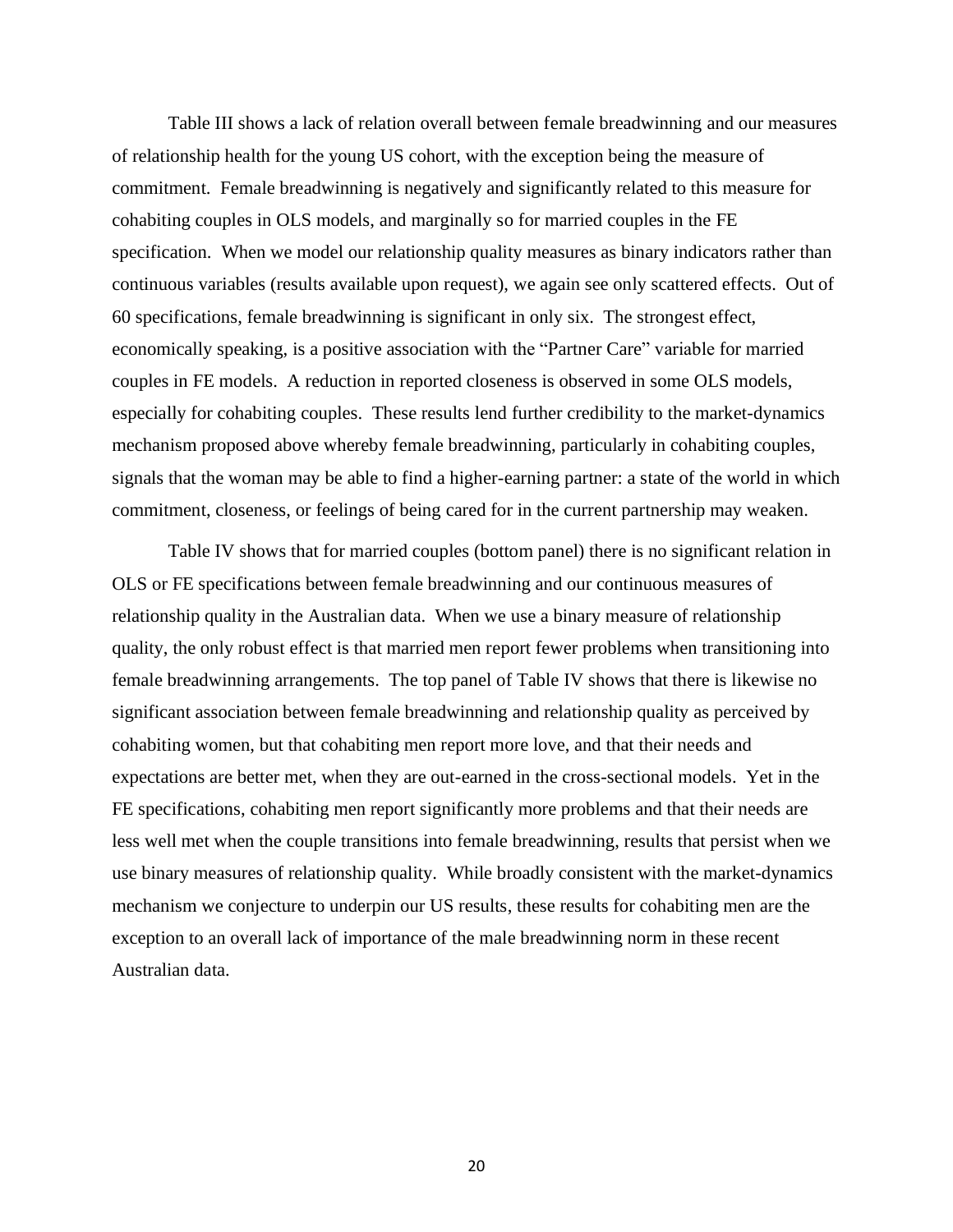Table III shows a lack of relation overall between female breadwinning and our measures of relationship health for the young US cohort, with the exception being the measure of commitment. Female breadwinning is negatively and significantly related to this measure for cohabiting couples in OLS models, and marginally so for married couples in the FE specification. When we model our relationship quality measures as binary indicators rather than continuous variables (results available upon request), we again see only scattered effects. Out of 60 specifications, female breadwinning is significant in only six. The strongest effect, economically speaking, is a positive association with the "Partner Care" variable for married couples in FE models. A reduction in reported closeness is observed in some OLS models, especially for cohabiting couples. These results lend further credibility to the market-dynamics mechanism proposed above whereby female breadwinning, particularly in cohabiting couples, signals that the woman may be able to find a higher-earning partner: a state of the world in which commitment, closeness, or feelings of being cared for in the current partnership may weaken.

Table IV shows that for married couples (bottom panel) there is no significant relation in OLS or FE specifications between female breadwinning and our continuous measures of relationship quality in the Australian data. When we use a binary measure of relationship quality, the only robust effect is that married men report fewer problems when transitioning into female breadwinning arrangements. The top panel of Table IV shows that there is likewise no significant association between female breadwinning and relationship quality as perceived by cohabiting women, but that cohabiting men report more love, and that their needs and expectations are better met, when they are out-earned in the cross-sectional models. Yet in the FE specifications, cohabiting men report significantly more problems and that their needs are less well met when the couple transitions into female breadwinning, results that persist when we use binary measures of relationship quality. While broadly consistent with the market-dynamics mechanism we conjecture to underpin our US results, these results for cohabiting men are the exception to an overall lack of importance of the male breadwinning norm in these recent Australian data.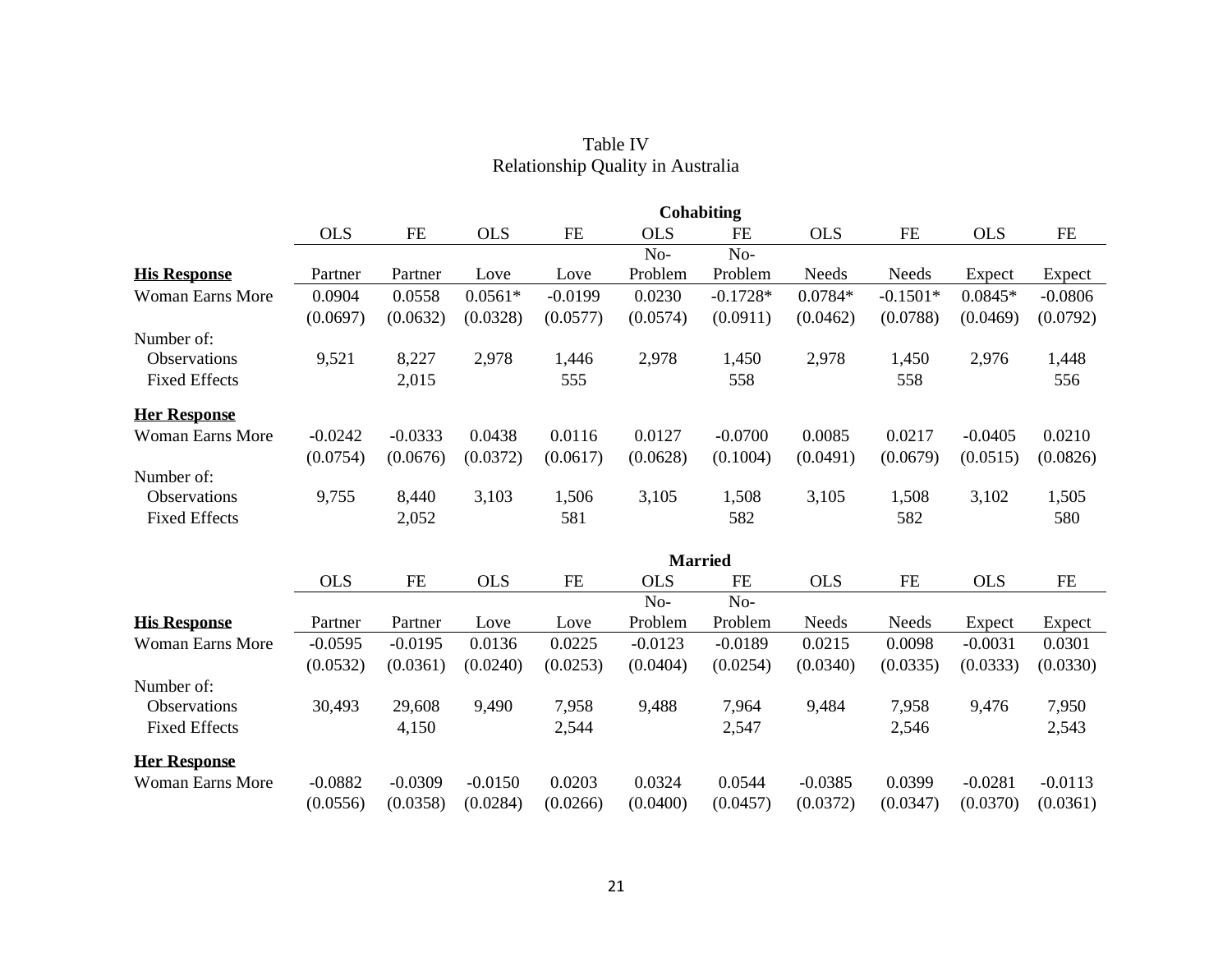|                         |            |           |            |           |            | <b>Cohabiting</b> |            |            |            |           |
|-------------------------|------------|-----------|------------|-----------|------------|-------------------|------------|------------|------------|-----------|
|                         | <b>OLS</b> | $FE$      | <b>OLS</b> | $\rm FE$  | <b>OLS</b> | <b>FE</b>         | <b>OLS</b> | $FE$       | <b>OLS</b> | $FE$      |
|                         |            |           |            |           | No-        | No-               |            |            |            |           |
| <b>His Response</b>     | Partner    | Partner   | Love       | Love      | Problem    | Problem           | Needs      | Needs      | Expect     | Expect    |
| <b>Woman Earns More</b> | 0.0904     | 0.0558    | $0.0561*$  | $-0.0199$ | 0.0230     | $-0.1728*$        | $0.0784*$  | $-0.1501*$ | $0.0845*$  | $-0.0806$ |
|                         | (0.0697)   | (0.0632)  | (0.0328)   | (0.0577)  | (0.0574)   | (0.0911)          | (0.0462)   | (0.0788)   | (0.0469)   | (0.0792)  |
| Number of:              |            |           |            |           |            |                   |            |            |            |           |
| Observations            | 9,521      | 8,227     | 2,978      | 1,446     | 2,978      | 1,450             | 2,978      | 1,450      | 2,976      | 1,448     |
| <b>Fixed Effects</b>    |            | 2,015     |            | 555       |            | 558               |            | 558        |            | 556       |
| <b>Her Response</b>     |            |           |            |           |            |                   |            |            |            |           |
| <b>Woman Earns More</b> | $-0.0242$  | $-0.0333$ | 0.0438     | 0.0116    | 0.0127     | $-0.0700$         | 0.0085     | 0.0217     | $-0.0405$  | 0.0210    |
|                         | (0.0754)   | (0.0676)  | (0.0372)   | (0.0617)  | (0.0628)   | (0.1004)          | (0.0491)   | (0.0679)   | (0.0515)   | (0.0826)  |
| Number of:              |            |           |            |           |            |                   |            |            |            |           |
| Observations            | 9,755      | 8,440     | 3,103      | 1,506     | 3,105      | 1,508             | 3,105      | 1,508      | 3,102      | 1,505     |
| <b>Fixed Effects</b>    |            | 2,052     |            | 581       |            | 582               |            | 582        |            | 580       |
|                         |            |           |            |           |            | <b>Married</b>    |            |            |            |           |
|                         | <b>OLS</b> | <b>FE</b> | <b>OLS</b> | FE        | <b>OLS</b> | <b>FE</b>         | <b>OLS</b> | $FE$       | <b>OLS</b> | FE        |
|                         |            |           |            |           | No-        | No-               |            |            |            |           |
| <b>His Response</b>     | Partner    | Partner   | Love       | Love      | Problem    | Problem           | Needs      | Needs      | Expect     | Expect    |
| <b>Woman Earns More</b> | $-0.0595$  | $-0.0195$ | 0.0136     | 0.0225    | $-0.0123$  | $-0.0189$         | 0.0215     | 0.0098     | $-0.0031$  | 0.0301    |
|                         | (0.0532)   | (0.0361)  | (0.0240)   | (0.0253)  | (0.0404)   | (0.0254)          | (0.0340)   | (0.0335)   | (0.0333)   | (0.0330)  |
| Number of:              |            |           |            |           |            |                   |            |            |            |           |
| Observations            | 30,493     | 29,608    | 9,490      | 7,958     | 9,488      | 7,964             | 9,484      | 7,958      | 9,476      | 7,950     |
| <b>Fixed Effects</b>    |            | 4,150     |            | 2,544     |            | 2,547             |            | 2,546      |            | 2,543     |
| <b>Her Response</b>     |            |           |            |           |            |                   |            |            |            |           |
| <b>Woman Earns More</b> | $-0.0882$  | $-0.0309$ | $-0.0150$  | 0.0203    | 0.0324     | 0.0544            | $-0.0385$  | 0.0399     | $-0.0281$  | $-0.0113$ |
|                         | (0.0556)   | (0.0358)  | (0.0284)   | (0.0266)  | (0.0400)   | (0.0457)          | (0.0372)   | (0.0347)   | (0.0370)   | (0.0361)  |

## Table IV Relationship Quality in Australia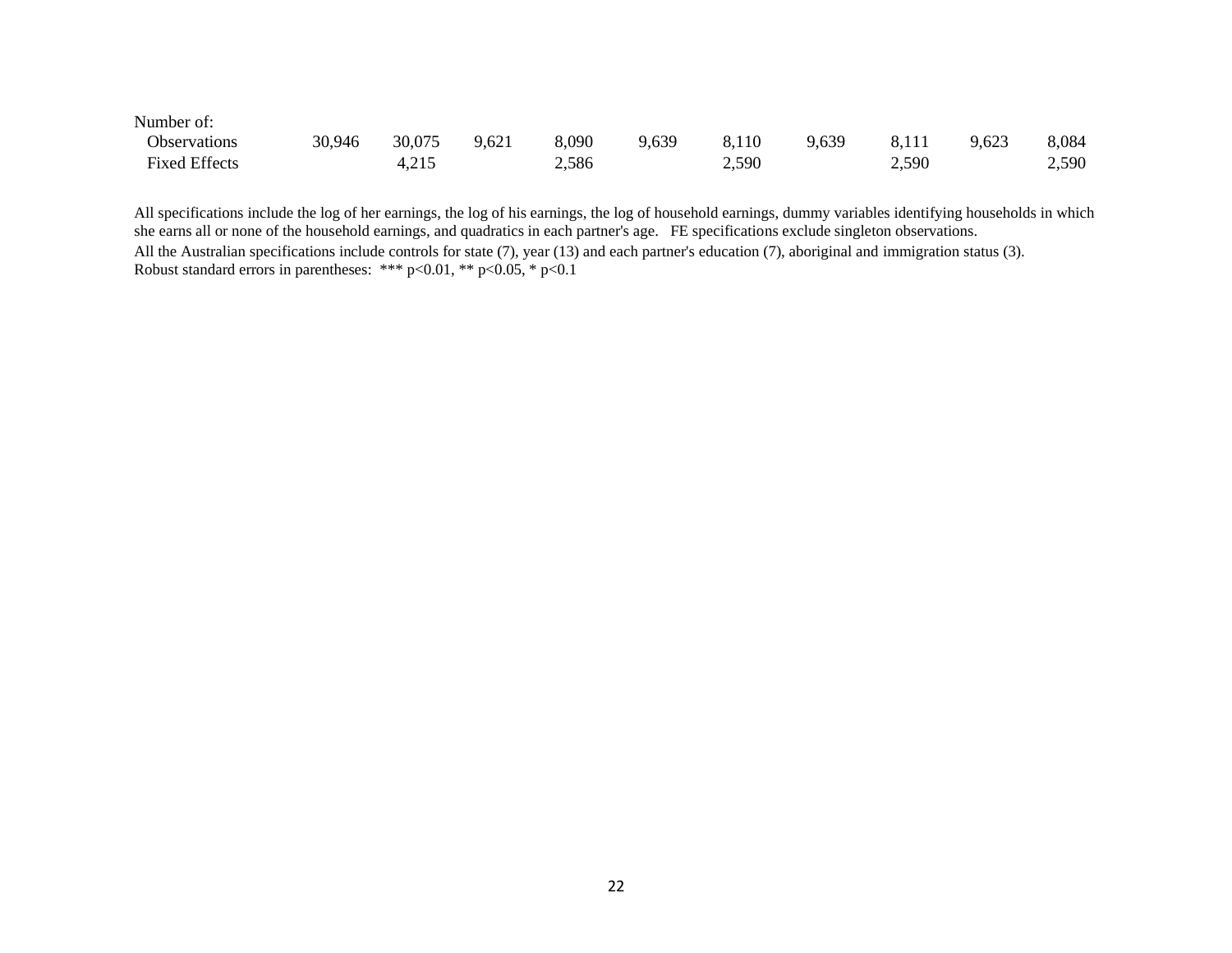| Number of:           |        |        |       |       |       |       |       |       |       |       |
|----------------------|--------|--------|-------|-------|-------|-------|-------|-------|-------|-------|
| <b>Observations</b>  | 30,946 | 30,075 | 9,621 | 8,090 | 9,639 | 8,110 | 9,639 | 8,111 | 9,623 | 8,084 |
| <b>Fixed Effects</b> |        | 4,215  |       | 2,586 |       | 2,590 |       | 2,590 |       | 2,590 |

All specifications include the log of her earnings, the log of his earnings, the log of household earnings, dummy variables identifying households in which she earns all or none of the household earnings, and quadratics in each partner's age. FE specifications exclude singleton observations. All the Australian specifications include controls for state (7), year (13) and each partner's education (7), aboriginal and immigration status (3). Robust standard errors in parentheses: \*\*\*  $p<0.01$ , \*\*  $p<0.05$ , \*  $p<0.1$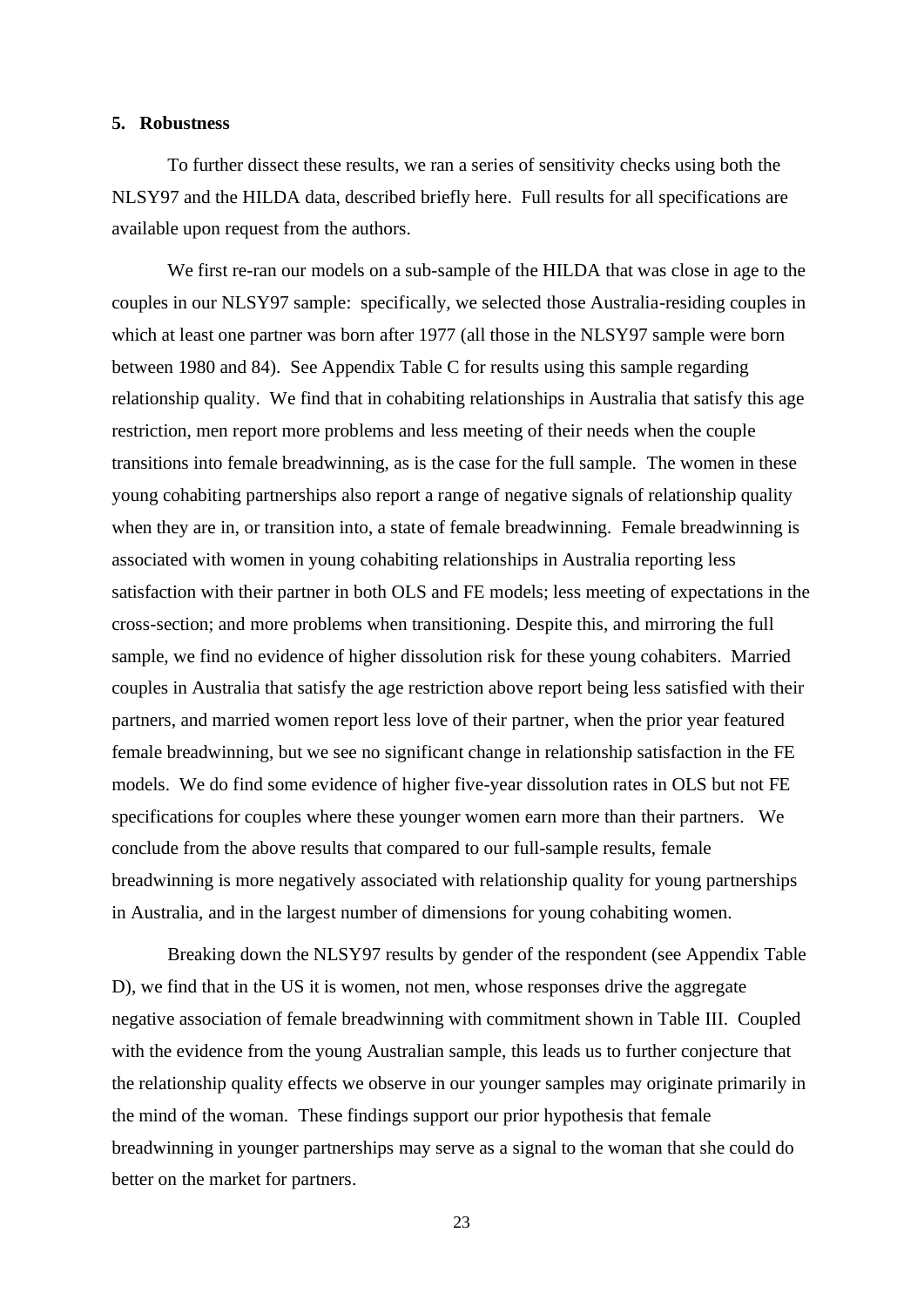## **5. Robustness**

To further dissect these results, we ran a series of sensitivity checks using both the NLSY97 and the HILDA data, described briefly here. Full results for all specifications are available upon request from the authors.

We first re-ran our models on a sub-sample of the HILDA that was close in age to the couples in our NLSY97 sample: specifically, we selected those Australia-residing couples in which at least one partner was born after 1977 (all those in the NLSY97 sample were born between 1980 and 84). See Appendix Table C for results using this sample regarding relationship quality. We find that in cohabiting relationships in Australia that satisfy this age restriction, men report more problems and less meeting of their needs when the couple transitions into female breadwinning, as is the case for the full sample. The women in these young cohabiting partnerships also report a range of negative signals of relationship quality when they are in, or transition into, a state of female breadwinning. Female breadwinning is associated with women in young cohabiting relationships in Australia reporting less satisfaction with their partner in both OLS and FE models; less meeting of expectations in the cross-section; and more problems when transitioning. Despite this, and mirroring the full sample, we find no evidence of higher dissolution risk for these young cohabiters. Married couples in Australia that satisfy the age restriction above report being less satisfied with their partners, and married women report less love of their partner, when the prior year featured female breadwinning, but we see no significant change in relationship satisfaction in the FE models. We do find some evidence of higher five-year dissolution rates in OLS but not FE specifications for couples where these younger women earn more than their partners. We conclude from the above results that compared to our full-sample results, female breadwinning is more negatively associated with relationship quality for young partnerships in Australia, and in the largest number of dimensions for young cohabiting women.

Breaking down the NLSY97 results by gender of the respondent (see Appendix Table D), we find that in the US it is women, not men, whose responses drive the aggregate negative association of female breadwinning with commitment shown in Table III. Coupled with the evidence from the young Australian sample, this leads us to further conjecture that the relationship quality effects we observe in our younger samples may originate primarily in the mind of the woman. These findings support our prior hypothesis that female breadwinning in younger partnerships may serve as a signal to the woman that she could do better on the market for partners.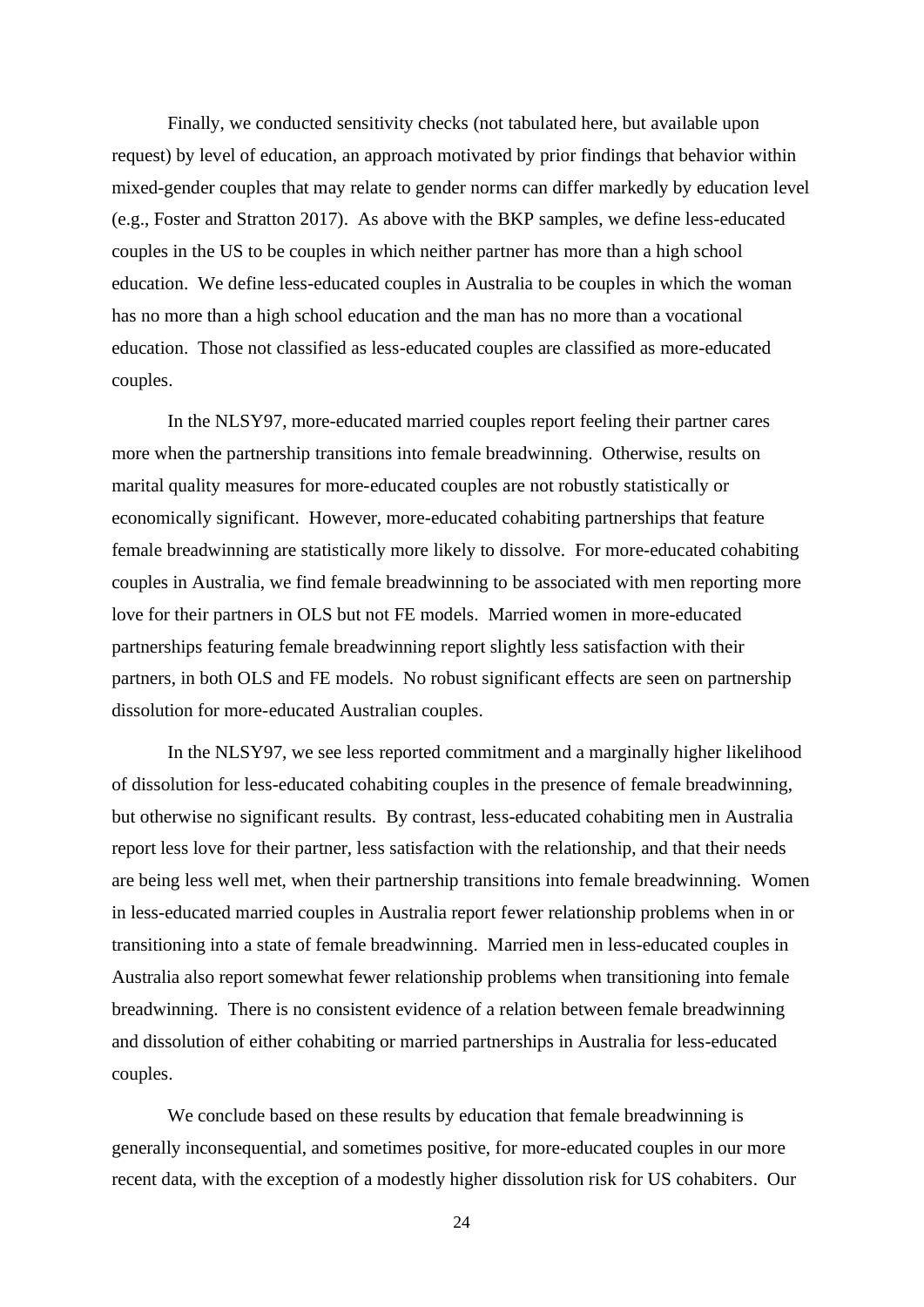Finally, we conducted sensitivity checks (not tabulated here, but available upon request) by level of education, an approach motivated by prior findings that behavior within mixed-gender couples that may relate to gender norms can differ markedly by education level (e.g., Foster and Stratton 2017). As above with the BKP samples, we define less-educated couples in the US to be couples in which neither partner has more than a high school education. We define less-educated couples in Australia to be couples in which the woman has no more than a high school education and the man has no more than a vocational education. Those not classified as less-educated couples are classified as more-educated couples.

In the NLSY97, more-educated married couples report feeling their partner cares more when the partnership transitions into female breadwinning. Otherwise, results on marital quality measures for more-educated couples are not robustly statistically or economically significant. However, more-educated cohabiting partnerships that feature female breadwinning are statistically more likely to dissolve. For more-educated cohabiting couples in Australia, we find female breadwinning to be associated with men reporting more love for their partners in OLS but not FE models. Married women in more-educated partnerships featuring female breadwinning report slightly less satisfaction with their partners, in both OLS and FE models. No robust significant effects are seen on partnership dissolution for more-educated Australian couples.

In the NLSY97, we see less reported commitment and a marginally higher likelihood of dissolution for less-educated cohabiting couples in the presence of female breadwinning, but otherwise no significant results. By contrast, less-educated cohabiting men in Australia report less love for their partner, less satisfaction with the relationship, and that their needs are being less well met, when their partnership transitions into female breadwinning. Women in less-educated married couples in Australia report fewer relationship problems when in or transitioning into a state of female breadwinning. Married men in less-educated couples in Australia also report somewhat fewer relationship problems when transitioning into female breadwinning. There is no consistent evidence of a relation between female breadwinning and dissolution of either cohabiting or married partnerships in Australia for less-educated couples.

We conclude based on these results by education that female breadwinning is generally inconsequential, and sometimes positive, for more-educated couples in our more recent data, with the exception of a modestly higher dissolution risk for US cohabiters. Our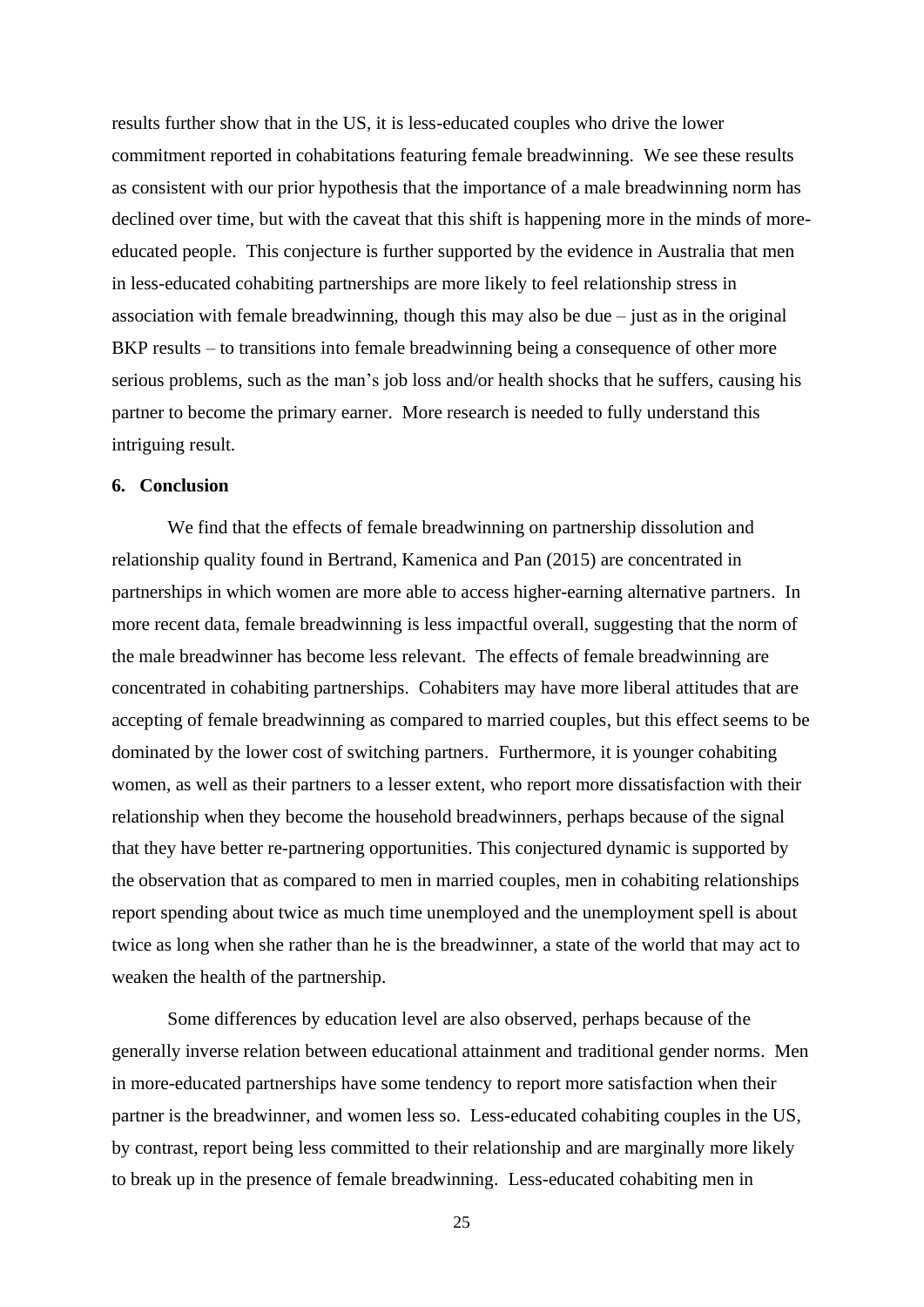results further show that in the US, it is less-educated couples who drive the lower commitment reported in cohabitations featuring female breadwinning. We see these results as consistent with our prior hypothesis that the importance of a male breadwinning norm has declined over time, but with the caveat that this shift is happening more in the minds of moreeducated people. This conjecture is further supported by the evidence in Australia that men in less-educated cohabiting partnerships are more likely to feel relationship stress in association with female breadwinning, though this may also be due – just as in the original BKP results – to transitions into female breadwinning being a consequence of other more serious problems, such as the man's job loss and/or health shocks that he suffers, causing his partner to become the primary earner. More research is needed to fully understand this intriguing result.

## **6. Conclusion**

We find that the effects of female breadwinning on partnership dissolution and relationship quality found in Bertrand, Kamenica and Pan (2015) are concentrated in partnerships in which women are more able to access higher-earning alternative partners. In more recent data, female breadwinning is less impactful overall, suggesting that the norm of the male breadwinner has become less relevant. The effects of female breadwinning are concentrated in cohabiting partnerships. Cohabiters may have more liberal attitudes that are accepting of female breadwinning as compared to married couples, but this effect seems to be dominated by the lower cost of switching partners. Furthermore, it is younger cohabiting women, as well as their partners to a lesser extent, who report more dissatisfaction with their relationship when they become the household breadwinners, perhaps because of the signal that they have better re-partnering opportunities. This conjectured dynamic is supported by the observation that as compared to men in married couples, men in cohabiting relationships report spending about twice as much time unemployed and the unemployment spell is about twice as long when she rather than he is the breadwinner, a state of the world that may act to weaken the health of the partnership.

Some differences by education level are also observed, perhaps because of the generally inverse relation between educational attainment and traditional gender norms. Men in more-educated partnerships have some tendency to report more satisfaction when their partner is the breadwinner, and women less so. Less-educated cohabiting couples in the US, by contrast, report being less committed to their relationship and are marginally more likely to break up in the presence of female breadwinning. Less-educated cohabiting men in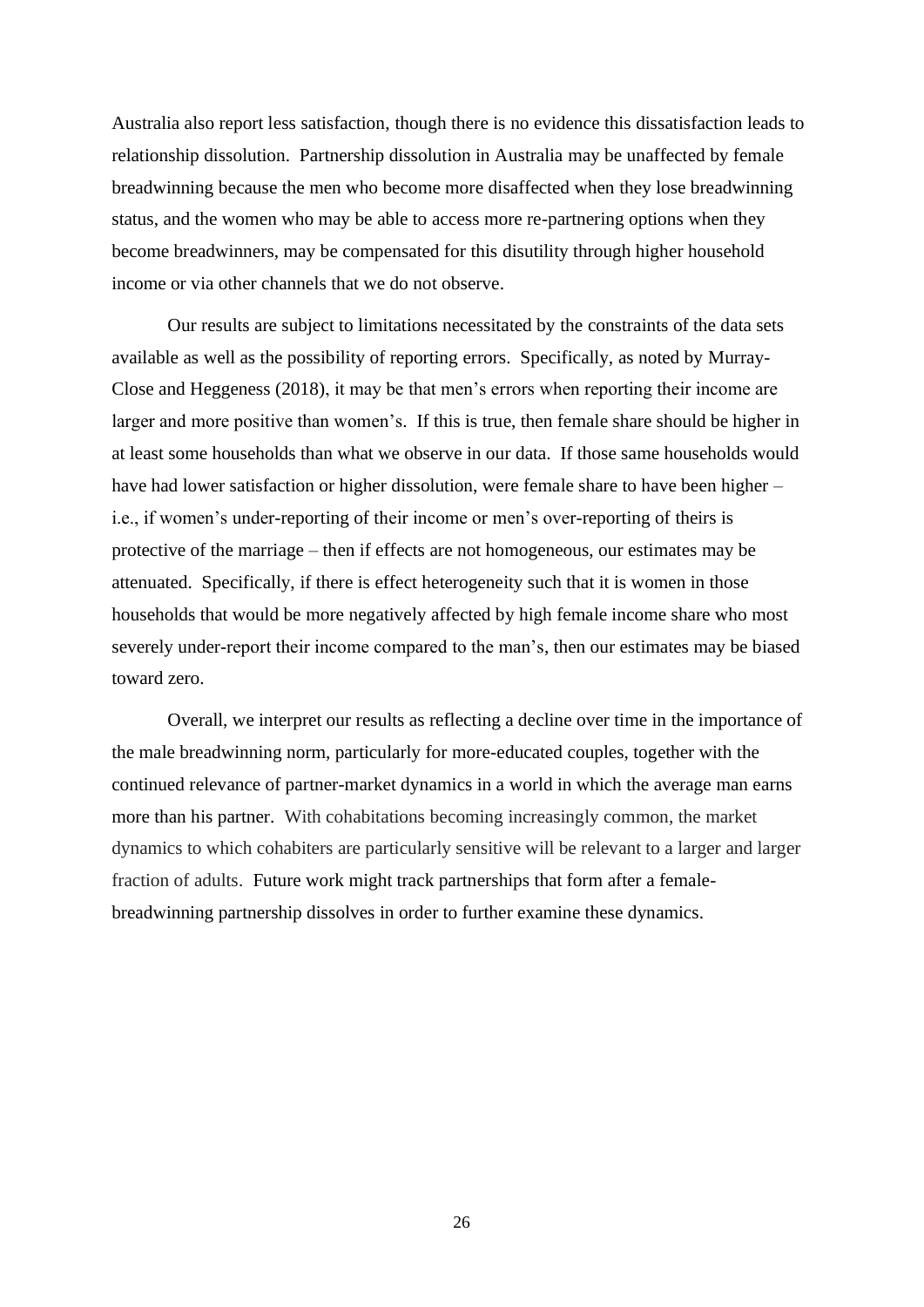Australia also report less satisfaction, though there is no evidence this dissatisfaction leads to relationship dissolution. Partnership dissolution in Australia may be unaffected by female breadwinning because the men who become more disaffected when they lose breadwinning status, and the women who may be able to access more re-partnering options when they become breadwinners, may be compensated for this disutility through higher household income or via other channels that we do not observe.

Our results are subject to limitations necessitated by the constraints of the data sets available as well as the possibility of reporting errors. Specifically, as noted by Murray-Close and Heggeness (2018), it may be that men's errors when reporting their income are larger and more positive than women's. If this is true, then female share should be higher in at least some households than what we observe in our data. If those same households would have had lower satisfaction or higher dissolution, were female share to have been higher – i.e., if women's under-reporting of their income or men's over-reporting of theirs is protective of the marriage – then if effects are not homogeneous, our estimates may be attenuated. Specifically, if there is effect heterogeneity such that it is women in those households that would be more negatively affected by high female income share who most severely under-report their income compared to the man's, then our estimates may be biased toward zero.

Overall, we interpret our results as reflecting a decline over time in the importance of the male breadwinning norm, particularly for more-educated couples, together with the continued relevance of partner-market dynamics in a world in which the average man earns more than his partner. With cohabitations becoming increasingly common, the market dynamics to which cohabiters are particularly sensitive will be relevant to a larger and larger fraction of adults. Future work might track partnerships that form after a femalebreadwinning partnership dissolves in order to further examine these dynamics.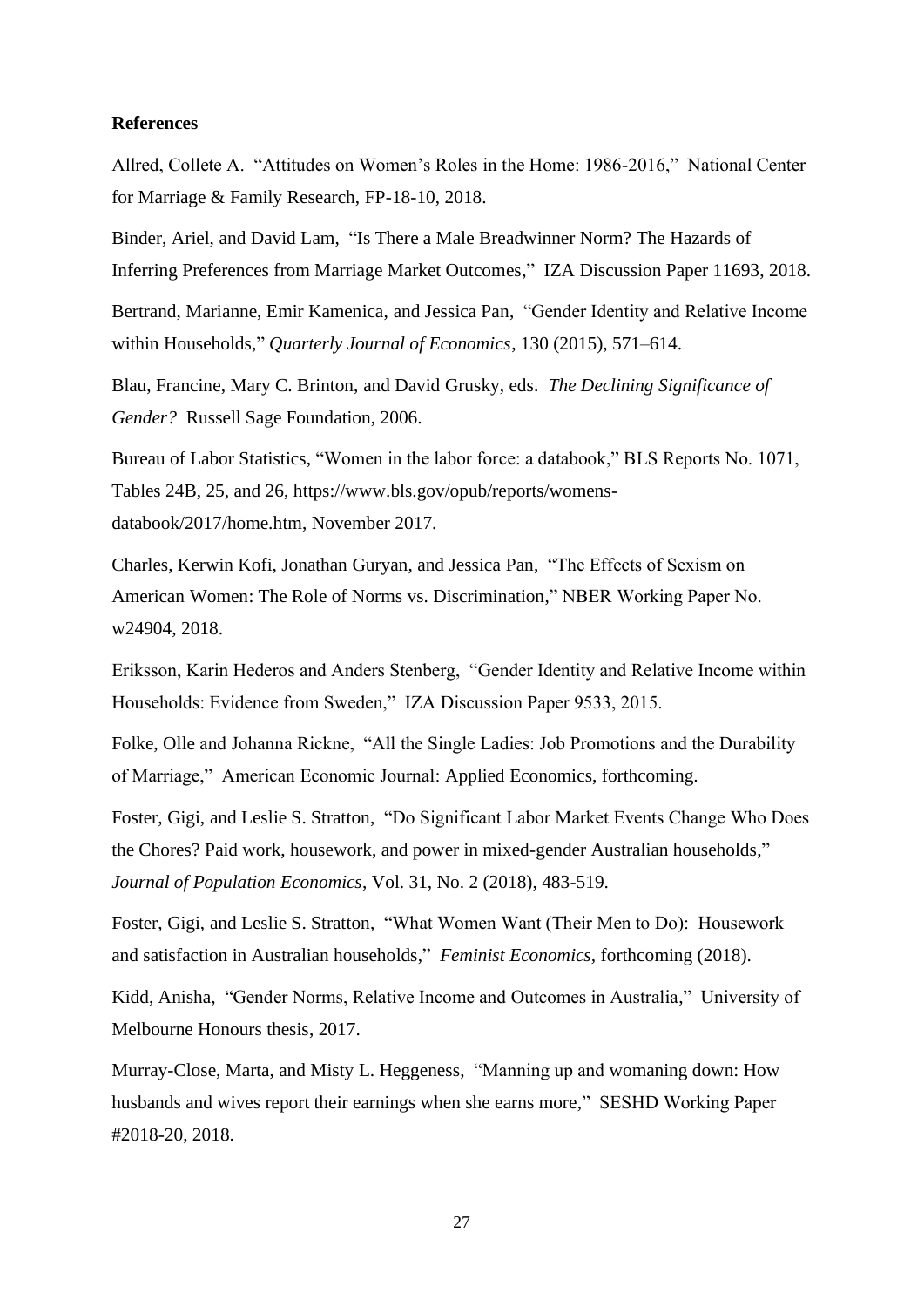## **References**

Allred, Collete A. "Attitudes on Women's Roles in the Home: 1986-2016," National Center for Marriage & Family Research, FP-18-10, 2018.

Binder, Ariel, and David Lam, "Is There a Male Breadwinner Norm? The Hazards of Inferring Preferences from Marriage Market Outcomes," IZA Discussion Paper 11693, 2018.

Bertrand, Marianne, Emir Kamenica, and Jessica Pan, "Gender Identity and Relative Income within Households," *Quarterly Journal of Economics*, 130 (2015), 571–614.

Blau, Francine, Mary C. Brinton, and David Grusky, eds. *The Declining Significance of Gender?* Russell Sage Foundation, 2006.

Bureau of Labor Statistics, "Women in the labor force: a databook," BLS Reports No. 1071, Tables 24B, 25, and 26, [https://www.bls.gov/opub/reports/womens](https://www.bls.gov/opub/reports/womens-databook/2017/home.htm)[databook/2017/home.htm,](https://www.bls.gov/opub/reports/womens-databook/2017/home.htm) November 2017.

Charles, Kerwin Kofi, Jonathan Guryan, and Jessica Pan, "The Effects of Sexism on American Women: The Role of Norms vs. Discrimination," NBER Working Paper No. w24904, 2018.

Eriksson, Karin Hederos and Anders Stenberg, "Gender Identity and Relative Income within Households: Evidence from Sweden," IZA Discussion Paper 9533, 2015.

Folke, Olle and Johanna Rickne, "All the Single Ladies: Job Promotions and the Durability of Marriage," American Economic Journal: Applied Economics, forthcoming.

Foster, Gigi, and Leslie S. Stratton, "Do Significant Labor Market Events Change Who Does the Chores? Paid work, housework, and power in mixed-gender Australian households," *Journal of Population Economics*, Vol. 31, No. 2 (2018), 483-519.

Foster, Gigi, and Leslie S. Stratton, "What Women Want (Their Men to Do): Housework and satisfaction in Australian households," *Feminist Economics,* forthcoming (2018).

Kidd, Anisha, "Gender Norms, Relative Income and Outcomes in Australia," University of Melbourne Honours thesis, 2017.

Murray-Close, Marta, and Misty L. Heggeness, "Manning up and womaning down: How husbands and wives report their earnings when she earns more," SESHD Working Paper #2018-20, 2018.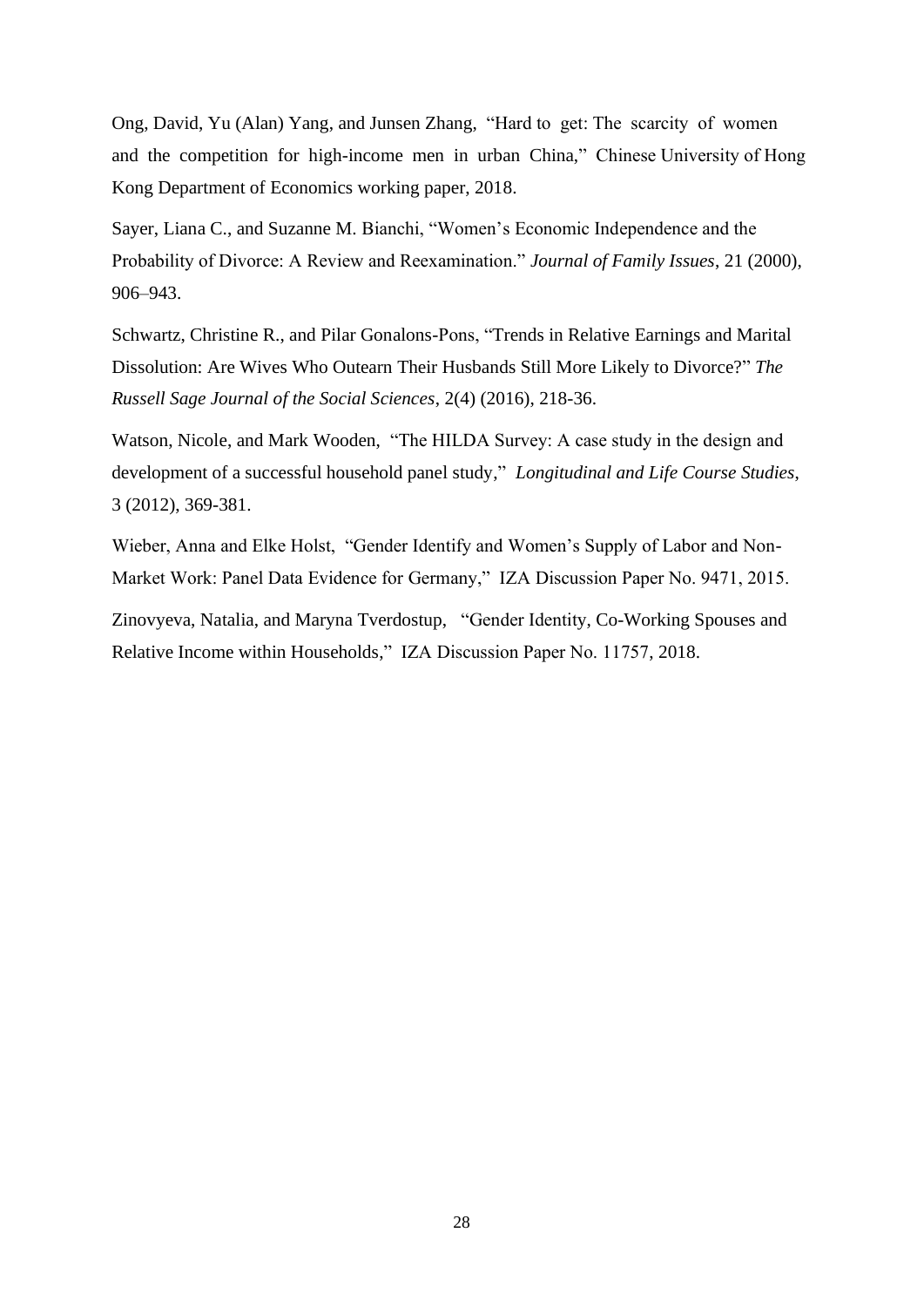Ong, David, Yu (Alan) Yang, and Junsen Zhang, "Hard to get: The scarcity of women and the competition for high-income men in urban China," Chinese University of Hong Kong Department of Economics working paper, 2018.

Sayer, Liana C., and Suzanne M. Bianchi, "Women's Economic Independence and the Probability of Divorce: A Review and Reexamination." *Journal of Family Issues*, 21 (2000), 906–943.

Schwartz, Christine R., and Pilar Gonalons-Pons, ["Trends in Relative Earnings and Marital](http://www.rsfjournal.org/doi/full/10.7758/RSF.2016.2.4.08)  [Dissolution: Are Wives Who Outearn Their Husbands Still More Likely to Divorce?"](http://www.rsfjournal.org/doi/full/10.7758/RSF.2016.2.4.08) *The Russell Sage Journal of the Social Sciences*, 2(4) (2016), 218-36.

Watson, Nicole, and Mark Wooden, "The HILDA Survey: A case study in the design and development of a successful household panel study," *Longitudinal and Life Course Studies*, 3 (2012), 369-381.

Wieber, Anna and Elke Holst, "Gender Identify and Women's Supply of Labor and Non-Market Work: Panel Data Evidence for Germany," IZA Discussion Paper No. 9471, 2015.

Zinovyeva, Natalia, and Maryna Tverdostup, "Gender Identity, Co-Working Spouses and Relative Income within Households," IZA Discussion Paper No. 11757, 2018.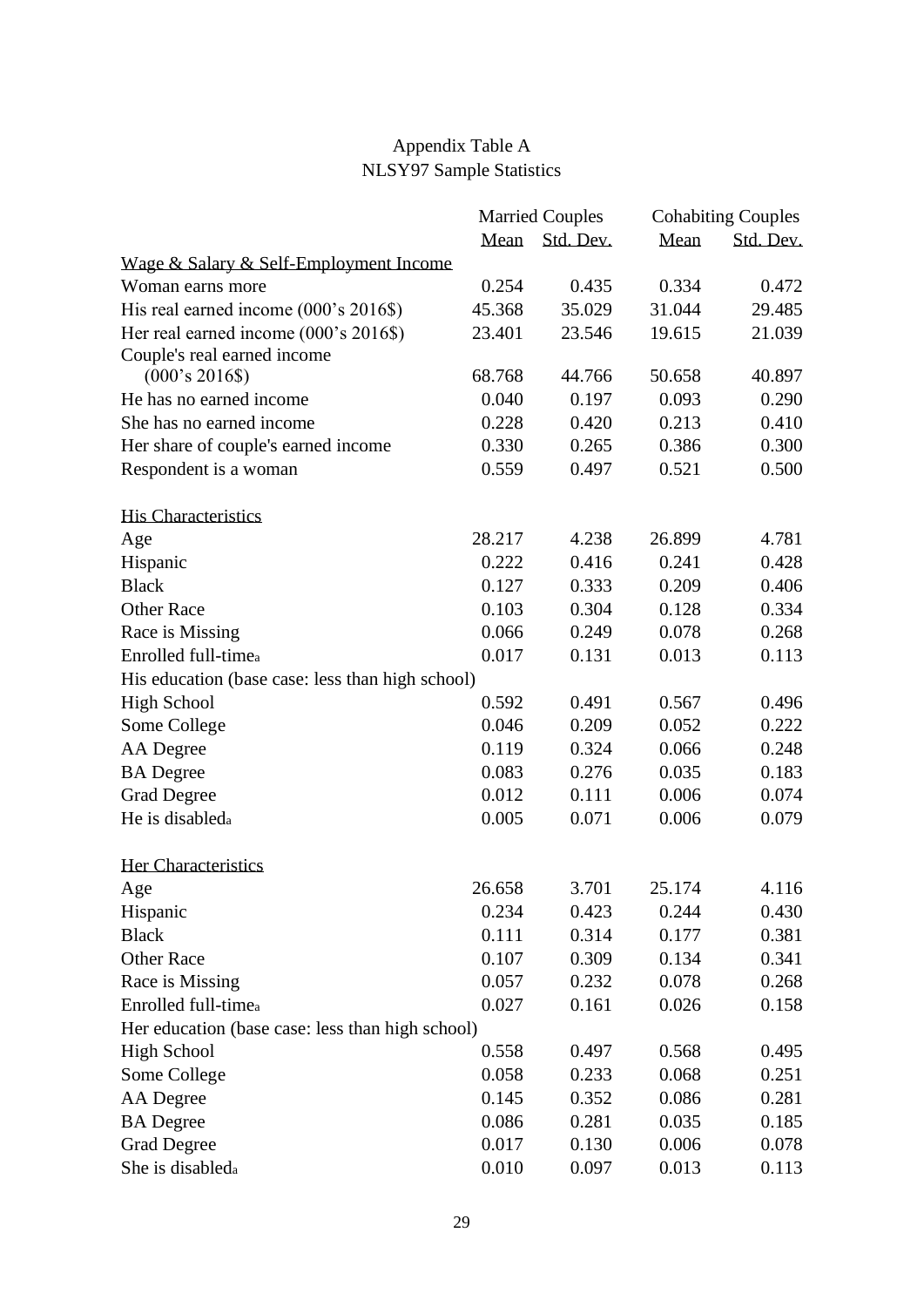## Appendix Table A NLSY97 Sample Statistics

|                                                  |        | <b>Married Couples</b> | <b>Cohabiting Couples</b> |           |  |
|--------------------------------------------------|--------|------------------------|---------------------------|-----------|--|
|                                                  | Mean   | Std. Dev.              | Mean                      | Std. Dev. |  |
| Wage & Salary & Self-Employment Income           |        |                        |                           |           |  |
| Woman earns more                                 | 0.254  | 0.435                  | 0.334                     | 0.472     |  |
| His real earned income (000's 2016\$)            | 45.368 | 35.029                 | 31.044                    | 29.485    |  |
| Her real earned income (000's 2016\$)            | 23.401 | 23.546                 | 19.615                    | 21.039    |  |
| Couple's real earned income                      |        |                        |                           |           |  |
| $(000's 2016\$                                   | 68.768 | 44.766                 | 50.658                    | 40.897    |  |
| He has no earned income.                         | 0.040  | 0.197                  | 0.093                     | 0.290     |  |
| She has no earned income                         | 0.228  | 0.420                  | 0.213                     | 0.410     |  |
| Her share of couple's earned income              | 0.330  | 0.265                  | 0.386                     | 0.300     |  |
| Respondent is a woman                            | 0.559  | 0.497                  | 0.521                     | 0.500     |  |
| <b>His Characteristics</b>                       |        |                        |                           |           |  |
| Age                                              | 28.217 | 4.238                  | 26.899                    | 4.781     |  |
| Hispanic                                         | 0.222  | 0.416                  | 0.241                     | 0.428     |  |
| <b>Black</b>                                     | 0.127  | 0.333                  | 0.209                     | 0.406     |  |
| <b>Other Race</b>                                | 0.103  | 0.304                  | 0.128                     | 0.334     |  |
| Race is Missing                                  | 0.066  | 0.249                  | 0.078                     | 0.268     |  |
| Enrolled full-timea                              | 0.017  | 0.131                  | 0.013                     | 0.113     |  |
| His education (base case: less than high school) |        |                        |                           |           |  |
| <b>High School</b>                               | 0.592  | 0.491                  | 0.567                     | 0.496     |  |
| Some College                                     | 0.046  | 0.209                  | 0.052                     | 0.222     |  |
| AA Degree                                        | 0.119  | 0.324                  | 0.066                     | 0.248     |  |
| <b>BA</b> Degree                                 | 0.083  | 0.276                  | 0.035                     | 0.183     |  |
| <b>Grad Degree</b>                               | 0.012  | 0.111                  | 0.006                     | 0.074     |  |
| He is disabled <sub>a</sub>                      | 0.005  | 0.071                  | 0.006                     | 0.079     |  |
| Her Characteristics                              |        |                        |                           |           |  |
| Age                                              | 26.658 | 3.701                  | 25.174                    | 4.116     |  |
| Hispanic                                         | 0.234  | 0.423                  | 0.244                     | 0.430     |  |
| <b>Black</b>                                     | 0.111  | 0.314                  | 0.177                     | 0.381     |  |
| <b>Other Race</b>                                | 0.107  | 0.309                  | 0.134                     | 0.341     |  |
| Race is Missing                                  | 0.057  | 0.232                  | 0.078                     | 0.268     |  |
| Enrolled full-timea                              | 0.027  | 0.161                  | 0.026                     | 0.158     |  |
| Her education (base case: less than high school) |        |                        |                           |           |  |
| <b>High School</b>                               | 0.558  | 0.497                  | 0.568                     | 0.495     |  |
| Some College                                     | 0.058  | 0.233                  | 0.068                     | 0.251     |  |
| AA Degree                                        | 0.145  | 0.352                  | 0.086                     | 0.281     |  |
| <b>BA</b> Degree                                 | 0.086  | 0.281                  | 0.035                     | 0.185     |  |
| <b>Grad Degree</b>                               | 0.017  | 0.130                  | 0.006                     | 0.078     |  |
| She is disableda                                 | 0.010  | 0.097                  | 0.013                     | 0.113     |  |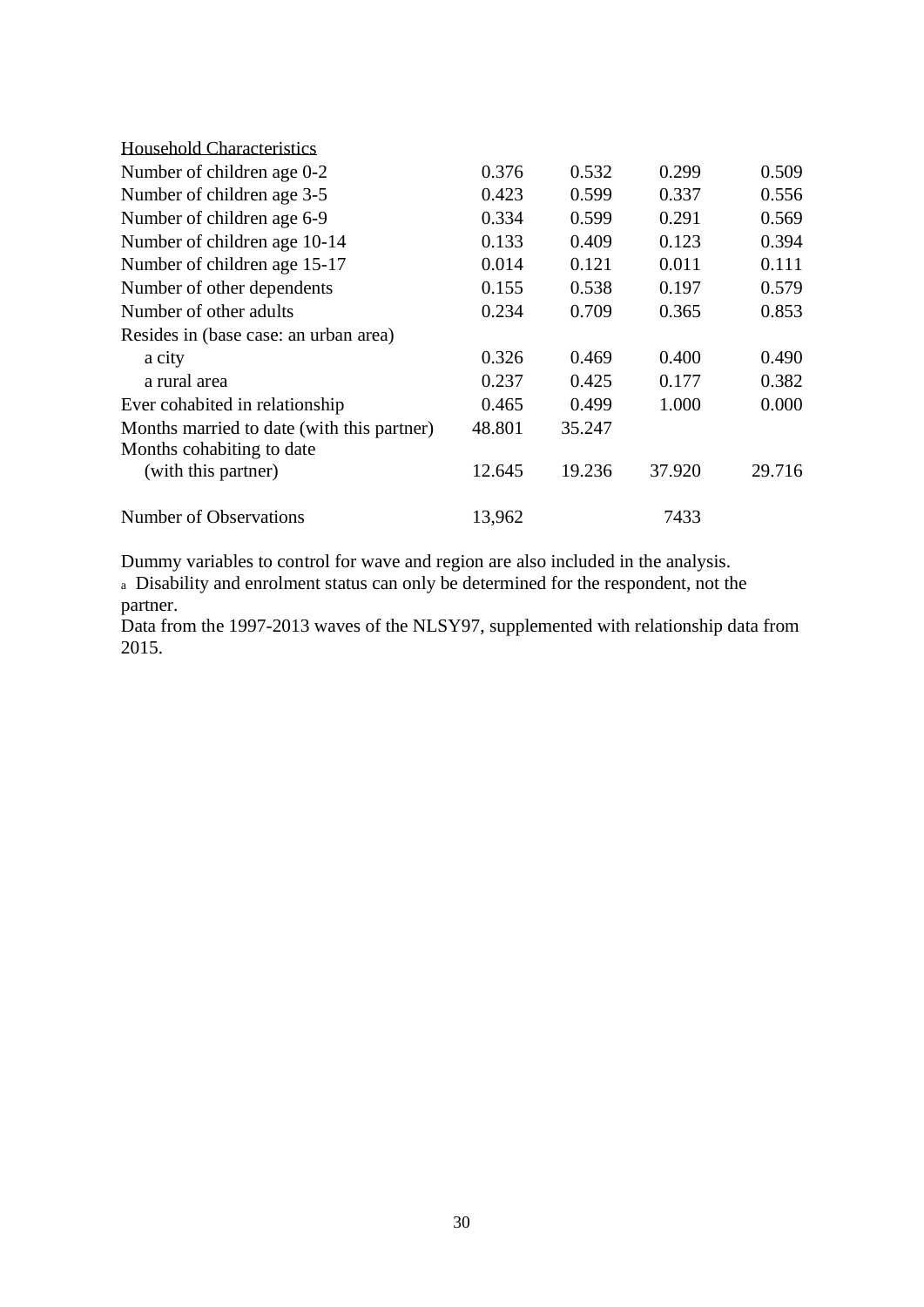| <b>Household Characteristics</b>           |        |        |        |        |
|--------------------------------------------|--------|--------|--------|--------|
| Number of children age 0-2                 | 0.376  | 0.532  | 0.299  | 0.509  |
| Number of children age 3-5                 | 0.423  | 0.599  | 0.337  | 0.556  |
| Number of children age 6-9                 | 0.334  | 0.599  | 0.291  | 0.569  |
| Number of children age 10-14               | 0.133  | 0.409  | 0.123  | 0.394  |
| Number of children age 15-17               | 0.014  | 0.121  | 0.011  | 0.111  |
| Number of other dependents                 | 0.155  | 0.538  | 0.197  | 0.579  |
| Number of other adults                     | 0.234  | 0.709  | 0.365  | 0.853  |
| Resides in (base case: an urban area)      |        |        |        |        |
| a city                                     | 0.326  | 0.469  | 0.400  | 0.490  |
| a rural area                               | 0.237  | 0.425  | 0.177  | 0.382  |
| Ever cohabited in relationship             | 0.465  | 0.499  | 1.000  | 0.000  |
| Months married to date (with this partner) | 48.801 | 35.247 |        |        |
| Months cohabiting to date                  |        |        |        |        |
| (with this partner)                        | 12.645 | 19.236 | 37.920 | 29.716 |
| Number of Observations                     | 13,962 |        | 7433   |        |

Dummy variables to control for wave and region are also included in the analysis.

<sup>a</sup> Disability and enrolment status can only be determined for the respondent, not the partner.

Data from the 1997-2013 waves of the NLSY97, supplemented with relationship data from 2015.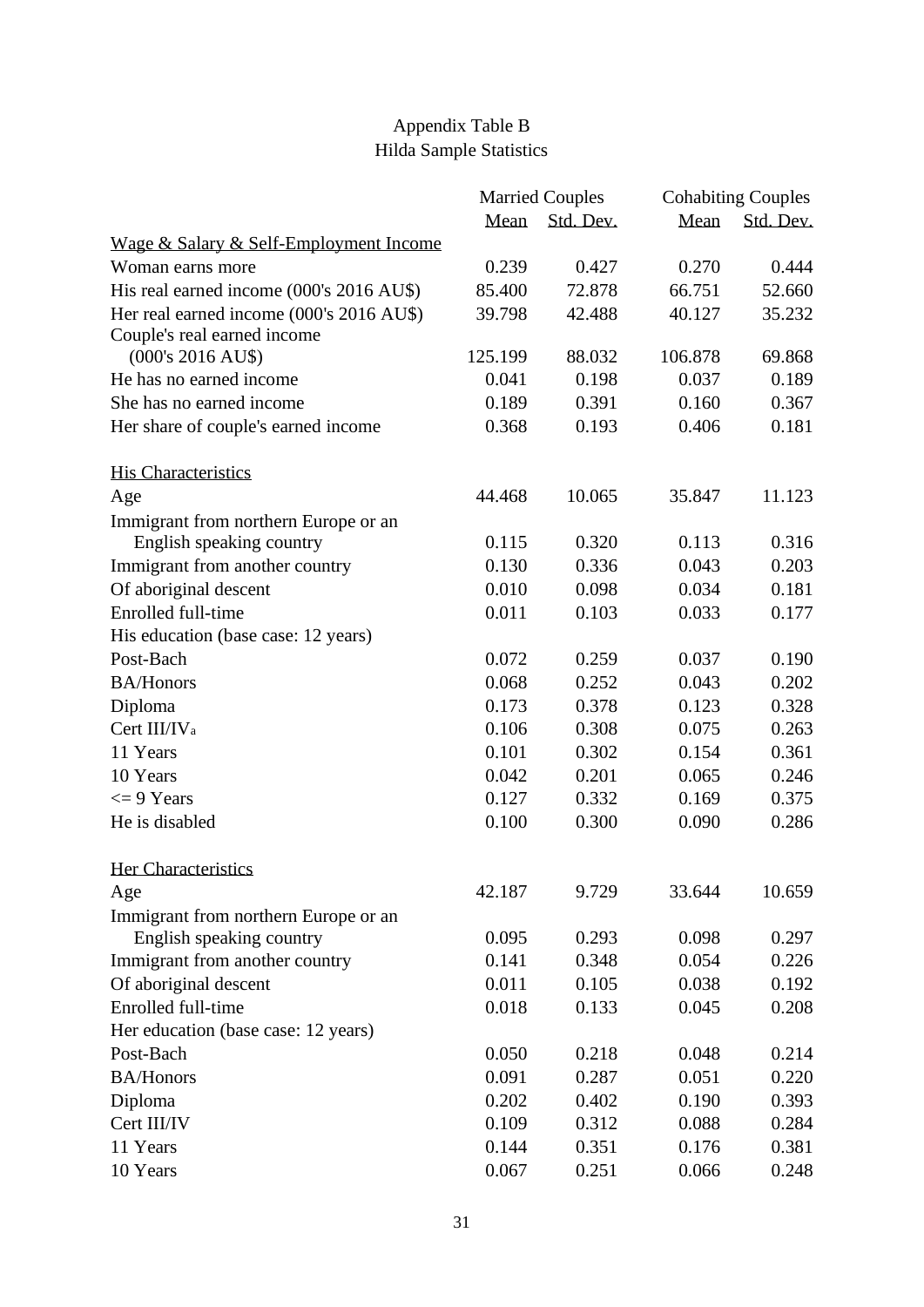## Appendix Table B Hilda Sample Statistics

|                                          |         | <b>Married Couples</b> | <b>Cohabiting Couples</b> |           |  |
|------------------------------------------|---------|------------------------|---------------------------|-----------|--|
|                                          | Mean    | Std. Dev.              | Mean                      | Std. Dev. |  |
| Wage & Salary & Self-Employment Income   |         |                        |                           |           |  |
| Woman earns more                         | 0.239   | 0.427                  | 0.270                     | 0.444     |  |
| His real earned income (000's 2016 AU\$) | 85.400  | 72.878                 | 66.751                    | 52.660    |  |
| Her real earned income (000's 2016 AU\$) | 39.798  | 42.488                 | 40.127                    | 35.232    |  |
| Couple's real earned income              |         |                        |                           |           |  |
| $(000's 2016 AU$ \$)                     | 125.199 | 88.032                 | 106.878                   | 69.868    |  |
| He has no earned income                  | 0.041   | 0.198                  | 0.037                     | 0.189     |  |
| She has no earned income                 | 0.189   | 0.391                  | 0.160                     | 0.367     |  |
| Her share of couple's earned income      | 0.368   | 0.193                  | 0.406                     | 0.181     |  |
| <b>His Characteristics</b>               |         |                        |                           |           |  |
| Age                                      | 44.468  | 10.065                 | 35.847                    | 11.123    |  |
| Immigrant from northern Europe or an     |         |                        |                           |           |  |
| English speaking country                 | 0.115   | 0.320                  | 0.113                     | 0.316     |  |
| Immigrant from another country           | 0.130   | 0.336                  | 0.043                     | 0.203     |  |
| Of aboriginal descent                    | 0.010   | 0.098                  | 0.034                     | 0.181     |  |
| Enrolled full-time                       | 0.011   | 0.103                  | 0.033                     | 0.177     |  |
| His education (base case: 12 years)      |         |                        |                           |           |  |
| Post-Bach                                | 0.072   | 0.259                  | 0.037                     | 0.190     |  |
| <b>BA/Honors</b>                         | 0.068   | 0.252                  | 0.043                     | 0.202     |  |
| Diploma                                  | 0.173   | 0.378                  | 0.123                     | 0.328     |  |
| Cert III/IV <sub>a</sub>                 | 0.106   | 0.308                  | 0.075                     | 0.263     |  |
| 11 Years                                 | 0.101   | 0.302                  | 0.154                     | 0.361     |  |
| 10 Years                                 | 0.042   | 0.201                  | 0.065                     | 0.246     |  |
| $\leq$ 9 Years                           | 0.127   | 0.332                  | 0.169                     | 0.375     |  |
| He is disabled                           | 0.100   | 0.300                  | 0.090                     | 0.286     |  |
| Her Characteristics                      |         |                        |                           |           |  |
| Age                                      | 42.187  | 9.729                  | 33.644                    | 10.659    |  |
| Immigrant from northern Europe or an     |         |                        |                           |           |  |
| English speaking country                 | 0.095   | 0.293                  | 0.098                     | 0.297     |  |
| Immigrant from another country           | 0.141   | 0.348                  | 0.054                     | 0.226     |  |
| Of aboriginal descent                    | 0.011   | 0.105                  | 0.038                     | 0.192     |  |
| Enrolled full-time                       | 0.018   | 0.133                  | 0.045                     | 0.208     |  |
| Her education (base case: 12 years)      |         |                        |                           |           |  |
| Post-Bach                                | 0.050   | 0.218                  | 0.048                     | 0.214     |  |
| <b>BA/Honors</b>                         | 0.091   | 0.287                  | 0.051                     | 0.220     |  |
| Diploma                                  | 0.202   | 0.402                  | 0.190                     | 0.393     |  |
| Cert III/IV                              | 0.109   | 0.312                  | 0.088                     | 0.284     |  |
| 11 Years                                 | 0.144   | 0.351                  | 0.176                     | 0.381     |  |
| 10 Years                                 | 0.067   | 0.251                  | 0.066                     | 0.248     |  |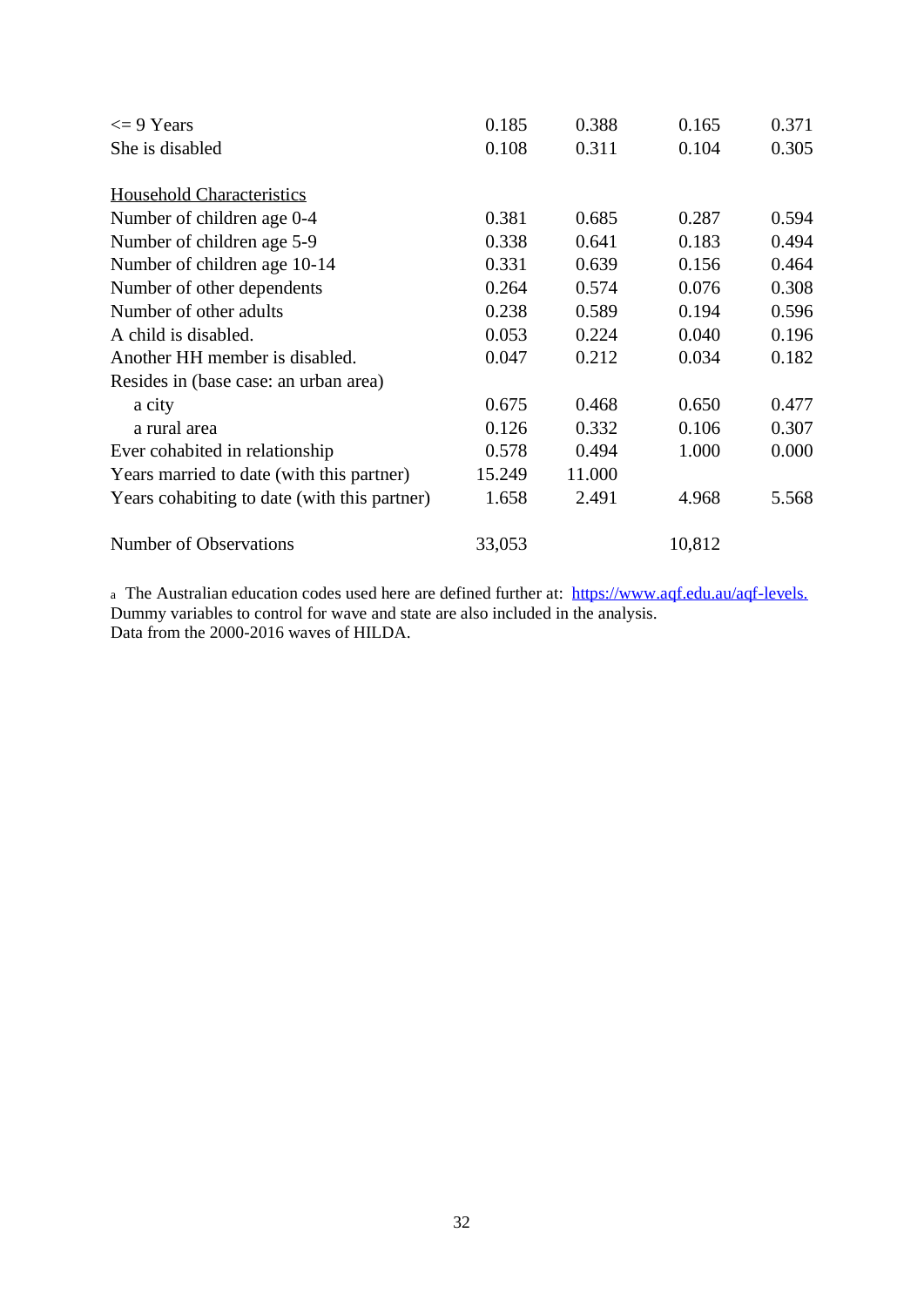| $\leq$ 9 Years                               | 0.185  | 0.388  | 0.165  | 0.371 |
|----------------------------------------------|--------|--------|--------|-------|
| She is disabled                              | 0.108  | 0.311  | 0.104  | 0.305 |
| <b>Household Characteristics</b>             |        |        |        |       |
| Number of children age 0-4                   | 0.381  | 0.685  | 0.287  | 0.594 |
| Number of children age 5-9                   | 0.338  | 0.641  | 0.183  | 0.494 |
| Number of children age 10-14                 | 0.331  | 0.639  | 0.156  | 0.464 |
| Number of other dependents                   | 0.264  | 0.574  | 0.076  | 0.308 |
| Number of other adults                       | 0.238  | 0.589  | 0.194  | 0.596 |
| A child is disabled.                         | 0.053  | 0.224  | 0.040  | 0.196 |
| Another HH member is disabled.               | 0.047  | 0.212  | 0.034  | 0.182 |
| Resides in (base case: an urban area)        |        |        |        |       |
| a city                                       | 0.675  | 0.468  | 0.650  | 0.477 |
| a rural area                                 | 0.126  | 0.332  | 0.106  | 0.307 |
| Ever cohabited in relationship               | 0.578  | 0.494  | 1.000  | 0.000 |
| Years married to date (with this partner)    | 15.249 | 11.000 |        |       |
| Years cohabiting to date (with this partner) | 1.658  | 2.491  | 4.968  | 5.568 |
| Number of Observations                       | 33,053 |        | 10,812 |       |

<sup>a</sup> The Australian education codes used here are defined further at: [https://www.aqf.edu.au/aqf-levels.](https://www.aqf.edu.au/aqf-levels) Dummy variables to control for wave and state are also included in the analysis. Data from the 2000-2016 waves of HILDA.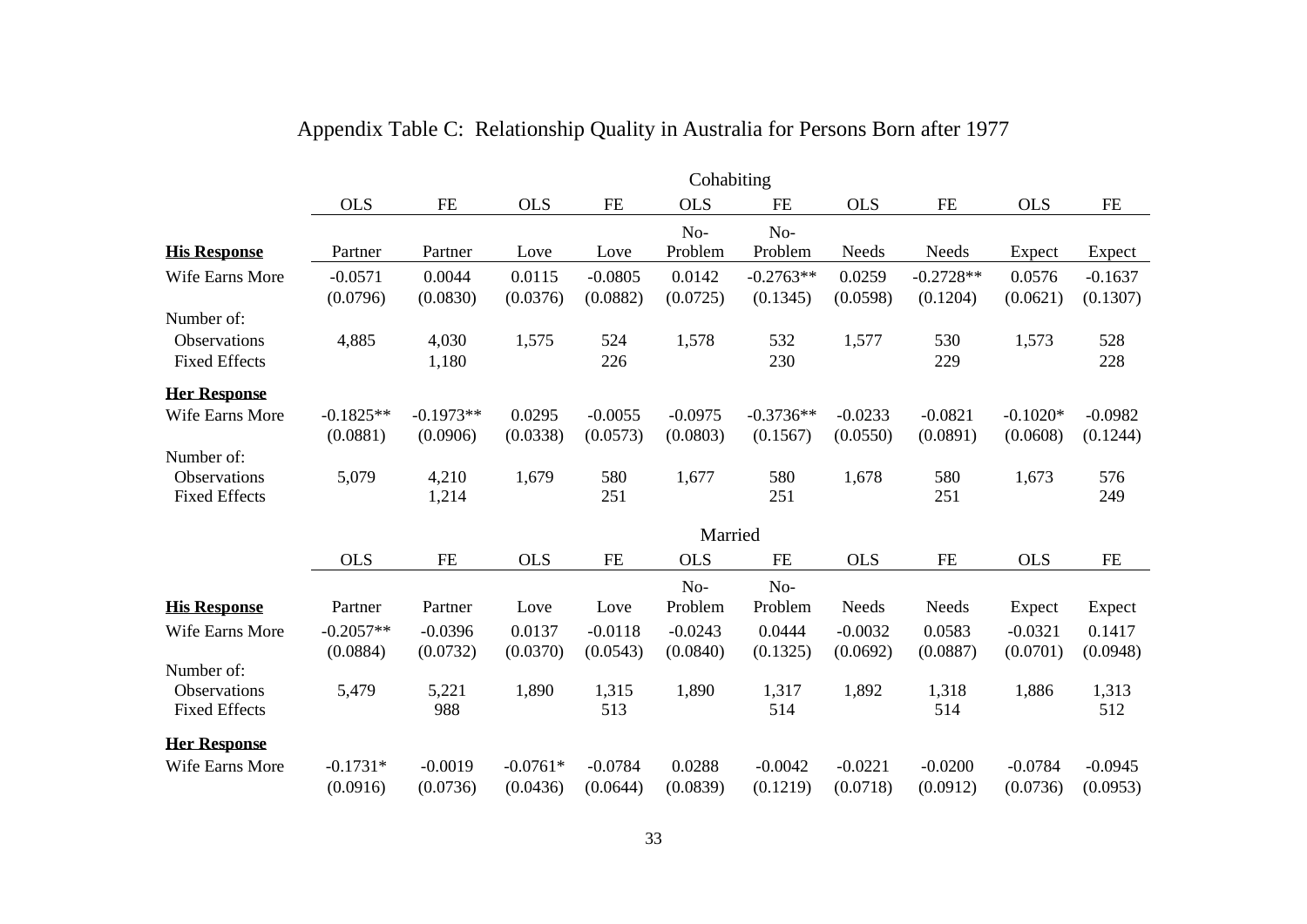|                      |             | Cohabiting  |            |           |            |             |            |             |            |           |
|----------------------|-------------|-------------|------------|-----------|------------|-------------|------------|-------------|------------|-----------|
|                      | <b>OLS</b>  | FE          | <b>OLS</b> | FE        | <b>OLS</b> | <b>FE</b>   | <b>OLS</b> | FE          | <b>OLS</b> | <b>FE</b> |
|                      |             |             |            |           | No-        | No-         |            |             |            |           |
| <b>His Response</b>  | Partner     | Partner     | Love       | Love      | Problem    | Problem     | Needs      | Needs       | Expect     | Expect    |
| Wife Earns More      | $-0.0571$   | 0.0044      | 0.0115     | $-0.0805$ | 0.0142     | $-0.2763**$ | 0.0259     | $-0.2728**$ | 0.0576     | $-0.1637$ |
|                      | (0.0796)    | (0.0830)    | (0.0376)   | (0.0882)  | (0.0725)   | (0.1345)    | (0.0598)   | (0.1204)    | (0.0621)   | (0.1307)  |
| Number of:           |             |             |            |           |            |             |            |             |            |           |
| Observations         | 4,885       | 4,030       | 1,575      | 524       | 1,578      | 532         | 1,577      | 530         | 1,573      | 528       |
| <b>Fixed Effects</b> |             | 1,180       |            | 226       |            | 230         |            | 229         |            | 228       |
| <b>Her Response</b>  |             |             |            |           |            |             |            |             |            |           |
| Wife Earns More      | $-0.1825**$ | $-0.1973**$ | 0.0295     | $-0.0055$ | $-0.0975$  | $-0.3736**$ | $-0.0233$  | $-0.0821$   | $-0.1020*$ | $-0.0982$ |
|                      | (0.0881)    | (0.0906)    | (0.0338)   | (0.0573)  | (0.0803)   | (0.1567)    | (0.0550)   | (0.0891)    | (0.0608)   | (0.1244)  |
| Number of:           |             |             |            |           |            |             |            |             |            |           |
| Observations         | 5,079       | 4,210       | 1,679      | 580       | 1,677      | 580         | 1,678      | 580         | 1,673      | 576       |
| <b>Fixed Effects</b> |             | 1,214       |            | 251       |            | 251         |            | 251         |            | 249       |
|                      |             |             |            |           | Married    |             |            |             |            |           |
|                      | <b>OLS</b>  | <b>FE</b>   | <b>OLS</b> | FE        | <b>OLS</b> | <b>FE</b>   | <b>OLS</b> | <b>FE</b>   | <b>OLS</b> | FE        |
|                      |             |             |            |           | No-        | No-         |            |             |            |           |
| <b>His Response</b>  | Partner     | Partner     | Love       | Love      | Problem    | Problem     | Needs      | Needs       | Expect     | Expect    |
| Wife Earns More      | $-0.2057**$ | $-0.0396$   | 0.0137     | $-0.0118$ | $-0.0243$  | 0.0444      | $-0.0032$  | 0.0583      | $-0.0321$  | 0.1417    |
|                      | (0.0884)    | (0.0732)    | (0.0370)   | (0.0543)  | (0.0840)   | (0.1325)    | (0.0692)   | (0.0887)    | (0.0701)   | (0.0948)  |
| Number of:           |             |             |            |           |            |             |            |             |            |           |
| Observations         | 5,479       | 5,221       | 1,890      | 1,315     | 1,890      | 1,317       | 1,892      | 1,318       | 1,886      | 1,313     |
| <b>Fixed Effects</b> |             | 988         |            | 513       |            | 514         |            | 514         |            | 512       |
| <b>Her Response</b>  |             |             |            |           |            |             |            |             |            |           |
| Wife Earns More      | $-0.1731*$  | $-0.0019$   | $-0.0761*$ | $-0.0784$ | 0.0288     | $-0.0042$   | $-0.0221$  | $-0.0200$   | $-0.0784$  | $-0.0945$ |
|                      | (0.0916)    | (0.0736)    | (0.0436)   | (0.0644)  | (0.0839)   | (0.1219)    | (0.0718)   | (0.0912)    | (0.0736)   | (0.0953)  |

## Appendix Table C: Relationship Quality in Australia for Persons Born after 1977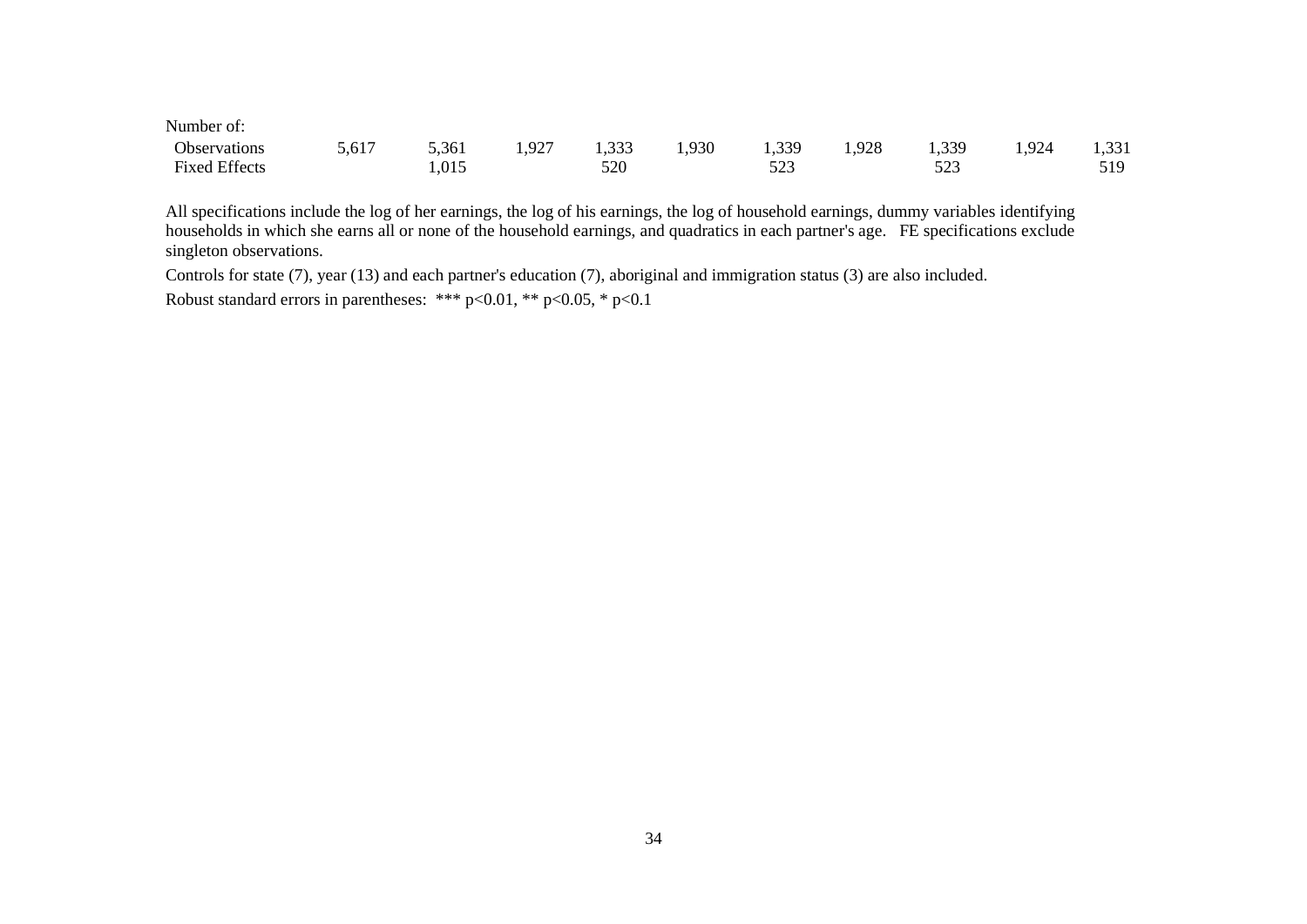| Number of:           |       |       |       |       |       |                        |       |       |      |       |
|----------------------|-------|-------|-------|-------|-------|------------------------|-------|-------|------|-------|
| Observations         | 5,617 | 5,361 | 1,927 | 1,333 | 1,930 | 1,339                  | 1,928 | 1,339 | .924 | 1,331 |
| <b>Fixed Effects</b> |       | 1,015 |       | 520   |       | 50 <sup>o</sup><br>ل⊿ت |       | ر ∠ر  |      | 519   |

All specifications include the log of her earnings, the log of his earnings, the log of household earnings, dummy variables identifying households in which she earns all or none of the household earnings, and quadratics in each partner's age. FE specifications exclude singleton observations.

Controls for state (7), year (13) and each partner's education (7), aboriginal and immigration status (3) are also included. Robust standard errors in parentheses: \*\*\* p<0.01, \*\* p<0.05, \* p<0.1